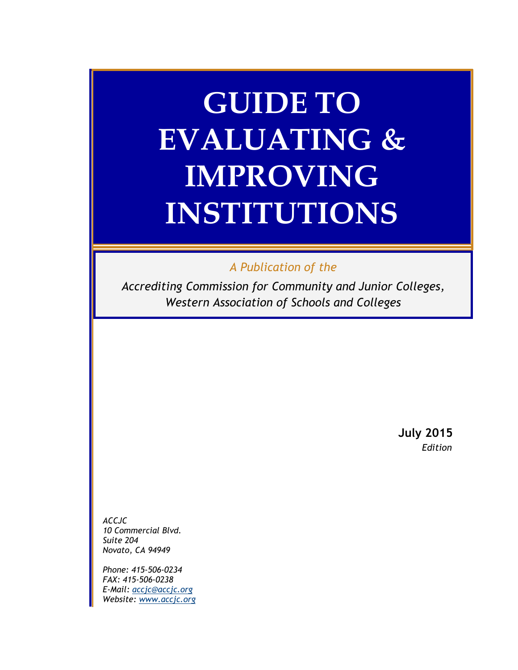# **GUIDE TO EVALUATING & IMPROVING INSTITUTIONS**

## *A Publication of the*

*Accrediting Commission for Community and Junior Colleges, Western Association of Schools and Colleges*

> **July 2015** *Edition*

*ACCJC 10 Commercial Blvd. Suite 204 Novato, CA 94949*

*Phone: 415-506-0234 FAX: 415-506-0238 E-Mail: [accjc@accjc.org](mailto:accjc@accjc.org) Website: [www.accjc.org](http://www.accjc.org/)*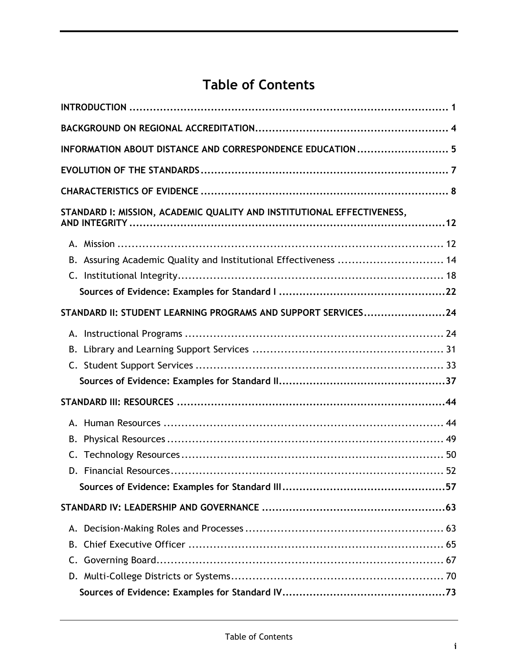# **Table of Contents**

| INFORMATION ABOUT DISTANCE AND CORRESPONDENCE EDUCATION  5             |  |
|------------------------------------------------------------------------|--|
|                                                                        |  |
|                                                                        |  |
| STANDARD I: MISSION, ACADEMIC QUALITY AND INSTITUTIONAL EFFECTIVENESS, |  |
|                                                                        |  |
| B. Assuring Academic Quality and Institutional Effectiveness  14       |  |
|                                                                        |  |
|                                                                        |  |
| STANDARD II: STUDENT LEARNING PROGRAMS AND SUPPORT SERVICES24          |  |
|                                                                        |  |
|                                                                        |  |
|                                                                        |  |
|                                                                        |  |
|                                                                        |  |
|                                                                        |  |
|                                                                        |  |
|                                                                        |  |
|                                                                        |  |
|                                                                        |  |
|                                                                        |  |
|                                                                        |  |
| В.                                                                     |  |
|                                                                        |  |
|                                                                        |  |
|                                                                        |  |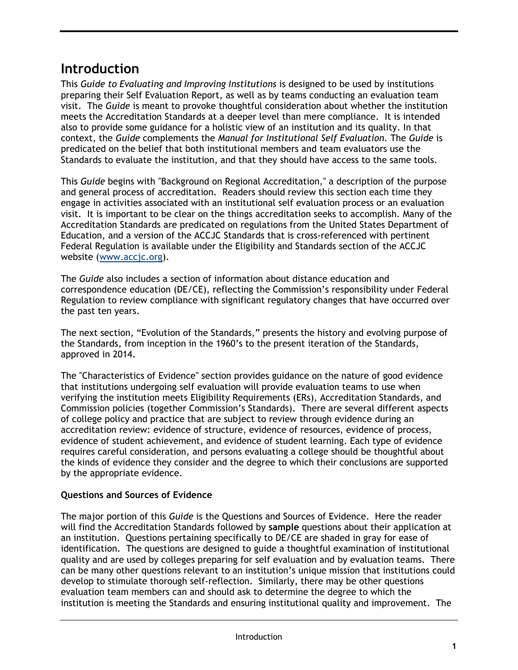# <span id="page-4-0"></span>**Introduction**

This *Guide to Evaluating and Improving Institutions* is designed to be used by institutions preparing their Self Evaluation Report, as well as by teams conducting an evaluation team visit. The *Guide* is meant to provoke thoughtful consideration about whether the institution meets the Accreditation Standards at a deeper level than mere compliance. It is intended also to provide some guidance for a holistic view of an institution and its quality. In that context, the *Guide* complements the *Manual for Institutional Self Evaluation.* The *Guide* is predicated on the belief that both institutional members and team evaluators use the Standards to evaluate the institution, and that they should have access to the same tools.

This *Guide* begins with "Background on Regional Accreditation," a description of the purpose and general process of accreditation. Readers should review this section each time they engage in activities associated with an institutional self evaluation process or an evaluation visit. It is important to be clear on the things accreditation seeks to accomplish. Many of the Accreditation Standards are predicated on regulations from the United States Department of Education, and a version of the ACCJC Standards that is cross-referenced with pertinent Federal Regulation is available under the Eligibility and Standards section of the ACCJC website (www.accic.org).

The *Guide* also includes a section of information about distance education and correspondence education (DE/CE), reflecting the Commission's responsibility under Federal Regulation to review compliance with significant regulatory changes that have occurred over the past ten years.

The next section, "Evolution of the Standards," presents the history and evolving purpose of the Standards, from inception in the 1960's to the present iteration of the Standards, approved in 2014.

The "Characteristics of Evidence" section provides guidance on the nature of good evidence that institutions undergoing self evaluation will provide evaluation teams to use when verifying the institution meets Eligibility Requirements (ERs), Accreditation Standards, and Commission policies (together Commission's Standards). There are several different aspects of college policy and practice that are subject to review through evidence during an accreditation review: evidence of structure, evidence of resources, evidence of process, evidence of student achievement, and evidence of student learning. Each type of evidence requires careful consideration, and persons evaluating a college should be thoughtful about the kinds of evidence they consider and the degree to which their conclusions are supported by the appropriate evidence.

## **Questions and Sources of Evidence**

The major portion of this *Guide* is the Questions and Sources of Evidence. Here the reader will find the Accreditation Standards followed by **sample** questions about their application at an institution. Questions pertaining specifically to DE/CE are shaded in gray for ease of identification. The questions are designed to guide a thoughtful examination of institutional quality and are used by colleges preparing for self evaluation and by evaluation teams. There can be many other questions relevant to an institution's unique mission that institutions could develop to stimulate thorough self-reflection. Similarly, there may be other questions evaluation team members can and should ask to determine the degree to which the institution is meeting the Standards and ensuring institutional quality and improvement. The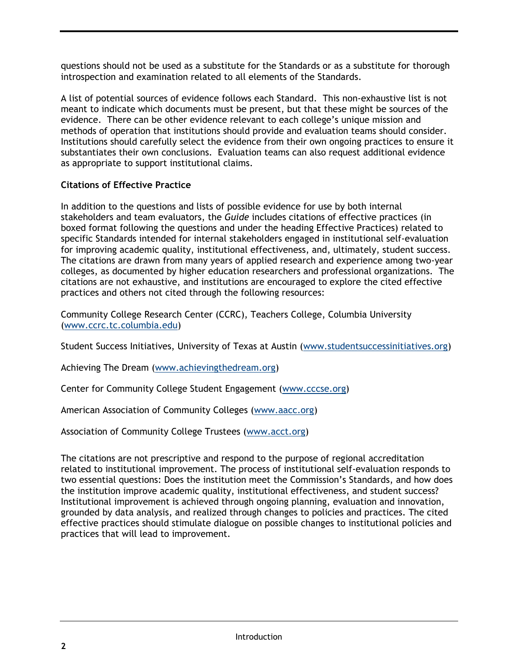questions should not be used as a substitute for the Standards or as a substitute for thorough introspection and examination related to all elements of the Standards.

A list of potential sources of evidence follows each Standard. This non-exhaustive list is not meant to indicate which documents must be present, but that these might be sources of the evidence. There can be other evidence relevant to each college's unique mission and methods of operation that institutions should provide and evaluation teams should consider. Institutions should carefully select the evidence from their own ongoing practices to ensure it substantiates their own conclusions. Evaluation teams can also request additional evidence as appropriate to support institutional claims.

#### **Citations of Effective Practice**

In addition to the questions and lists of possible evidence for use by both internal stakeholders and team evaluators, the *Guide* includes citations of effective practices (in boxed format following the questions and under the heading Effective Practices) related to specific Standards intended for internal stakeholders engaged in institutional self-evaluation for improving academic quality, institutional effectiveness, and, ultimately, student success. The citations are drawn from many years of applied research and experience among two-year colleges, as documented by higher education researchers and professional organizations. The citations are not exhaustive, and institutions are encouraged to explore the cited effective practices and others not cited through the following resources:

Community College Research Center (CCRC), Teachers College, Columbia University [\(www.ccrc.tc.columbia.edu\)](http://www.ccrc.tc.columbia.edu/)

Student Success Initiatives, University of Texas at Austin [\(www.studentsuccessinitiatives.org\)](http://www.studentsuccessinitiatives.org/)

Achieving The Dream [\(www.achievingthedream.org\)](http://www.achievingthedream.org/)

Center for Community College Student Engagement [\(www.cccse.org\)](http://www.cccse.org/)

American Association of Community Colleges [\(www.aacc.org\)](http://www.aacc.org/)

Association of Community College Trustees [\(www.acct.org\)](http://www.acct.org/)

The citations are not prescriptive and respond to the purpose of regional accreditation related to institutional improvement. The process of institutional self-evaluation responds to two essential questions: Does the institution meet the Commission's Standards, and how does the institution improve academic quality, institutional effectiveness, and student success? Institutional improvement is achieved through ongoing planning, evaluation and innovation, grounded by data analysis, and realized through changes to policies and practices. The cited effective practices should stimulate dialogue on possible changes to institutional policies and practices that will lead to improvement.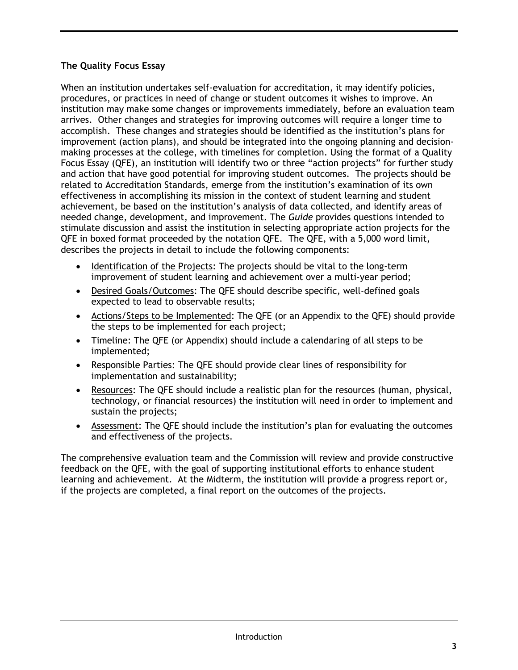## **The Quality Focus Essay**

When an institution undertakes self-evaluation for accreditation, it may identify policies, procedures, or practices in need of change or student outcomes it wishes to improve. An institution may make some changes or improvements immediately, before an evaluation team arrives. Other changes and strategies for improving outcomes will require a longer time to accomplish. These changes and strategies should be identified as the institution's plans for improvement (action plans), and should be integrated into the ongoing planning and decisionmaking processes at the college, with timelines for completion. Using the format of a Quality Focus Essay (QFE), an institution will identify two or three "action projects" for further study and action that have good potential for improving student outcomes. The projects should be related to Accreditation Standards, emerge from the institution's examination of its own effectiveness in accomplishing its mission in the context of student learning and student achievement, be based on the institution's analysis of data collected, and identify areas of needed change, development, and improvement. The *Guide* provides questions intended to stimulate discussion and assist the institution in selecting appropriate action projects for the QFE in boxed format proceeded by the notation QFE. The QFE, with a 5,000 word limit, describes the projects in detail to include the following components:

- Identification of the Projects: The projects should be vital to the long-term improvement of student learning and achievement over a multi-year period;
- Desired Goals/Outcomes: The QFE should describe specific, well-defined goals expected to lead to observable results;
- Actions/Steps to be Implemented: The QFE (or an Appendix to the QFE) should provide the steps to be implemented for each project;
- Timeline: The QFE (or Appendix) should include a calendaring of all steps to be implemented;
- Responsible Parties: The QFE should provide clear lines of responsibility for implementation and sustainability;
- Resources: The QFE should include a realistic plan for the resources (human, physical, technology, or financial resources) the institution will need in order to implement and sustain the projects;
- Assessment: The QFE should include the institution's plan for evaluating the outcomes and effectiveness of the projects.

The comprehensive evaluation team and the Commission will review and provide constructive feedback on the QFE, with the goal of supporting institutional efforts to enhance student learning and achievement. At the Midterm, the institution will provide a progress report or, if the projects are completed, a final report on the outcomes of the projects.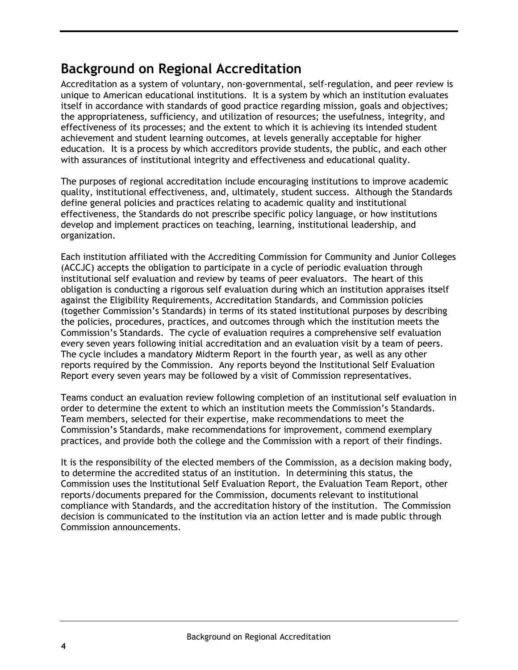# <span id="page-7-0"></span>**Background on Regional Accreditation**

Accreditation as a system of voluntary, non-governmental, self-regulation, and peer review is unique to American educational institutions. It is a system by which an institution evaluates itself in accordance with standards of good practice regarding mission, goals and objectives; the appropriateness, sufficiency, and utilization of resources; the usefulness, integrity, and effectiveness of its processes; and the extent to which it is achieving its intended student achievement and student learning outcomes, at levels generally acceptable for higher education. It is a process by which accreditors provide students, the public, and each other with assurances of institutional integrity and effectiveness and educational quality.

The purposes of regional accreditation include encouraging institutions to improve academic quality, institutional effectiveness, and, ultimately, student success. Although the Standards define general policies and practices relating to academic quality and institutional effectiveness, the Standards do not prescribe specific policy language, or how institutions develop and implement practices on teaching, learning, institutional leadership, and organization.

Each institution affiliated with the Accrediting Commission for Community and Junior Colleges (ACCJC) accepts the obligation to participate in a cycle of periodic evaluation through institutional self evaluation and review by teams of peer evaluators. The heart of this obligation is conducting a rigorous self evaluation during which an institution appraises itself against the Eligibility Requirements, Accreditation Standards, and Commission policies (together Commission's Standards) in terms of its stated institutional purposes by describing the policies, procedures, practices, and outcomes through which the institution meets the Commission's Standards. The cycle of evaluation requires a comprehensive self evaluation every seven years following initial accreditation and an evaluation visit by a team of peers. The cycle includes a mandatory Midterm Report in the fourth year, as well as any other reports required by the Commission. Any reports beyond the Institutional Self Evaluation Report every seven years may be followed by a visit of Commission representatives.

Teams conduct an evaluation review following completion of an institutional self evaluation in order to determine the extent to which an institution meets the Commission's Standards. Team members, selected for their expertise, make recommendations to meet the Commission's Standards, make recommendations for improvement, commend exemplary practices, and provide both the college and the Commission with a report of their findings.

It is the responsibility of the elected members of the Commission, as a decision making body, to determine the accredited status of an institution. In determining this status, the Commission uses the Institutional Self Evaluation Report, the Evaluation Team Report, other reports/documents prepared for the Commission, documents relevant to institutional compliance with Standards, and the accreditation history of the institution. The Commission decision is communicated to the institution via an action letter and is made public through Commission announcements.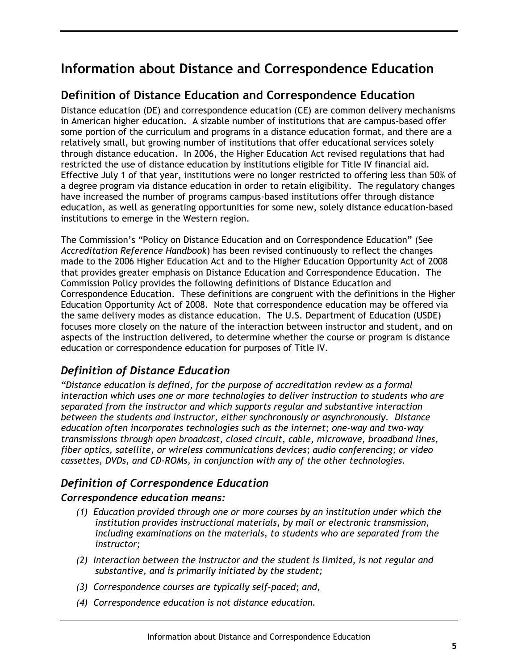# <span id="page-8-0"></span>**Information about Distance and Correspondence Education**

# **Definition of Distance Education and Correspondence Education**

Distance education (DE) and correspondence education (CE) are common delivery mechanisms in American higher education. A sizable number of institutions that are campus-based offer some portion of the curriculum and programs in a distance education format, and there are a relatively small, but growing number of institutions that offer educational services solely through distance education. In 2006, the Higher Education Act revised regulations that had restricted the use of distance education by institutions eligible for Title IV financial aid. Effective July 1 of that year, institutions were no longer restricted to offering less than 50% of a degree program via distance education in order to retain eligibility. The regulatory changes have increased the number of programs campus-based institutions offer through distance education, as well as generating opportunities for some new, solely distance education-based institutions to emerge in the Western region.

The Commission's "Policy on Distance Education and on Correspondence Education" (See *Accreditation Reference Handbook*) has been revised continuously to reflect the changes made to the 2006 Higher Education Act and to the Higher Education Opportunity Act of 2008 that provides greater emphasis on Distance Education and Correspondence Education. The Commission Policy provides the following definitions of Distance Education and Correspondence Education. These definitions are congruent with the definitions in the Higher Education Opportunity Act of 2008. Note that correspondence education may be offered via the same delivery modes as distance education. The U.S. Department of Education (USDE) focuses more closely on the nature of the interaction between instructor and student, and on aspects of the instruction delivered, to determine whether the course or program is distance education or correspondence education for purposes of Title IV.

## *Definition of Distance Education*

*"Distance education is defined, for the purpose of accreditation review as a formal interaction which uses one or more technologies to deliver instruction to students who are separated from the instructor and which supports regular and substantive interaction between the students and instructor, either synchronously or asynchronously. Distance education often incorporates technologies such as the internet; one-way and two-way transmissions through open broadcast, closed circuit, cable, microwave, broadband lines, fiber optics, satellite, or wireless communications devices; audio conferencing; or video cassettes, DVDs, and CD-ROMs, in conjunction with any of the other technologies.*

## *Definition of Correspondence Education*

#### *Correspondence education means:*

- *(1) Education provided through one or more courses by an institution under which the institution provides instructional materials, by mail or electronic transmission, including examinations on the materials, to students who are separated from the instructor;*
- *(2) Interaction between the instructor and the student is limited, is not regular and substantive, and is primarily initiated by the student;*
- *(3) Correspondence courses are typically self-paced; and,*
- *(4) Correspondence education is not distance education.*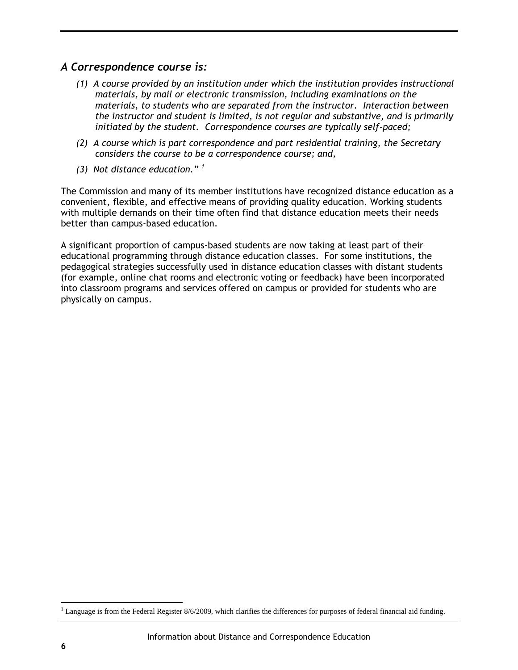## *A Correspondence course is:*

- *(1) A course provided by an institution under which the institution provides instructional materials, by mail or electronic transmission, including examinations on the materials, to students who are separated from the instructor. Interaction between the instructor and student is limited, is not regular and substantive, and is primarily initiated by the student. Correspondence courses are typically self-paced;*
- *(2) A course which is part correspondence and part residential training, the Secretary considers the course to be a correspondence course; and,*
- *(3) Not distance education." <sup>1</sup>*

The Commission and many of its member institutions have recognized distance education as a convenient, flexible, and effective means of providing quality education. Working students with multiple demands on their time often find that distance education meets their needs better than campus-based education.

A significant proportion of campus-based students are now taking at least part of their educational programming through distance education classes. For some institutions, the pedagogical strategies successfully used in distance education classes with distant students (for example, online chat rooms and electronic voting or feedback) have been incorporated into classroom programs and services offered on campus or provided for students who are physically on campus.

 $\overline{a}$ 

 $1$  Language is from the Federal Register 8/6/2009, which clarifies the differences for purposes of federal financial aid funding.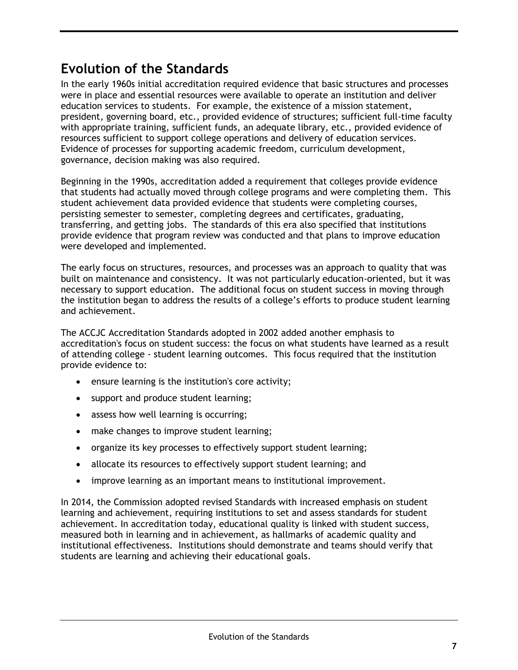# <span id="page-10-0"></span>**Evolution of the Standards**

In the early 1960s initial accreditation required evidence that basic structures and processes were in place and essential resources were available to operate an institution and deliver education services to students. For example, the existence of a mission statement, president, governing board, etc., provided evidence of structures; sufficient full-time faculty with appropriate training, sufficient funds, an adequate library, etc., provided evidence of resources sufficient to support college operations and delivery of education services. Evidence of processes for supporting academic freedom, curriculum development, governance, decision making was also required.

Beginning in the 1990s, accreditation added a requirement that colleges provide evidence that students had actually moved through college programs and were completing them. This student achievement data provided evidence that students were completing courses, persisting semester to semester, completing degrees and certificates, graduating, transferring, and getting jobs. The standards of this era also specified that institutions provide evidence that program review was conducted and that plans to improve education were developed and implemented.

The early focus on structures, resources, and processes was an approach to quality that was built on maintenance and consistency. It was not particularly education-oriented, but it was necessary to support education. The additional focus on student success in moving through the institution began to address the results of a college's efforts to produce student learning and achievement.

The ACCJC Accreditation Standards adopted in 2002 added another emphasis to accreditation's focus on student success: the focus on what students have learned as a result of attending college - student learning outcomes. This focus required that the institution provide evidence to:

- **e** ensure learning is the institution's core activity;
- support and produce student learning;
- assess how well learning is occurring;
- make changes to improve student learning;
- organize its key processes to effectively support student learning;
- allocate its resources to effectively support student learning; and
- improve learning as an important means to institutional improvement.

In 2014, the Commission adopted revised Standards with increased emphasis on student learning and achievement, requiring institutions to set and assess standards for student achievement. In accreditation today, educational quality is linked with student success, measured both in learning and in achievement, as hallmarks of academic quality and institutional effectiveness. Institutions should demonstrate and teams should verify that students are learning and achieving their educational goals.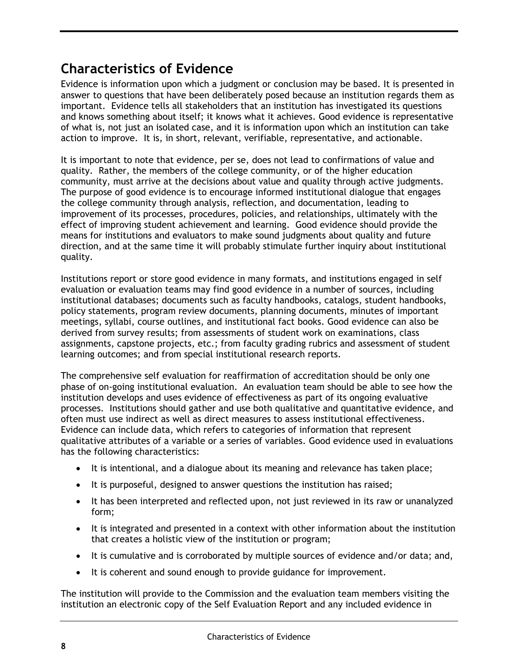# <span id="page-11-0"></span>**Characteristics of Evidence**

Evidence is information upon which a judgment or conclusion may be based. It is presented in answer to questions that have been deliberately posed because an institution regards them as important. Evidence tells all stakeholders that an institution has investigated its questions and knows something about itself; it knows what it achieves. Good evidence is representative of what is, not just an isolated case, and it is information upon which an institution can take action to improve. It is, in short, relevant, verifiable, representative, and actionable.

It is important to note that evidence, per se, does not lead to confirmations of value and quality. Rather, the members of the college community, or of the higher education community, must arrive at the decisions about value and quality through active judgments. The purpose of good evidence is to encourage informed institutional dialogue that engages the college community through analysis, reflection, and documentation, leading to improvement of its processes, procedures, policies, and relationships, ultimately with the effect of improving student achievement and learning. Good evidence should provide the means for institutions and evaluators to make sound judgments about quality and future direction, and at the same time it will probably stimulate further inquiry about institutional quality.

Institutions report or store good evidence in many formats, and institutions engaged in self evaluation or evaluation teams may find good evidence in a number of sources, including institutional databases; documents such as faculty handbooks, catalogs, student handbooks, policy statements, program review documents, planning documents, minutes of important meetings, syllabi, course outlines, and institutional fact books. Good evidence can also be derived from survey results; from assessments of student work on examinations, class assignments, capstone projects, etc.; from faculty grading rubrics and assessment of student learning outcomes; and from special institutional research reports.

The comprehensive self evaluation for reaffirmation of accreditation should be only one phase of on-going institutional evaluation. An evaluation team should be able to see how the institution develops and uses evidence of effectiveness as part of its ongoing evaluative processes. Institutions should gather and use both qualitative and quantitative evidence, and often must use indirect as well as direct measures to assess institutional effectiveness. Evidence can include data, which refers to categories of information that represent qualitative attributes of a variable or a series of variables. Good evidence used in evaluations has the following characteristics:

- It is intentional, and a dialogue about its meaning and relevance has taken place;
- It is purposeful, designed to answer questions the institution has raised;
- It has been interpreted and reflected upon, not just reviewed in its raw or unanalyzed form;
- It is integrated and presented in a context with other information about the institution that creates a holistic view of the institution or program;
- It is cumulative and is corroborated by multiple sources of evidence and/or data; and,
- It is coherent and sound enough to provide guidance for improvement.

The institution will provide to the Commission and the evaluation team members visiting the institution an electronic copy of the Self Evaluation Report and any included evidence in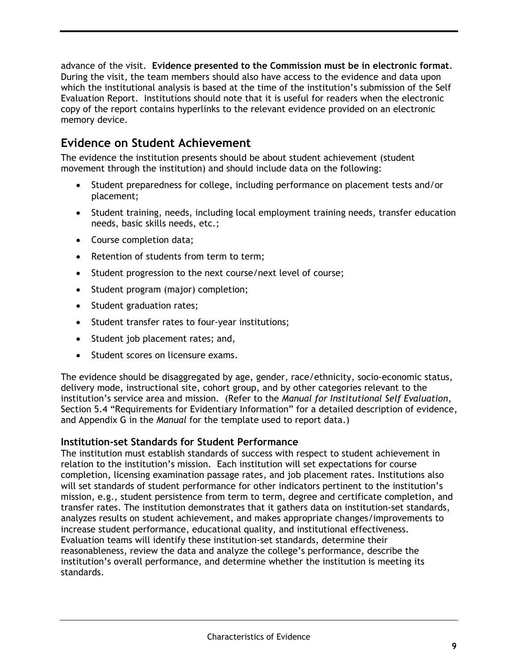advance of the visit. **Evidence presented to the Commission must be in electronic format**. During the visit, the team members should also have access to the evidence and data upon which the institutional analysis is based at the time of the institution's submission of the Self Evaluation Report. Institutions should note that it is useful for readers when the electronic copy of the report contains hyperlinks to the relevant evidence provided on an electronic memory device.

# **Evidence on Student Achievement**

The evidence the institution presents should be about student achievement (student movement through the institution) and should include data on the following:

- Student preparedness for college, including performance on placement tests and/or placement;
- Student training, needs, including local employment training needs, transfer education needs, basic skills needs, etc.;
- Course completion data;
- Retention of students from term to term;
- Student progression to the next course/next level of course;
- Student program (major) completion;
- Student graduation rates;
- Student transfer rates to four-year institutions;
- Student job placement rates; and,
- Student scores on licensure exams.

The evidence should be disaggregated by age, gender, race/ethnicity, socio-economic status, delivery mode, instructional site, cohort group, and by other categories relevant to the institution's service area and mission. (Refer to the *Manual for Institutional Self Evaluation*, Section 5.4 "Requirements for Evidentiary Information" for a detailed description of evidence, and Appendix G in the *Manual* for the template used to report data.)

#### **Institution-set Standards for Student Performance**

The institution must establish standards of success with respect to student achievement in relation to the institution's mission. Each institution will set expectations for course completion, licensing examination passage rates, and job placement rates. Institutions also will set standards of student performance for other indicators pertinent to the institution's mission, e.g., student persistence from term to term, degree and certificate completion, and transfer rates. The institution demonstrates that it gathers data on institution-set standards, analyzes results on student achievement, and makes appropriate changes/improvements to increase student performance, educational quality, and institutional effectiveness. Evaluation teams will identify these institution-set standards, determine their reasonableness, review the data and analyze the college's performance, describe the institution's overall performance, and determine whether the institution is meeting its standards.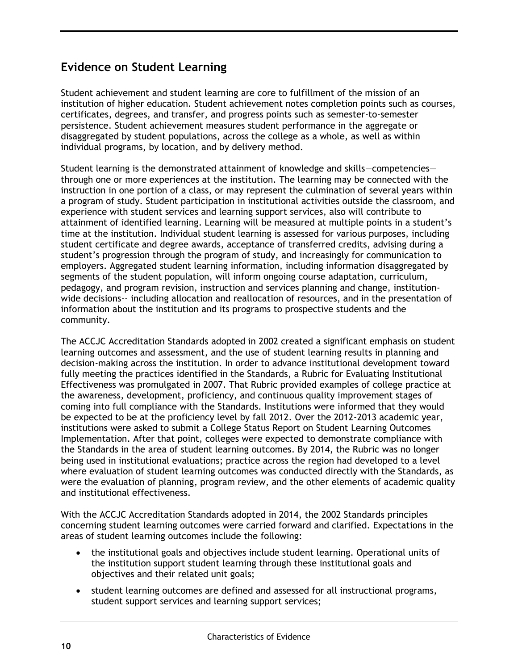# **Evidence on Student Learning**

Student achievement and student learning are core to fulfillment of the mission of an institution of higher education. Student achievement notes completion points such as courses, certificates, degrees, and transfer, and progress points such as semester-to-semester persistence. Student achievement measures student performance in the aggregate or disaggregated by student populations, across the college as a whole, as well as within individual programs, by location, and by delivery method.

Student learning is the demonstrated attainment of knowledge and skills—competencies through one or more experiences at the institution. The learning may be connected with the instruction in one portion of a class, or may represent the culmination of several years within a program of study. Student participation in institutional activities outside the classroom, and experience with student services and learning support services, also will contribute to attainment of identified learning. Learning will be measured at multiple points in a student's time at the institution. Individual student learning is assessed for various purposes, including student certificate and degree awards, acceptance of transferred credits, advising during a student's progression through the program of study, and increasingly for communication to employers. Aggregated student learning information, including information disaggregated by segments of the student population, will inform ongoing course adaptation, curriculum, pedagogy, and program revision, instruction and services planning and change, institutionwide decisions-- including allocation and reallocation of resources, and in the presentation of information about the institution and its programs to prospective students and the community.

The ACCJC Accreditation Standards adopted in 2002 created a significant emphasis on student learning outcomes and assessment, and the use of student learning results in planning and decision-making across the institution. In order to advance institutional development toward fully meeting the practices identified in the Standards, a Rubric for Evaluating Institutional Effectiveness was promulgated in 2007. That Rubric provided examples of college practice at the awareness, development, proficiency, and continuous quality improvement stages of coming into full compliance with the Standards. Institutions were informed that they would be expected to be at the proficiency level by fall 2012. Over the 2012-2013 academic year, institutions were asked to submit a College Status Report on Student Learning Outcomes Implementation. After that point, colleges were expected to demonstrate compliance with the Standards in the area of student learning outcomes. By 2014, the Rubric was no longer being used in institutional evaluations; practice across the region had developed to a level where evaluation of student learning outcomes was conducted directly with the Standards, as were the evaluation of planning, program review, and the other elements of academic quality and institutional effectiveness.

With the ACCJC Accreditation Standards adopted in 2014, the 2002 Standards principles concerning student learning outcomes were carried forward and clarified. Expectations in the areas of student learning outcomes include the following:

- the institutional goals and objectives include student learning. Operational units of the institution support student learning through these institutional goals and objectives and their related unit goals;
- student learning outcomes are defined and assessed for all instructional programs, student support services and learning support services;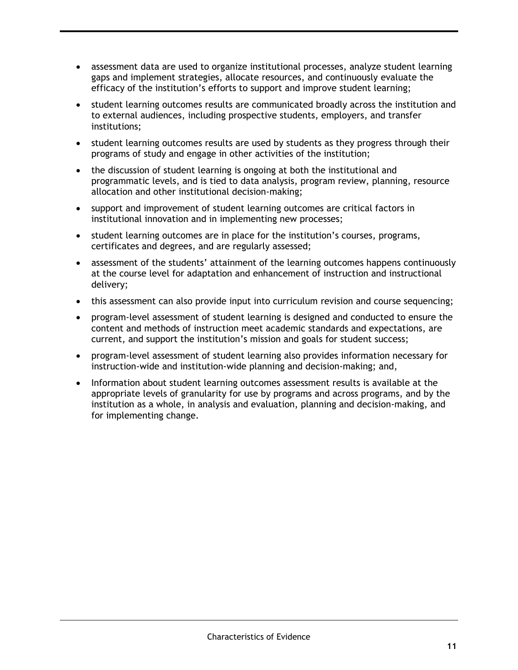- assessment data are used to organize institutional processes, analyze student learning gaps and implement strategies, allocate resources, and continuously evaluate the efficacy of the institution's efforts to support and improve student learning;
- student learning outcomes results are communicated broadly across the institution and to external audiences, including prospective students, employers, and transfer institutions;
- student learning outcomes results are used by students as they progress through their programs of study and engage in other activities of the institution;
- the discussion of student learning is ongoing at both the institutional and programmatic levels, and is tied to data analysis, program review, planning, resource allocation and other institutional decision-making;
- support and improvement of student learning outcomes are critical factors in institutional innovation and in implementing new processes;
- student learning outcomes are in place for the institution's courses, programs, certificates and degrees, and are regularly assessed;
- assessment of the students' attainment of the learning outcomes happens continuously at the course level for adaptation and enhancement of instruction and instructional delivery;
- this assessment can also provide input into curriculum revision and course sequencing;
- program-level assessment of student learning is designed and conducted to ensure the content and methods of instruction meet academic standards and expectations, are current, and support the institution's mission and goals for student success;
- program-level assessment of student learning also provides information necessary for instruction-wide and institution-wide planning and decision-making; and,
- Information about student learning outcomes assessment results is available at the appropriate levels of granularity for use by programs and across programs, and by the institution as a whole, in analysis and evaluation, planning and decision-making, and for implementing change.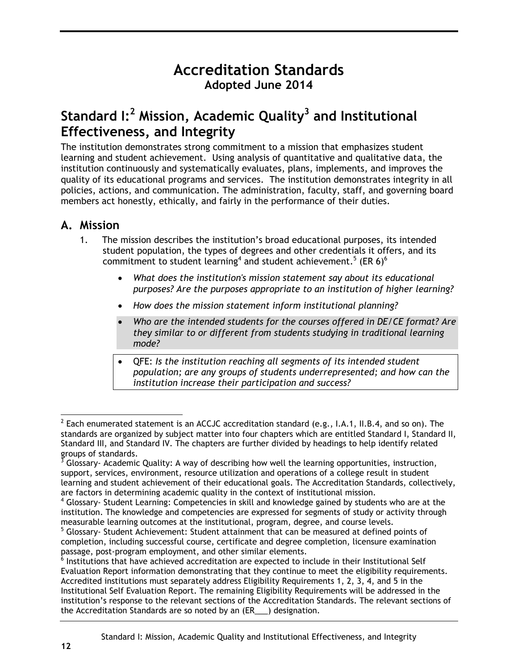# **Accreditation Standards Adopted June 2014**

# <span id="page-15-0"></span>**Standard I:<sup>2</sup> Mission, Academic Quality<sup>3</sup> and Institutional Effectiveness, and Integrity**

The institution demonstrates strong commitment to a mission that emphasizes student learning and student achievement. Using analysis of quantitative and qualitative data, the institution continuously and systematically evaluates, plans, implements, and improves the quality of its educational programs and services. The institution demonstrates integrity in all policies, actions, and communication. The administration, faculty, staff, and governing board members act honestly, ethically, and fairly in the performance of their duties.

## <span id="page-15-1"></span>**A. Mission**

- 1. The mission describes the institution's broad educational purposes, its intended student population, the types of degrees and other credentials it offers, and its commitment to student learning<sup>4</sup> and student achievement.<sup>5</sup> (ER 6)<sup>6</sup>
	- *What does the institution's mission statement say about its educational purposes? Are the purposes appropriate to an institution of higher learning?*
	- *How does the mission statement inform institutional planning?*
	- *Who are the intended students for the courses offered in DE/CE format? Are they similar to or different from students studying in traditional learning mode?*
	- QFE: *Is the institution reaching all segments of its intended student population; are any groups of students underrepresented; and how can the institution increase their participation and success?*

 $^2$  Each enumerated statement is an ACCJC accreditation standard (e.g., I.A.1, II.B.4, and so on). The standards are organized by subject matter into four chapters which are entitled Standard I, Standard II, Standard III, and Standard IV. The chapters are further divided by headings to help identify related groups of standards.

 $3$  Glossary- Academic Quality: A way of describing how well the learning opportunities, instruction, support, services, environment, resource utilization and operations of a college result in student learning and student achievement of their educational goals. The Accreditation Standards, collectively, are factors in determining academic quality in the context of institutional mission.

<sup>4</sup> Glossary- Student Learning: Competencies in skill and knowledge gained by students who are at the institution. The knowledge and competencies are expressed for segments of study or activity through measurable learning outcomes at the institutional, program, degree, and course levels.

<sup>&</sup>lt;sup>5</sup> Glossary- Student Achievement: Student attainment that can be measured at defined points of completion, including successful course, certificate and degree completion, licensure examination passage, post-program employment, and other similar elements.

 $^6$  Institutions that have achieved accreditation are expected to include in their Institutional Self Evaluation Report information demonstrating that they continue to meet the eligibility requirements. Accredited institutions must separately address Eligibility Requirements 1, 2, 3, 4, and 5 in the Institutional Self Evaluation Report. The remaining Eligibility Requirements will be addressed in the institution's response to the relevant sections of the Accreditation Standards. The relevant sections of the Accreditation Standards are so noted by an (ER\_\_\_) designation.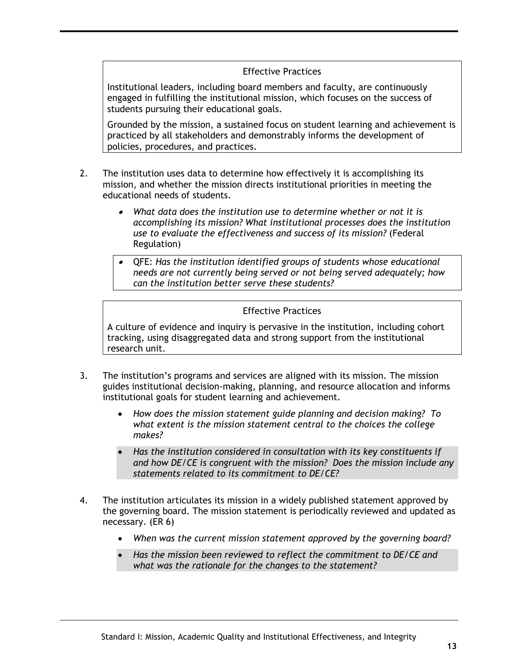#### Effective Practices

Institutional leaders, including board members and faculty, are continuously engaged in fulfilling the institutional mission, which focuses on the success of students pursuing their educational goals.

Grounded by the mission, a sustained focus on student learning and achievement is practiced by all stakeholders and demonstrably informs the development of policies, procedures, and practices.

- 2. The institution uses data to determine how effectively it is accomplishing its mission, and whether the mission directs institutional priorities in meeting the educational needs of students.
	- *What data does the institution use to determine whether or not it is accomplishing its mission? What institutional processes does the institution use to evaluate the effectiveness and success of its mission?* (Federal Regulation)
	- QFE: *Has the institution identified groups of students whose educational needs are not currently being served or not being served adequately; how can the institution better serve these students?*

#### Effective Practices

A culture of evidence and inquiry is pervasive in the institution, including cohort tracking, using disaggregated data and strong support from the institutional research unit.

- 3. The institution's programs and services are aligned with its mission. The mission guides institutional decision-making, planning, and resource allocation and informs institutional goals for student learning and achievement.
	- *How does the mission statement guide planning and decision making? To what extent is the mission statement central to the choices the college makes?*
	- *Has the institution considered in consultation with its key constituents if and how DE/CE is congruent with the mission? Does the mission include any statements related to its commitment to DE/CE?*
- <span id="page-16-0"></span>4. The institution articulates its mission in a widely published statement approved by the governing board. The mission statement is periodically reviewed and updated as necessary. (ER 6)
	- *When was the current mission statement approved by the governing board?*
	- *Has the mission been reviewed to reflect the commitment to DE/CE and what was the rationale for the changes to the statement?*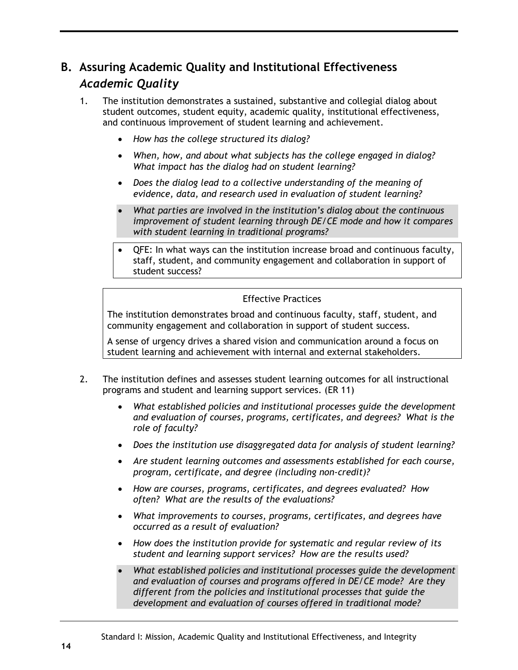# **B. Assuring Academic Quality and Institutional Effectiveness** *Academic Quality*

- 1. The institution demonstrates a sustained, substantive and collegial dialog about student outcomes, student equity, academic quality, institutional effectiveness, and continuous improvement of student learning and achievement.
	- *How has the college structured its dialog?*
	- *When, how, and about what subjects has the college engaged in dialog? What impact has the dialog had on student learning?*
	- *Does the dialog lead to a collective understanding of the meaning of evidence, data, and research used in evaluation of student learning?*
	- *What parties are involved in the institution's dialog about the continuous improvement of student learning through DE/CE mode and how it compares with student learning in traditional programs?*
	- QFE: In what ways can the institution increase broad and continuous faculty, staff, student, and community engagement and collaboration in support of student success?

#### Effective Practices

The institution demonstrates broad and continuous faculty, staff, student, and community engagement and collaboration in support of student success.

A sense of urgency drives a shared vision and communication around a focus on student learning and achievement with internal and external stakeholders.

- 2. The institution defines and assesses student learning outcomes for all instructional programs and student and learning support services. (ER 11)
	- *What established policies and institutional processes guide the development and evaluation of courses, programs, certificates, and degrees? What is the role of faculty?*
	- *Does the institution use disaggregated data for analysis of student learning?*
	- *Are student learning outcomes and assessments established for each course, program, certificate, and degree (including non-credit)?*
	- *How are courses, programs, certificates, and degrees evaluated? How often? What are the results of the evaluations?*
	- *What improvements to courses, programs, certificates, and degrees have occurred as a result of evaluation?*
	- *How does the institution provide for systematic and regular review of its student and learning support services? How are the results used?*
	- *What established policies and institutional processes guide the development and evaluation of courses and programs offered in DE/CE mode? Are they different from the policies and institutional processes that guide the development and evaluation of courses offered in traditional mode?*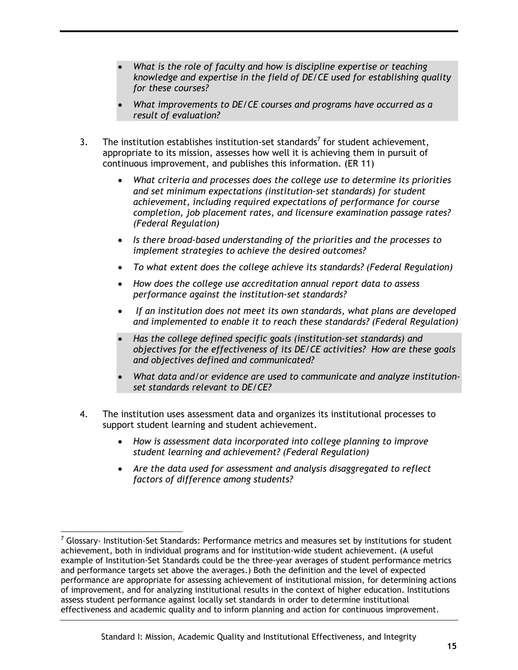- *What is the role of faculty and how is discipline expertise or teaching knowledge and expertise in the field of DE/CE used for establishing quality for these courses?*
- *What improvements to DE/CE courses and programs have occurred as a result of evaluation?*
- 3. The institution establishes institution-set standards<sup>7</sup> for student achievement, appropriate to its mission, assesses how well it is achieving them in pursuit of continuous improvement, and publishes this information. (ER 11)
	- *What criteria and processes does the college use to determine its priorities and set minimum expectations (institution-set standards) for student achievement, including required expectations of performance for course completion, job placement rates, and licensure examination passage rates? (Federal Regulation)*
	- *Is there broad-based understanding of the priorities and the processes to implement strategies to achieve the desired outcomes?*
	- *To what extent does the college achieve its standards? (Federal Regulation)*
	- *How does the college use accreditation annual report data to assess performance against the institution-set standards?*
	- *If an institution does not meet its own standards, what plans are developed and implemented to enable it to reach these standards? (Federal Regulation)*
	- *Has the college defined specific goals (institution-set standards) and objectives for the effectiveness of its DE/CE activities? How are these goals and objectives defined and communicated?*
	- *What data and/or evidence are used to communicate and analyze institutionset standards relevant to DE/CE?*
- 4. The institution uses assessment data and organizes its institutional processes to support student learning and student achievement.
	- *How is assessment data incorporated into college planning to improve student learning and achievement? (Federal Regulation)*
	- *Are the data used for assessment and analysis disaggregated to reflect factors of difference among students?*

 $\overline{a}$ 

 $<sup>7</sup>$  Glossarv- Institution-Set Standards: Performance metrics and measures set by institutions for student</sup> achievement, both in individual programs and for institution-wide student achievement. (A useful example of Institution-Set Standards could be the three-year averages of student performance metrics and performance targets set above the averages.) Both the definition and the level of expected performance are appropriate for assessing achievement of institutional mission, for determining actions of improvement, and for analyzing institutional results in the context of higher education. Institutions assess student performance against locally set standards in order to determine institutional effectiveness and academic quality and to inform planning and action for continuous improvement.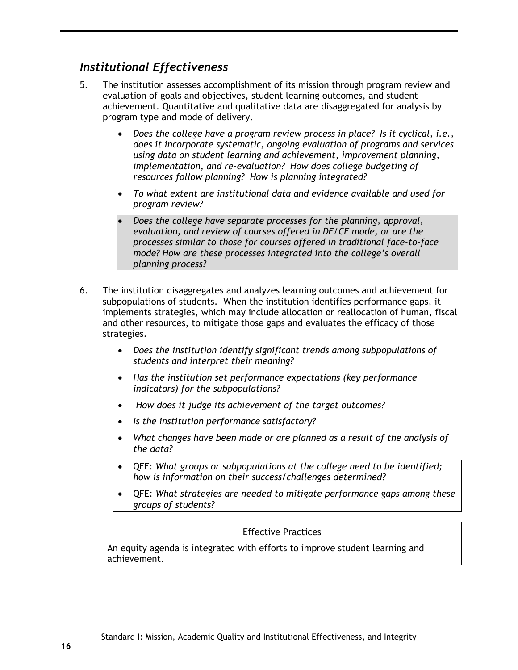## *Institutional Effectiveness*

- 5. The institution assesses accomplishment of its mission through program review and evaluation of goals and objectives, student learning outcomes, and student achievement. Quantitative and qualitative data are disaggregated for analysis by program type and mode of delivery.
	- *Does the college have a program review process in place? Is it cyclical, i.e., does it incorporate systematic, ongoing evaluation of programs and services using data on student learning and achievement, improvement planning, implementation, and re-evaluation? How does college budgeting of resources follow planning? How is planning integrated?*
	- *To what extent are institutional data and evidence available and used for program review?*
	- *Does the college have separate processes for the planning, approval, evaluation, and review of courses offered in DE/CE mode, or are the processes similar to those for courses offered in traditional face-to-face mode? How are these processes integrated into the college's overall planning process?*
- 6. The institution disaggregates and analyzes learning outcomes and achievement for subpopulations of students. When the institution identifies performance gaps, it implements strategies, which may include allocation or reallocation of human, fiscal and other resources, to mitigate those gaps and evaluates the efficacy of those strategies.
	- *Does the institution identify significant trends among subpopulations of students and interpret their meaning?*
	- *Has the institution set performance expectations (key performance indicators) for the subpopulations?*
	- *How does it judge its achievement of the target outcomes?*
	- *Is the institution performance satisfactory?*
	- *What changes have been made or are planned as a result of the analysis of the data?*
	- QFE: *What groups or subpopulations at the college need to be identified; how is information on their success/challenges determined?*
	- QFE: *What strategies are needed to mitigate performance gaps among these groups of students?*

#### Effective Practices

An equity agenda is integrated with efforts to improve student learning and achievement.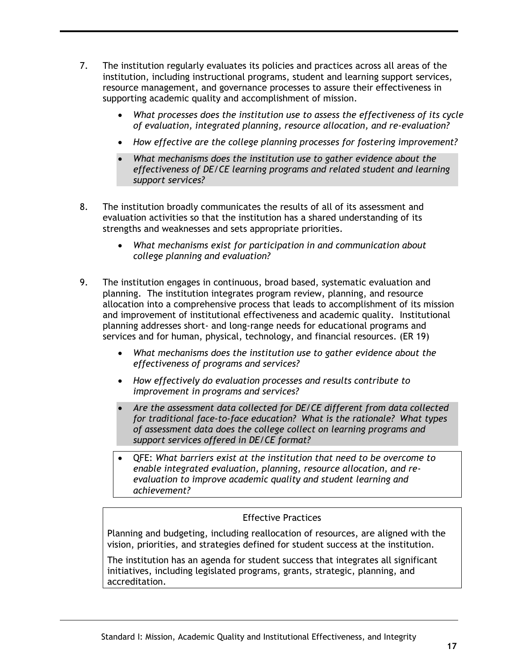- 7. The institution regularly evaluates its policies and practices across all areas of the institution, including instructional programs, student and learning support services, resource management, and governance processes to assure their effectiveness in supporting academic quality and accomplishment of mission.
	- *What processes does the institution use to assess the effectiveness of its cycle of evaluation, integrated planning, resource allocation, and re-evaluation?*
	- *How effective are the college planning processes for fostering improvement?*
	- *What mechanisms does the institution use to gather evidence about the effectiveness of DE/CE learning programs and related student and learning support services?*
- 8. The institution broadly communicates the results of all of its assessment and evaluation activities so that the institution has a shared understanding of its strengths and weaknesses and sets appropriate priorities.
	- *What mechanisms exist for participation in and communication about college planning and evaluation?*
- 9. The institution engages in continuous, broad based, systematic evaluation and planning. The institution integrates program review, planning, and resource allocation into a comprehensive process that leads to accomplishment of its mission and improvement of institutional effectiveness and academic quality. Institutional planning addresses short- and long-range needs for educational programs and services and for human, physical, technology, and financial resources. (ER 19)
	- *What mechanisms does the institution use to gather evidence about the effectiveness of programs and services?*
	- *How effectively do evaluation processes and results contribute to improvement in programs and services?*
	- *Are the assessment data collected for DE/CE different from data collected for traditional face-to-face education? What is the rationale? What types of assessment data does the college collect on learning programs and support services offered in DE/CE format?*
	- QFE: *What barriers exist at the institution that need to be overcome to enable integrated evaluation, planning, resource allocation, and reevaluation to improve academic quality and student learning and achievement?*

#### Effective Practices

Planning and budgeting, including reallocation of resources, are aligned with the vision, priorities, and strategies defined for student success at the institution.

The institution has an agenda for student success that integrates all significant initiatives, including legislated programs, grants, strategic, planning, and accreditation.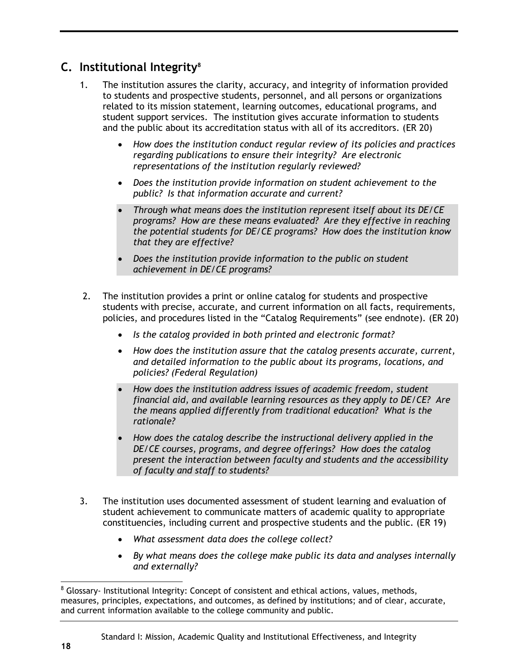# <span id="page-21-0"></span>**C. Institutional Integrity<sup>8</sup>**

- 1. The institution assures the clarity, accuracy, and integrity of information provided to students and prospective students, personnel, and all persons or organizations related to its mission statement, learning outcomes, educational programs, and student support services. The institution gives accurate information to students and the public about its accreditation status with all of its accreditors. (ER 20)
	- *How does the institution conduct regular review of its policies and practices regarding publications to ensure their integrity? Are electronic representations of the institution regularly reviewed?*
	- *Does the institution provide information on student achievement to the public? Is that information accurate and current?*
	- *Through what means does the institution represent itself about its DE/CE programs? How are these means evaluated? Are they effective in reaching the potential students for DE/CE programs? How does the institution know that they are effective?*
	- *Does the institution provide information to the public on student achievement in DE/CE programs?*
- 2. The institution provides a print or online catalog for students and prospective students with precise, accurate, and current information on all facts, requirements, policies, and procedures listed in the "Catalog Requirements" (see endnote). (ER 20)
	- *Is the catalog provided in both printed and electronic format?*
	- *How does the institution assure that the catalog presents accurate, current, and detailed information to the public about its programs, locations, and policies? (Federal Regulation)*
	- *How does the institution address issues of academic freedom, student financial aid, and available learning resources as they apply to DE/CE? Are the means applied differently from traditional education? What is the rationale?*
	- *How does the catalog describe the instructional delivery applied in the DE/CE courses, programs, and degree offerings? How does the catalog present the interaction between faculty and students and the accessibility of faculty and staff to students?*
- 3. The institution uses documented assessment of student learning and evaluation of student achievement to communicate matters of academic quality to appropriate constituencies, including current and prospective students and the public. (ER 19)
	- *What assessment data does the college collect?*
	- *By what means does the college make public its data and analyses internally and externally?*

<sup>&</sup>lt;sup>8</sup> Glossary- Institutional Integrity: Concept of consistent and ethical actions, values, methods, measures, principles, expectations, and outcomes, as defined by institutions; and of clear, accurate, and current information available to the college community and public.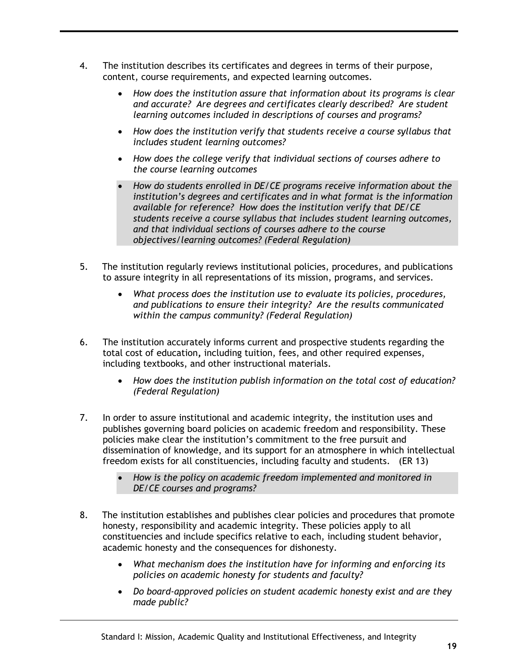- 4. The institution describes its certificates and degrees in terms of their purpose, content, course requirements, and expected learning outcomes.
	- *How does the institution assure that information about its programs is clear and accurate? Are degrees and certificates clearly described? Are student learning outcomes included in descriptions of courses and programs?*
	- *How does the institution verify that students receive a course syllabus that includes student learning outcomes?*
	- *How does the college verify that individual sections of courses adhere to the course learning outcomes*
	- *How do students enrolled in DE/CE programs receive information about the institution's degrees and certificates and in what format is the information available for reference? How does the institution verify that DE/CE students receive a course syllabus that includes student learning outcomes, and that individual sections of courses adhere to the course objectives/learning outcomes? (Federal Regulation)*
- 5. The institution regularly reviews institutional policies, procedures, and publications to assure integrity in all representations of its mission, programs, and services.
	- *What process does the institution use to evaluate its policies, procedures, and publications to ensure their integrity? Are the results communicated within the campus community? (Federal Regulation)*
- 6. The institution accurately informs current and prospective students regarding the total cost of education**,** including tuition, fees, and other required expenses, including textbooks, and other instructional materials.
	- *How does the institution publish information on the total cost of education? (Federal Regulation)*
- 7. In order to assure institutional and academic integrity, the institution uses and publishes governing board policies on academic freedom and responsibility. These policies make clear the institution's commitment to the free pursuit and dissemination of knowledge, and its support for an atmosphere in which intellectual freedom exists for all constituencies, including faculty and students. (ER 13)
	- *How is the policy on academic freedom implemented and monitored in DE/CE courses and programs?*
- 8. The institution establishes and publishes clear policies and procedures that promote honesty, responsibility and academic integrity. These policies apply to all constituencies and include specifics relative to each, including student behavior, academic honesty and the consequences for dishonesty.
	- *What mechanism does the institution have for informing and enforcing its policies on academic honesty for students and faculty?*
	- *Do board-approved policies on student academic honesty exist and are they made public?*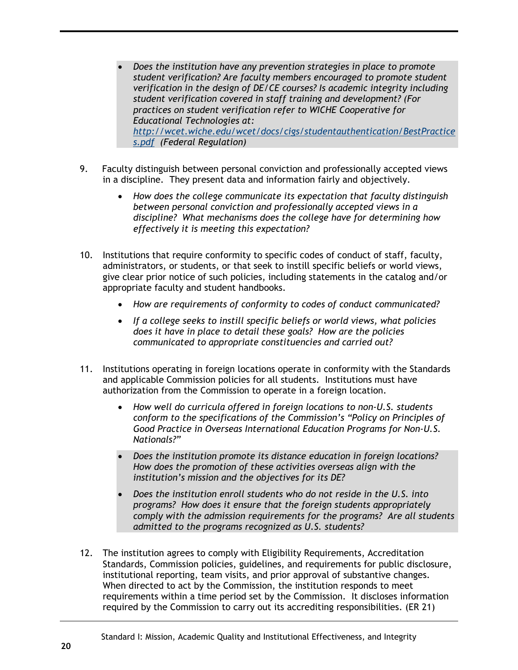- *Does the institution have any prevention strategies in place to promote student verification? Are faculty members encouraged to promote student verification in the design of DE/CE courses? Is academic integrity including student verification covered in staff training and development? (For practices on student verification refer to WICHE Cooperative for Educational Technologies at: [http://wcet.wiche.edu/wcet/docs/cigs/studentauthentication/BestPractice](http://wcet.wiche.edu/wcet/docs/cigs/studentauthentication/BestPractices.pdf) [s.pdf](http://wcet.wiche.edu/wcet/docs/cigs/studentauthentication/BestPractices.pdf) (Federal Regulation)*
- 9. Faculty distinguish between personal conviction and professionally accepted views in a discipline. They present data and information fairly and objectively.
	- *How does the college communicate its expectation that faculty distinguish between personal conviction and professionally accepted views in a discipline? What mechanisms does the college have for determining how effectively it is meeting this expectation?*
- 10. Institutions that require conformity to specific codes of conduct of staff, faculty, administrators, or students, or that seek to instill specific beliefs or world views, give clear prior notice of such policies, including statements in the catalog and/or appropriate faculty and student handbooks.
	- *How are requirements of conformity to codes of conduct communicated?*
	- *If a college seeks to instill specific beliefs or world views, what policies does it have in place to detail these goals? How are the policies communicated to appropriate constituencies and carried out?*
- 11. Institutions operating in foreign locations operate in conformity with the Standards and applicable Commission policies for all students. Institutions must have authorization from the Commission to operate in a foreign location.
	- *How well do curricula offered in foreign locations to non-U.S. students conform to the specifications of the Commission's "Policy on Principles of Good Practice in Overseas International Education Programs for Non-U.S. Nationals?"*
	- *Does the institution promote its distance education in foreign locations? How does the promotion of these activities overseas align with the institution's mission and the objectives for its DE?*
	- *Does the institution enroll students who do not reside in the U.S. into programs? How does it ensure that the foreign students appropriately comply with the admission requirements for the programs? Are all students admitted to the programs recognized as U.S. students?*
- 12. The institution agrees to comply with Eligibility Requirements, Accreditation Standards, Commission policies, guidelines, and requirements for public disclosure, institutional reporting, team visits, and prior approval of substantive changes. When directed to act by the Commission, the institution responds to meet requirements within a time period set by the Commission. It discloses information required by the Commission to carry out its accrediting responsibilities. (ER 21)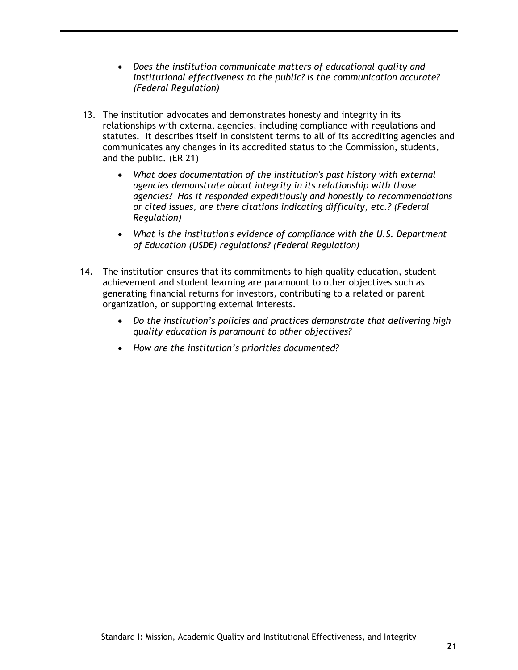- *Does the institution communicate matters of educational quality and institutional effectiveness to the public? Is the communication accurate? (Federal Regulation)*
- 13. The institution advocates and demonstrates honesty and integrity in its relationships with external agencies, including compliance with regulations and statutes. It describes itself in consistent terms to all of its accrediting agencies and communicates any changes in its accredited status to the Commission, students, and the public. (ER 21)
	- *What does documentation of the institution's past history with external agencies demonstrate about integrity in its relationship with those agencies? Has it responded expeditiously and honestly to recommendations or cited issues, are there citations indicating difficulty, etc.? (Federal Regulation)*
	- *What is the institution's evidence of compliance with the U.S. Department of Education (USDE) regulations? (Federal Regulation)*
- 14. The institution ensures that its commitments to high quality education, student achievement and student learning are paramount to other objectives such as generating financial returns for investors, contributing to a related or parent organization, or supporting external interests.
	- *Do the institution's policies and practices demonstrate that delivering high quality education is paramount to other objectives?*
	- *How are the institution's priorities documented?*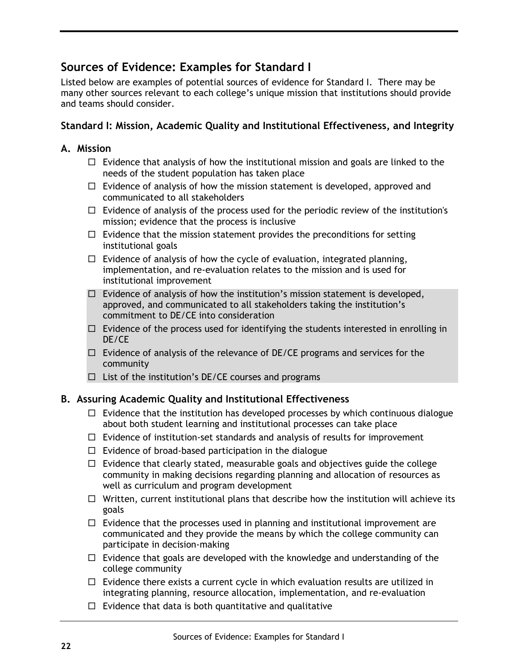# <span id="page-25-0"></span>**Sources of Evidence: Examples for Standard I**

Listed below are examples of potential sources of evidence for Standard I. There may be many other sources relevant to each college's unique mission that institutions should provide and teams should consider.

## **Standard I: Mission, Academic Quality and Institutional Effectiveness, and Integrity**

#### **A. Mission**

- $\Box$  Evidence that analysis of how the institutional mission and goals are linked to the needs of the student population has taken place
- $\Box$  Evidence of analysis of how the mission statement is developed, approved and communicated to all stakeholders
- $\Box$  Evidence of analysis of the process used for the periodic review of the institution's mission; evidence that the process is inclusive
- $\Box$  Evidence that the mission statement provides the preconditions for setting institutional goals
- $\Box$  Evidence of analysis of how the cycle of evaluation, integrated planning, implementation, and re-evaluation relates to the mission and is used for institutional improvement
- $\Box$  Evidence of analysis of how the institution's mission statement is developed, approved, and communicated to all stakeholders taking the institution's commitment to DE/CE into consideration
- $\Box$  Evidence of the process used for identifying the students interested in enrolling in DE/CE
- $\Box$  Evidence of analysis of the relevance of DE/CE programs and services for the community
- $\Box$  List of the institution's DE/CE courses and programs

#### **B. Assuring Academic Quality and Institutional Effectiveness**

- $\Box$  Evidence that the institution has developed processes by which continuous dialogue about both student learning and institutional processes can take place
- $\Box$  Evidence of institution-set standards and analysis of results for improvement
- $\Box$  Evidence of broad-based participation in the dialogue
- $\Box$  Evidence that clearly stated, measurable goals and objectives guide the college community in making decisions regarding planning and allocation of resources as well as curriculum and program development
- $\Box$  Written, current institutional plans that describe how the institution will achieve its goals
- $\Box$  Evidence that the processes used in planning and institutional improvement are communicated and they provide the means by which the college community can participate in decision-making
- $\Box$  Evidence that goals are developed with the knowledge and understanding of the college community
- $\Box$  Evidence there exists a current cycle in which evaluation results are utilized in integrating planning, resource allocation, implementation, and re-evaluation
- $\Box$  Evidence that data is both quantitative and qualitative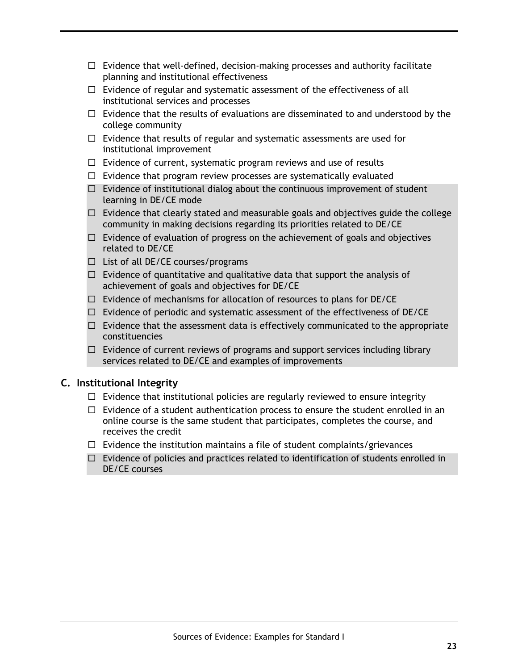- $\Box$  Evidence that well-defined, decision-making processes and authority facilitate planning and institutional effectiveness
- $\Box$  Evidence of regular and systematic assessment of the effectiveness of all institutional services and processes
- $\Box$  Evidence that the results of evaluations are disseminated to and understood by the college community
- $\Box$  Evidence that results of regular and systematic assessments are used for institutional improvement
- $\Box$  Evidence of current, systematic program reviews and use of results
- $\Box$  Evidence that program review processes are systematically evaluated
- $\Box$  Evidence of institutional dialog about the continuous improvement of student learning in DE/CE mode
- $\Box$  Evidence that clearly stated and measurable goals and objectives guide the college community in making decisions regarding its priorities related to DE/CE
- $\Box$  Evidence of evaluation of progress on the achievement of goals and objectives related to DE/CE
- $\Box$  List of all DE/CE courses/programs
- $\Box$  Evidence of quantitative and qualitative data that support the analysis of achievement of goals and objectives for DE/CE
- $\Box$  Evidence of mechanisms for allocation of resources to plans for DE/CE
- $\Box$  Evidence of periodic and systematic assessment of the effectiveness of DE/CE
- $\Box$  Evidence that the assessment data is effectively communicated to the appropriate constituencies
- $\Box$  Evidence of current reviews of programs and support services including library services related to DE/CE and examples of improvements

#### **C. Institutional Integrity**

- $\Box$  Evidence that institutional policies are regularly reviewed to ensure integrity
- $\Box$  Evidence of a student authentication process to ensure the student enrolled in an online course is the same student that participates, completes the course, and receives the credit
- $\Box$  Evidence the institution maintains a file of student complaints/grievances
- $\Box$  Evidence of policies and practices related to identification of students enrolled in DE/CE courses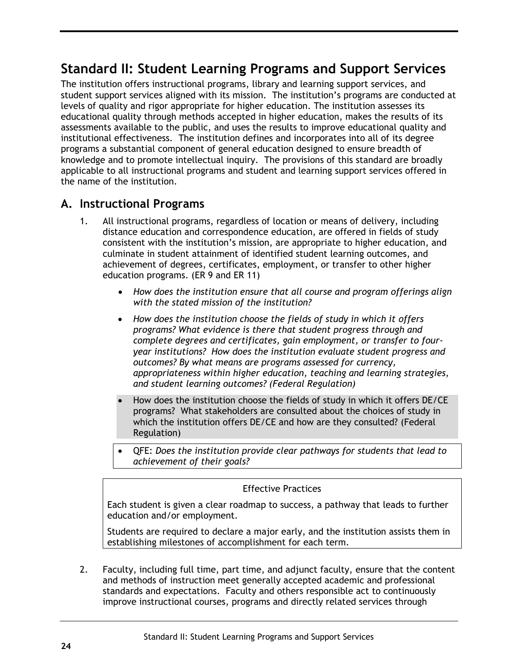# <span id="page-27-0"></span>**Standard II: Student Learning Programs and Support Services**

The institution offers instructional programs, library and learning support services, and student support services aligned with its mission. The institution's programs are conducted at levels of quality and rigor appropriate for higher education. The institution assesses its educational quality through methods accepted in higher education, makes the results of its assessments available to the public, and uses the results to improve educational quality and institutional effectiveness. The institution defines and incorporates into all of its degree programs a substantial component of general education designed to ensure breadth of knowledge and to promote intellectual inquiry. The provisions of this standard are broadly applicable to all instructional programs and student and learning support services offered in the name of the institution.

## <span id="page-27-1"></span>**A. Instructional Programs**

- 1. All instructional programs, regardless of location or means of delivery, including distance education and correspondence education, are offered in fields of study consistent with the institution's mission, are appropriate to higher education, and culminate in student attainment of identified student learning outcomes, and achievement of degrees, certificates, employment, or transfer to other higher education programs. (ER 9 and ER 11)
	- *How does the institution ensure that all course and program offerings align with the stated mission of the institution?*
	- *How does the institution choose the fields of study in which it offers programs? What evidence is there that student progress through and complete degrees and certificates, gain employment, or transfer to fouryear institutions? How does the institution evaluate student progress and outcomes? By what means are programs assessed for currency, appropriateness within higher education, teaching and learning strategies, and student learning outcomes? (Federal Regulation)*
	- How does the institution choose the fields of study in which it offers DE/CE programs? What stakeholders are consulted about the choices of study in which the institution offers DE/CE and how are they consulted? (Federal Regulation)
	- QFE: *Does the institution provide clear pathways for students that lead to achievement of their goals?*

#### Effective Practices

Each student is given a clear roadmap to success, a pathway that leads to further education and/or employment.

Students are required to declare a major early, and the institution assists them in establishing milestones of accomplishment for each term.

2. Faculty, including full time, part time, and adjunct faculty, ensure that the content and methods of instruction meet generally accepted academic and professional standards and expectations. Faculty and others responsible act to continuously improve instructional courses, programs and directly related services through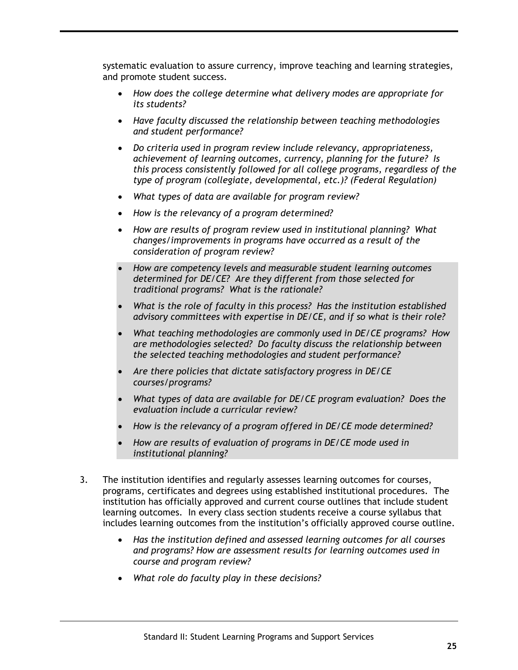systematic evaluation to assure currency, improve teaching and learning strategies, and promote student success.

- *How does the college determine what delivery modes are appropriate for its students?*
- *Have faculty discussed the relationship between teaching methodologies and student performance?*
- *Do criteria used in program review include relevancy, appropriateness, achievement of learning outcomes, currency, planning for the future? Is this process consistently followed for all college programs, regardless of the type of program (collegiate, developmental, etc.)? (Federal Regulation)*
- *What types of data are available for program review?*
- *How is the relevancy of a program determined?*
- *How are results of program review used in institutional planning? What changes/improvements in programs have occurred as a result of the consideration of program review?*
- *How are competency levels and measurable student learning outcomes determined for DE/CE? Are they different from those selected for traditional programs? What is the rationale?*
- *What is the role of faculty in this process? Has the institution established advisory committees with expertise in DE/CE, and if so what is their role?*
- *What teaching methodologies are commonly used in DE/CE programs? How are methodologies selected? Do faculty discuss the relationship between the selected teaching methodologies and student performance?*
- *Are there policies that dictate satisfactory progress in DE/CE courses/programs?*
- *What types of data are available for DE/CE program evaluation? Does the evaluation include a curricular review?*
- *How is the relevancy of a program offered in DE/CE mode determined?*
- *How are results of evaluation of programs in DE/CE mode used in institutional planning?*
- 3. The institution identifies and regularly assesses learning outcomes for courses, programs, certificates and degrees using established institutional procedures. The institution has officially approved and current course outlines that include student learning outcomes. In every class section students receive a course syllabus that includes learning outcomes from the institution's officially approved course outline.
	- *Has the institution defined and assessed learning outcomes for all courses and programs? How are assessment results for learning outcomes used in course and program review?*
	- *What role do faculty play in these decisions?*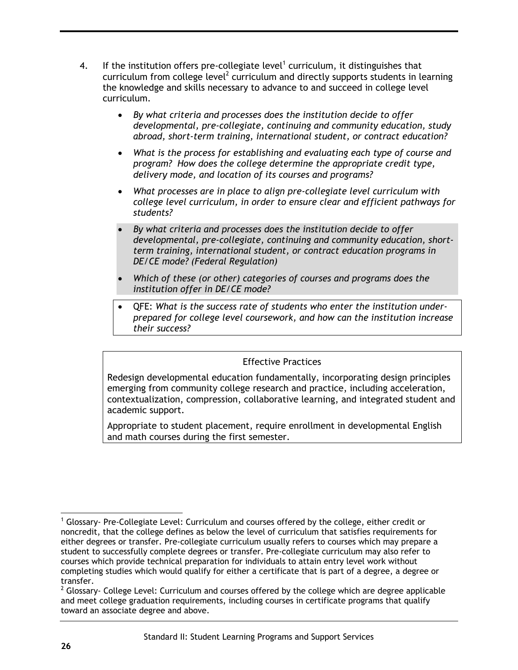- 4. If the institution offers pre-collegiate level<sup>1</sup> curriculum, it distinguishes that curriculum from college level<sup>2</sup> curriculum and directly supports students in learning the knowledge and skills necessary to advance to and succeed in college level curriculum.
	- *By what criteria and processes does the institution decide to offer developmental, pre-collegiate, continuing and community education, study abroad, short-term training, international student, or contract education?*
	- *What is the process for establishing and evaluating each type of course and program? How does the college determine the appropriate credit type, delivery mode, and location of its courses and programs?*
	- *What processes are in place to align pre-collegiate level curriculum with college level curriculum, in order to ensure clear and efficient pathways for students?*
	- *By what criteria and processes does the institution decide to offer developmental, pre-collegiate, continuing and community education, shortterm training, international student, or contract education programs in DE/CE mode? (Federal Regulation)*
	- *Which of these (or other) categories of courses and programs does the institution offer in DE/CE mode?*
	- QFE: *What is the success rate of students who enter the institution underprepared for college level coursework, and how can the institution increase their success?*

#### Effective Practices

Redesign developmental education fundamentally, incorporating design principles emerging from community college research and practice, including acceleration, contextualization, compression, collaborative learning, and integrated student and academic support.

Appropriate to student placement, require enrollment in developmental English and math courses during the first semester.

 $\overline{a}$ 

 $<sup>1</sup>$  Glossary- Pre-Collegiate Level: Curriculum and courses offered by the college, either credit or</sup> noncredit, that the college defines as below the level of curriculum that satisfies requirements for either degrees or transfer. Pre-collegiate curriculum usually refers to courses which may prepare a student to successfully complete degrees or transfer. Pre-collegiate curriculum may also refer to courses which provide technical preparation for individuals to attain entry level work without completing studies which would qualify for either a certificate that is part of a degree, a degree or transfer.

 $2$  Glossary- College Level: Curriculum and courses offered by the college which are degree applicable and meet college graduation requirements, including courses in certificate programs that qualify toward an associate degree and above.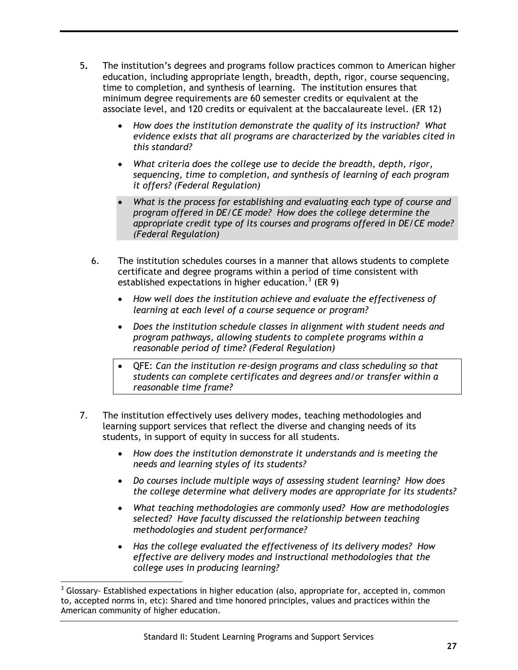- 5**.** The institution's degrees and programs follow practices common to American higher education, including appropriate length, breadth, depth, rigor, course sequencing, time to completion, and synthesis of learning. The institution ensures that minimum degree requirements are 60 semester credits or equivalent at the associate level, and 120 credits or equivalent at the baccalaureate level. (ER 12)
	- *How does the institution demonstrate the quality of its instruction? What evidence exists that all programs are characterized by the variables cited in this standard?*
	- *What criteria does the college use to decide the breadth, depth, rigor, sequencing, time to completion, and synthesis of learning of each program it offers? (Federal Regulation)*
	- *What is the process for establishing and evaluating each type of course and program offered in DE/CE mode? How does the college determine the appropriate credit type of its courses and programs offered in DE/CE mode? (Federal Regulation)*
	- 6. The institution schedules courses in a manner that allows students to complete certificate and degree programs within a period of time consistent with established expectations in higher education.<sup>3</sup> (ER 9)
		- *How well does the institution achieve and evaluate the effectiveness of learning at each level of a course sequence or program?*
		- *Does the institution schedule classes in alignment with student needs and program pathways, allowing students to complete programs within a reasonable period of time? (Federal Regulation)*
		- QFE: *Can the institution re-design programs and class scheduling so that students can complete certificates and degrees and/or transfer within a reasonable time frame?*
- 7. The institution effectively uses delivery modes, teaching methodologies and learning support services that reflect the diverse and changing needs of its students, in support of equity in success for all students.
	- *How does the institution demonstrate it understands and is meeting the needs and learning styles of its students?*
	- *Do courses include multiple ways of assessing student learning? How does the college determine what delivery modes are appropriate for its students?*
	- *What teaching methodologies are commonly used? How are methodologies selected? Have faculty discussed the relationship between teaching methodologies and student performance?*
	- *Has the college evaluated the effectiveness of its delivery modes? How effective are delivery modes and instructional methodologies that the college uses in producing learning?*

 $3$  Glossary- Established expectations in higher education (also, appropriate for, accepted in, common to, accepted norms in, etc): Shared and time honored principles, values and practices within the American community of higher education.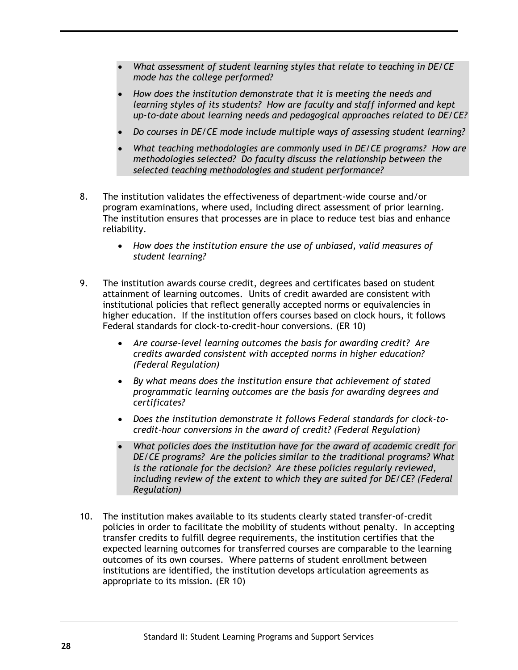- *What assessment of student learning styles that relate to teaching in DE/CE mode has the college performed?*
- *How does the institution demonstrate that it is meeting the needs and learning styles of its students? How are faculty and staff informed and kept up-to-date about learning needs and pedagogical approaches related to DE/CE?*
- *Do courses in DE/CE mode include multiple ways of assessing student learning?*
- *What teaching methodologies are commonly used in DE/CE programs? How are methodologies selected? Do faculty discuss the relationship between the selected teaching methodologies and student performance?*
- 8. The institution validates the effectiveness of department-wide course and/or program examinations, where used, including direct assessment of prior learning. The institution ensures that processes are in place to reduce test bias and enhance reliability.
	- *How does the institution ensure the use of unbiased, valid measures of student learning?*
- 9. The institution awards course credit, degrees and certificates based on student attainment of learning outcomes. Units of credit awarded are consistent with institutional policies that reflect generally accepted norms or equivalencies in higher education. If the institution offers courses based on clock hours, it follows Federal standards for clock-to-credit-hour conversions. (ER 10)
	- *Are course-level learning outcomes the basis for awarding credit? Are credits awarded consistent with accepted norms in higher education? (Federal Regulation)*
	- *By what means does the institution ensure that achievement of stated programmatic learning outcomes are the basis for awarding degrees and certificates?*
	- *Does the institution demonstrate it follows Federal standards for clock-tocredit-hour conversions in the award of credit? (Federal Regulation)*
	- *What policies does the institution have for the award of academic credit for DE/CE programs? Are the policies similar to the traditional programs? What is the rationale for the decision? Are these policies regularly reviewed, including review of the extent to which they are suited for DE/CE? (Federal Regulation)*
- 10. The institution makes available to its students clearly stated transfer-of-credit policies in order to facilitate the mobility of students without penalty. In accepting transfer credits to fulfill degree requirements, the institution certifies that the expected learning outcomes for transferred courses are comparable to the learning outcomes of its own courses. Where patterns of student enrollment between institutions are identified, the institution develops articulation agreements as appropriate to its mission. (ER 10)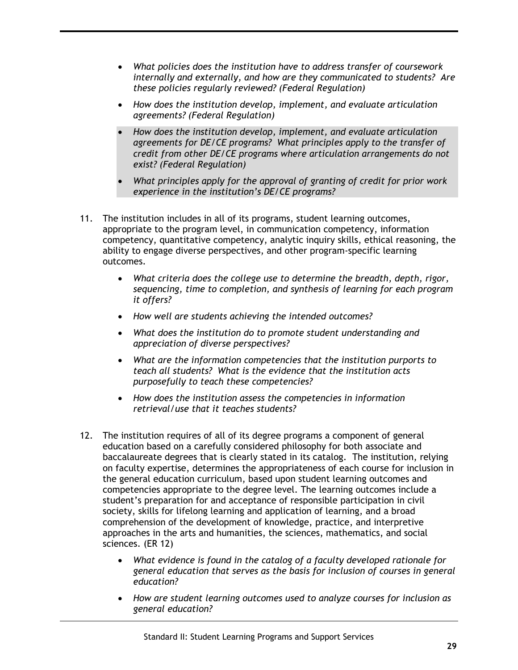- *What policies does the institution have to address transfer of coursework internally and externally, and how are they communicated to students? Are these policies regularly reviewed? (Federal Regulation)*
- *How does the institution develop, implement, and evaluate articulation agreements? (Federal Regulation)*
- *How does the institution develop, implement, and evaluate articulation agreements for DE/CE programs? What principles apply to the transfer of credit from other DE/CE programs where articulation arrangements do not exist? (Federal Regulation)*
- *What principles apply for the approval of granting of credit for prior work experience in the institution's DE/CE programs?*
- 11. The institution includes in all of its programs, student learning outcomes, appropriate to the program level, in communication competency, information competency, quantitative competency, analytic inquiry skills, ethical reasoning, the ability to engage diverse perspectives, and other program-specific learning outcomes.
	- *What criteria does the college use to determine the breadth, depth, rigor, sequencing, time to completion, and synthesis of learning for each program it offers?*
	- *How well are students achieving the intended outcomes?*
	- *What does the institution do to promote student understanding and appreciation of diverse perspectives?*
	- *What are the information competencies that the institution purports to teach all students? What is the evidence that the institution acts purposefully to teach these competencies?*
	- *How does the institution assess the competencies in information retrieval/use that it teaches students?*
- 12. The institution requires of all of its degree programs a component of general education based on a carefully considered philosophy for both associate and baccalaureate degrees that is clearly stated in its catalog. The institution, relying on faculty expertise, determines the appropriateness of each course for inclusion in the general education curriculum, based upon student learning outcomes and competencies appropriate to the degree level. The learning outcomes include a student's preparation for and acceptance of responsible participation in civil society, skills for lifelong learning and application of learning, and a broad comprehension of the development of knowledge, practice, and interpretive approaches in the arts and humanities, the sciences, mathematics, and social sciences. (ER 12)
	- *What evidence is found in the catalog of a faculty developed rationale for general education that serves as the basis for inclusion of courses in general education?*
	- *How are student learning outcomes used to analyze courses for inclusion as general education?*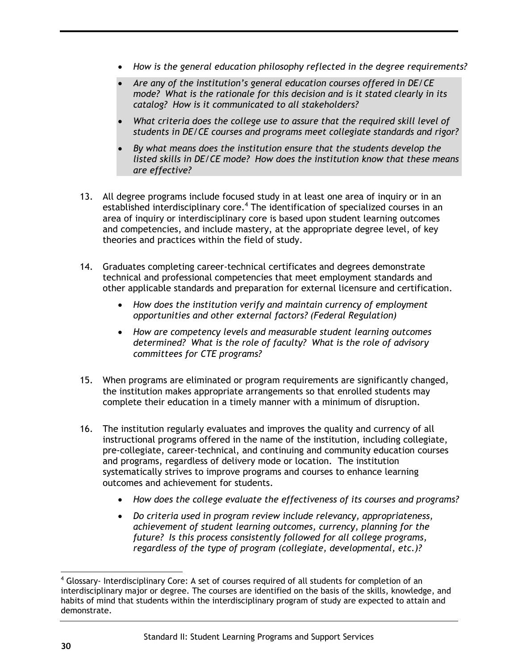- *How is the general education philosophy reflected in the degree requirements?*
- *Are any of the institution's general education courses offered in DE/CE mode? What is the rationale for this decision and is it stated clearly in its catalog? How is it communicated to all stakeholders?*
- What criteria does the college use to assure that the required skill level of *students in DE/CE courses and programs meet collegiate standards and rigor?*
- *By what means does the institution ensure that the students develop the listed skills in DE/CE mode? How does the institution know that these means are effective?*
- 13. All degree programs include focused study in at least one area of inquiry or in an established interdisciplinary core.<sup>4</sup> The identification of specialized courses in an area of inquiry or interdisciplinary core is based upon student learning outcomes and competencies, and include mastery, at the appropriate degree level, of key theories and practices within the field of study.
- 14. Graduates completing career-technical certificates and degrees demonstrate technical and professional competencies that meet employment standards and other applicable standards and preparation for external licensure and certification.
	- *How does the institution verify and maintain currency of employment opportunities and other external factors? (Federal Regulation)*
	- *How are competency levels and measurable student learning outcomes determined? What is the role of faculty? What is the role of advisory committees for CTE programs?*
- 15. When programs are eliminated or program requirements are significantly changed, the institution makes appropriate arrangements so that enrolled students may complete their education in a timely manner with a minimum of disruption.
- 16. The institution regularly evaluates and improves the quality and currency of all instructional programs offered in the name of the institution, including collegiate, pre-collegiate, career-technical, and continuing and community education courses and programs, regardless of delivery mode or location. The institution systematically strives to improve programs and courses to enhance learning outcomes and achievement for students.
	- *How does the college evaluate the effectiveness of its courses and programs?*
	- *Do criteria used in program review include relevancy, appropriateness, achievement of student learning outcomes, currency, planning for the future? Is this process consistently followed for all college programs, regardless of the type of program (collegiate, developmental, etc.)?*

 $4$  Glossary- Interdisciplinary Core: A set of courses required of all students for completion of an interdisciplinary major or degree. The courses are identified on the basis of the skills, knowledge, and habits of mind that students within the interdisciplinary program of study are expected to attain and demonstrate.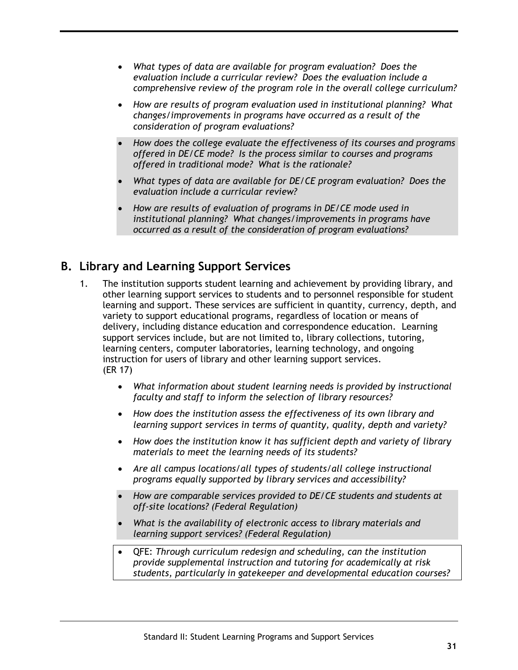- *What types of data are available for program evaluation? Does the evaluation include a curricular review? Does the evaluation include a comprehensive review of the program role in the overall college curriculum?*
- *How are results of program evaluation used in institutional planning? What changes/improvements in programs have occurred as a result of the consideration of program evaluations?*
- *How does the college evaluate the effectiveness of its courses and programs offered in DE/CE mode? Is the process similar to courses and programs offered in traditional mode? What is the rationale?*
- *What types of data are available for DE/CE program evaluation? Does the evaluation include a curricular review?*
- *How are results of evaluation of programs in DE/CE mode used in institutional planning? What changes/improvements in programs have occurred as a result of the consideration of program evaluations?*

# <span id="page-34-0"></span>**B. Library and Learning Support Services**

- 1. The institution supports student learning and achievement by providing library, and other learning support services to students and to personnel responsible for student learning and support. These services are sufficient in quantity, currency, depth, and variety to support educational programs, regardless of location or means of delivery, including distance education and correspondence education. Learning support services include, but are not limited to, library collections, tutoring, learning centers, computer laboratories, learning technology, and ongoing instruction for users of library and other learning support services. (ER 17)
	- *What information about student learning needs is provided by instructional faculty and staff to inform the selection of library resources?*
	- *How does the institution assess the effectiveness of its own library and learning support services in terms of quantity, quality, depth and variety?*
	- *How does the institution know it has sufficient depth and variety of library materials to meet the learning needs of its students?*
	- *Are all campus locations/all types of students/all college instructional programs equally supported by library services and accessibility?*
	- *How are comparable services provided to DE/CE students and students at off-site locations? (Federal Regulation)*
	- *What is the availability of electronic access to library materials and learning support services? (Federal Regulation)*
	- QFE: *Through curriculum redesign and scheduling, can the institution provide supplemental instruction and tutoring for academically at risk students, particularly in gatekeeper and developmental education courses?*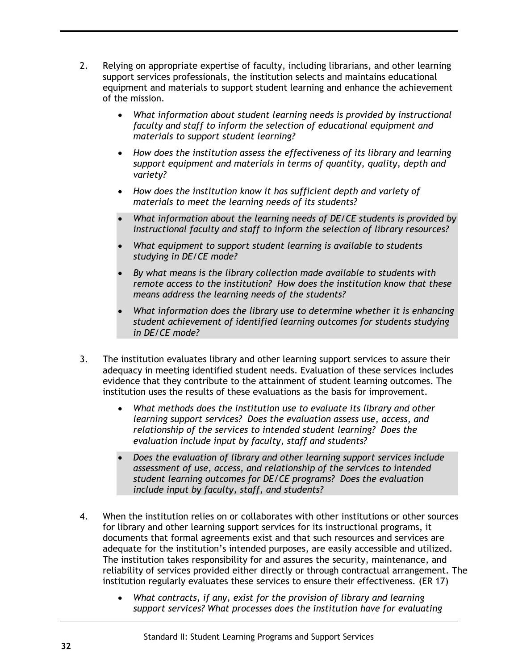- 2. Relying on appropriate expertise of faculty, including librarians, and other learning support services professionals, the institution selects and maintains educational equipment and materials to support student learning and enhance the achievement of the mission.
	- *What information about student learning needs is provided by instructional faculty and staff to inform the selection of educational equipment and materials to support student learning?*
	- *How does the institution assess the effectiveness of its library and learning support equipment and materials in terms of quantity, quality, depth and variety?*
	- *How does the institution know it has sufficient depth and variety of materials to meet the learning needs of its students?*
	- *What information about the learning needs of DE/CE students is provided by instructional faculty and staff to inform the selection of library resources?*
	- *What equipment to support student learning is available to students studying in DE/CE mode?*
	- *By what means is the library collection made available to students with remote access to the institution? How does the institution know that these means address the learning needs of the students?*
	- *What information does the library use to determine whether it is enhancing student achievement of identified learning outcomes for students studying in DE/CE mode?*
- 3. The institution evaluates library and other learning support services to assure their adequacy in meeting identified student needs. Evaluation of these services includes evidence that they contribute to the attainment of student learning outcomes. The institution uses the results of these evaluations as the basis for improvement.
	- *What methods does the institution use to evaluate its library and other learning support services? Does the evaluation assess use, access, and relationship of the services to intended student learning? Does the evaluation include input by faculty, staff and students?*
	- *Does the evaluation of library and other learning support services include assessment of use, access, and relationship of the services to intended student learning outcomes for DE/CE programs? Does the evaluation include input by faculty, staff, and students?*
- 4. When the institution relies on or collaborates with other institutions or other sources for library and other learning support services for its instructional programs, it documents that formal agreements exist and that such resources and services are adequate for the institution's intended purposes, are easily accessible and utilized. The institution takes responsibility for and assures the security, maintenance, and reliability of services provided either directly or through contractual arrangement. The institution regularly evaluates these services to ensure their effectiveness. (ER 17)
	- *What contracts, if any, exist for the provision of library and learning support services? What processes does the institution have for evaluating*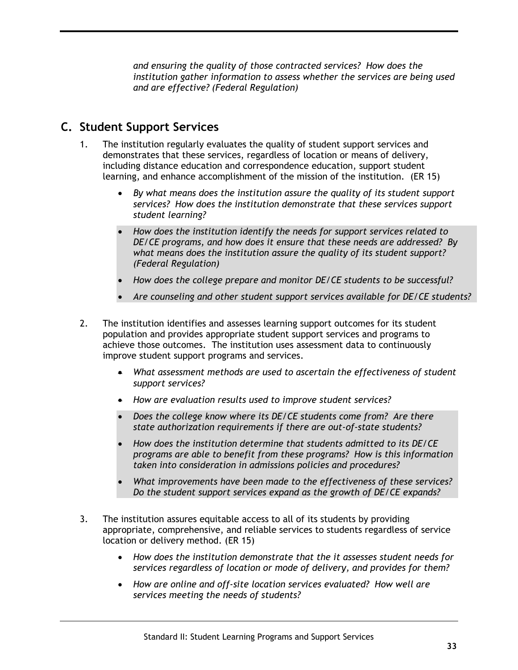*and ensuring the quality of those contracted services? How does the institution gather information to assess whether the services are being used and are effective? (Federal Regulation)*

# **C. Student Support Services**

- 1. The institution regularly evaluates the quality of student support services and demonstrates that these services, regardless of location or means of delivery, including distance education and correspondence education, support student learning, and enhance accomplishment of the mission of the institution. (ER 15)
	- *By what means does the institution assure the quality of its student support services? How does the institution demonstrate that these services support student learning?*
	- *How does the institution identify the needs for support services related to DE/CE programs, and how does it ensure that these needs are addressed? By what means does the institution assure the quality of its student support? (Federal Regulation)*
	- *How does the college prepare and monitor DE/CE students to be successful?*
	- *Are counseling and other student support services available for DE/CE students?*
- 2. The institution identifies and assesses learning support outcomes for its student population and provides appropriate student support services and programs to achieve those outcomes. The institution uses assessment data to continuously improve student support programs and services.
	- *What assessment methods are used to ascertain the effectiveness of student support services?*
	- *How are evaluation results used to improve student services?*
	- *Does the college know where its DE/CE students come from? Are there state authorization requirements if there are out-of-state students?*
	- *How does the institution determine that students admitted to its DE/CE programs are able to benefit from these programs? How is this information taken into consideration in admissions policies and procedures?*
	- *What improvements have been made to the effectiveness of these services? Do the student support services expand as the growth of DE/CE expands?*
- 3. The institution assures equitable access to all of its students by providing appropriate, comprehensive, and reliable services to students regardless of service location or delivery method. (ER 15)
	- *How does the institution demonstrate that the it assesses student needs for services regardless of location or mode of delivery, and provides for them?*
	- *How are online and off-site location services evaluated? How well are services meeting the needs of students?*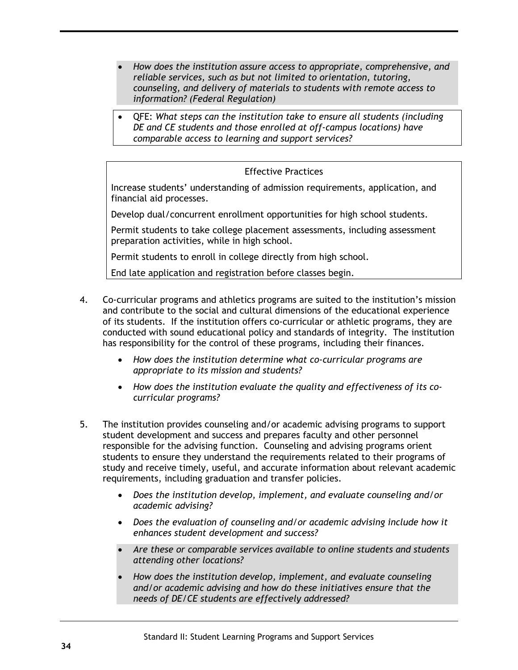- *How does the institution assure access to appropriate, comprehensive, and reliable services, such as but not limited to orientation, tutoring, counseling, and delivery of materials to students with remote access to information? (Federal Regulation)*
- QFE: *What steps can the institution take to ensure all students (including DE and CE students and those enrolled at off-campus locations) have comparable access to learning and support services?*

Increase students' understanding of admission requirements, application, and financial aid processes.

Develop dual/concurrent enrollment opportunities for high school students.

Permit students to take college placement assessments, including assessment preparation activities, while in high school.

Permit students to enroll in college directly from high school.

End late application and registration before classes begin.

- 4. Co-curricular programs and athletics programs are suited to the institution's mission and contribute to the social and cultural dimensions of the educational experience of its students. If the institution offers co-curricular or athletic programs, they are conducted with sound educational policy and standards of integrity. The institution has responsibility for the control of these programs, including their finances.
	- *How does the institution determine what co-curricular programs are appropriate to its mission and students?*
	- *How does the institution evaluate the quality and effectiveness of its cocurricular programs?*
- 5. The institution provides counseling and/or academic advising programs to support student development and success and prepares faculty and other personnel responsible for the advising function. Counseling and advising programs orient students to ensure they understand the requirements related to their programs of study and receive timely, useful, and accurate information about relevant academic requirements, including graduation and transfer policies.
	- *Does the institution develop, implement, and evaluate counseling and/or academic advising?*
	- *Does the evaluation of counseling and/or academic advising include how it enhances student development and success?*
	- *Are these or comparable services available to online students and students attending other locations?*
	- *How does the institution develop, implement, and evaluate counseling and/or academic advising and how do these initiatives ensure that the needs of DE/CE students are effectively addressed?*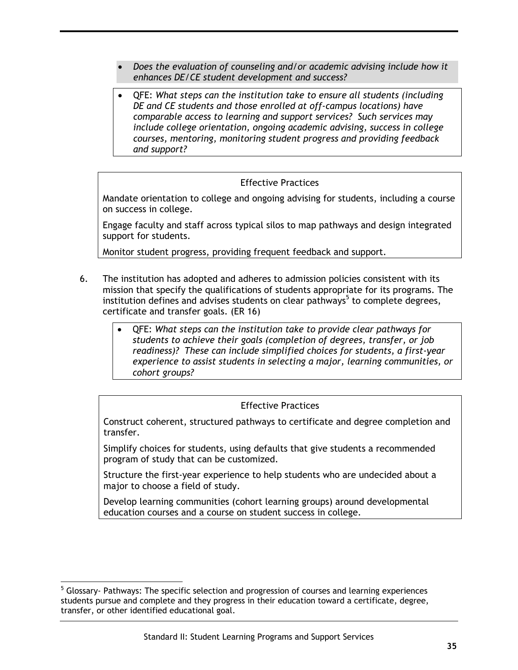- *Does the evaluation of counseling and/or academic advising include how it enhances DE/CE student development and success?*
- QFE: *What steps can the institution take to ensure all students (including DE and CE students and those enrolled at off-campus locations) have comparable access to learning and support services? Such services may include college orientation, ongoing academic advising, success in college courses, mentoring, monitoring student progress and providing feedback and support?*

Mandate orientation to college and ongoing advising for students, including a course on success in college.

Engage faculty and staff across typical silos to map pathways and design integrated support for students.

Monitor student progress, providing frequent feedback and support.

- 6. The institution has adopted and adheres to admission policies consistent with its mission that specify the qualifications of students appropriate for its programs. The institution defines and advises students on clear pathways<sup>5</sup> to complete degrees, certificate and transfer goals. (ER 16)
	- QFE: *What steps can the institution take to provide clear pathways for students to achieve their goals (completion of degrees, transfer, or job readiness)? These can include simplified choices for students, a first-year experience to assist students in selecting a major, learning communities, or cohort groups?*

#### Effective Practices

Construct coherent, structured pathways to certificate and degree completion and transfer.

Simplify choices for students, using defaults that give students a recommended program of study that can be customized.

Structure the first-year experience to help students who are undecided about a major to choose a field of study.

Develop learning communities (cohort learning groups) around developmental education courses and a course on student success in college.

<sup>&</sup>lt;sup>5</sup> Glossary- Pathways: The specific selection and progression of courses and learning experiences students pursue and complete and they progress in their education toward a certificate, degree, transfer, or other identified educational goal.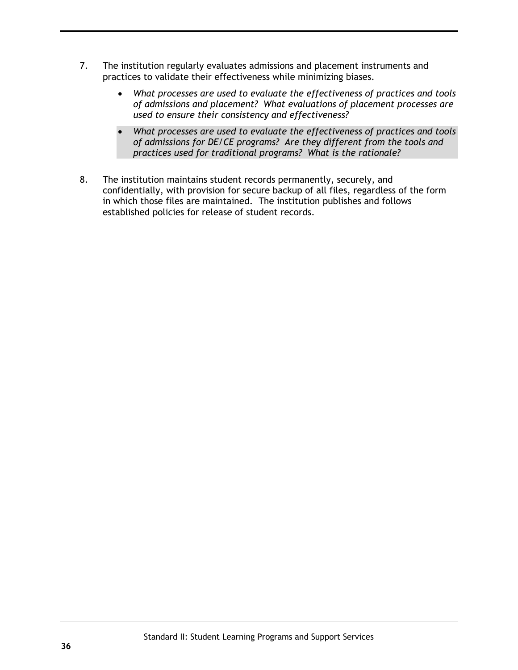- 7. The institution regularly evaluates admissions and placement instruments and practices to validate their effectiveness while minimizing biases.
	- *What processes are used to evaluate the effectiveness of practices and tools of admissions and placement? What evaluations of placement processes are used to ensure their consistency and effectiveness?*
	- *What processes are used to evaluate the effectiveness of practices and tools of admissions for DE/CE programs? Are they different from the tools and practices used for traditional programs? What is the rationale?*
- 8. The institution maintains student records permanently, securely, and confidentially, with provision for secure backup of all files, regardless of the form in which those files are maintained. The institution publishes and follows established policies for release of student records.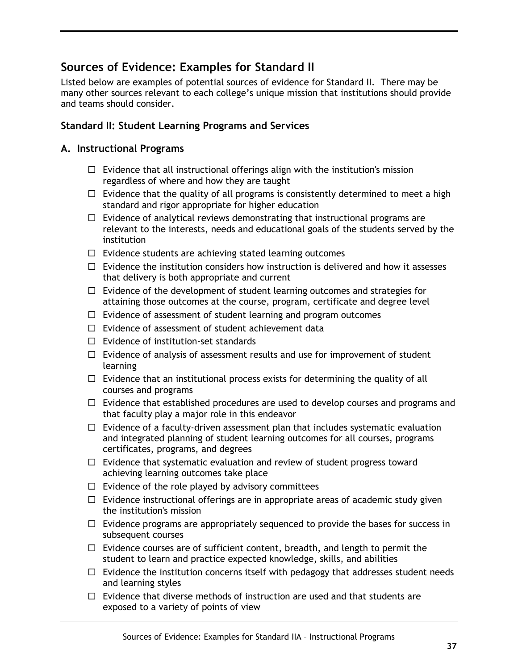### **Sources of Evidence: Examples for Standard II**

Listed below are examples of potential sources of evidence for Standard II. There may be many other sources relevant to each college's unique mission that institutions should provide and teams should consider.

### **Standard II: Student Learning Programs and Services**

### **A. Instructional Programs**

- $\Box$  Evidence that all instructional offerings align with the institution's mission regardless of where and how they are taught
- $\Box$  Evidence that the quality of all programs is consistently determined to meet a high standard and rigor appropriate for higher education
- $\Box$  Evidence of analytical reviews demonstrating that instructional programs are relevant to the interests, needs and educational goals of the students served by the institution
- $\Box$  Evidence students are achieving stated learning outcomes
- $\Box$  Evidence the institution considers how instruction is delivered and how it assesses that delivery is both appropriate and current
- $\Box$  Evidence of the development of student learning outcomes and strategies for attaining those outcomes at the course, program, certificate and degree level
- $\Box$  Evidence of assessment of student learning and program outcomes
- $\Box$  Evidence of assessment of student achievement data
- $\Box$  Evidence of institution-set standards
- $\Box$  Evidence of analysis of assessment results and use for improvement of student learning
- $\Box$  Evidence that an institutional process exists for determining the quality of all courses and programs
- $\Box$  Evidence that established procedures are used to develop courses and programs and that faculty play a major role in this endeavor
- $\Box$  Evidence of a faculty-driven assessment plan that includes systematic evaluation and integrated planning of student learning outcomes for all courses, programs certificates, programs, and degrees
- $\Box$  Evidence that systematic evaluation and review of student progress toward achieving learning outcomes take place
- $\Box$  Evidence of the role played by advisory committees
- $\Box$  Evidence instructional offerings are in appropriate areas of academic study given the institution's mission
- $\Box$  Evidence programs are appropriately sequenced to provide the bases for success in subsequent courses
- $\Box$  Evidence courses are of sufficient content, breadth, and length to permit the student to learn and practice expected knowledge, skills, and abilities
- $\Box$  Evidence the institution concerns itself with pedagogy that addresses student needs and learning styles
- $\Box$  Evidence that diverse methods of instruction are used and that students are exposed to a variety of points of view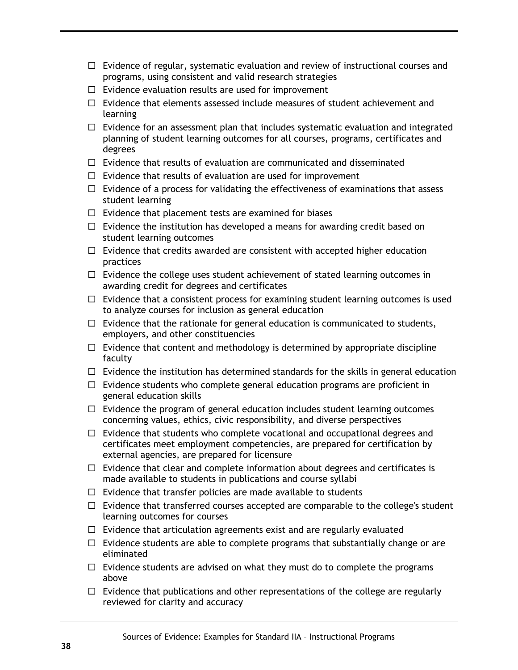- $\Box$  Evidence of regular, systematic evaluation and review of instructional courses and programs, using consistent and valid research strategies
- $\Box$  Evidence evaluation results are used for improvement
- $\Box$  Evidence that elements assessed include measures of student achievement and learning
- $\Box$  Evidence for an assessment plan that includes systematic evaluation and integrated planning of student learning outcomes for all courses, programs, certificates and degrees
- $\Box$  Evidence that results of evaluation are communicated and disseminated
- $\Box$  Evidence that results of evaluation are used for improvement
- $\Box$  Evidence of a process for validating the effectiveness of examinations that assess student learning
- $\Box$  Evidence that placement tests are examined for biases
- $\Box$  Evidence the institution has developed a means for awarding credit based on student learning outcomes
- $\Box$  Evidence that credits awarded are consistent with accepted higher education practices
- $\Box$  Evidence the college uses student achievement of stated learning outcomes in awarding credit for degrees and certificates
- $\Box$  Evidence that a consistent process for examining student learning outcomes is used to analyze courses for inclusion as general education
- $\Box$  Evidence that the rationale for general education is communicated to students, employers, and other constituencies
- $\Box$  Evidence that content and methodology is determined by appropriate discipline faculty
- $\Box$  Evidence the institution has determined standards for the skills in general education
- $\Box$  Evidence students who complete general education programs are proficient in general education skills
- $\Box$  Evidence the program of general education includes student learning outcomes concerning values, ethics, civic responsibility, and diverse perspectives
- $\Box$  Evidence that students who complete vocational and occupational degrees and certificates meet employment competencies, are prepared for certification by external agencies, are prepared for licensure
- $\Box$  Evidence that clear and complete information about degrees and certificates is made available to students in publications and course syllabi
- $\Box$  Evidence that transfer policies are made available to students
- $\Box$  Evidence that transferred courses accepted are comparable to the college's student learning outcomes for courses
- $\Box$  Evidence that articulation agreements exist and are regularly evaluated
- $\Box$  Evidence students are able to complete programs that substantially change or are eliminated
- $\Box$  Evidence students are advised on what they must do to complete the programs above
- $\Box$  Evidence that publications and other representations of the college are regularly reviewed for clarity and accuracy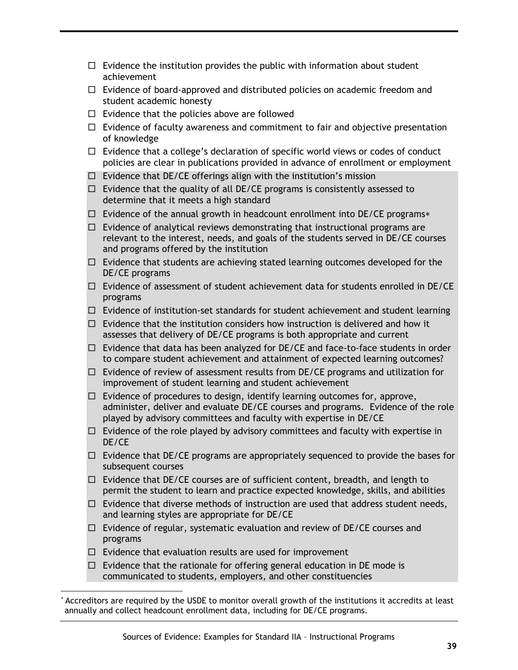- $\Box$  Evidence the institution provides the public with information about student achievement
- $\Box$  Evidence of board-approved and distributed policies on academic freedom and student academic honesty
- $\Box$  Evidence that the policies above are followed
- $\Box$  Evidence of faculty awareness and commitment to fair and objective presentation of knowledge
- $\Box$  Evidence that a college's declaration of specific world views or codes of conduct policies are clear in publications provided in advance of enrollment or employment
- $\Box$  Evidence that DE/CE offerings align with the institution's mission
- $\Box$  Evidence that the quality of all DE/CE programs is consistently assessed to determine that it meets a high standard
- $\Box$  Evidence of the annual growth in headcount enrollment into DE/CE programs\*
- $\Box$  Evidence of analytical reviews demonstrating that instructional programs are relevant to the interest, needs, and goals of the students served in DE/CE courses and programs offered by the institution
- $\Box$  Evidence that students are achieving stated learning outcomes developed for the DE/CE programs
- $\Box$  Evidence of assessment of student achievement data for students enrolled in DE/CE programs
- $\Box$  Evidence of institution-set standards for student achievement and student learning
- $\Box$  Evidence that the institution considers how instruction is delivered and how it assesses that delivery of DE/CE programs is both appropriate and current
- $\Box$  Evidence that data has been analyzed for DE/CE and face-to-face students in order to compare student achievement and attainment of expected learning outcomes?
- $\Box$  Evidence of review of assessment results from DE/CE programs and utilization for improvement of student learning and student achievement
- $\Box$  Evidence of procedures to design, identify learning outcomes for, approve, administer, deliver and evaluate DE/CE courses and programs. Evidence of the role played by advisory committees and faculty with expertise in DE/CE
- $\Box$  Evidence of the role played by advisory committees and faculty with expertise in DE/CE
- $\Box$  Evidence that DE/CE programs are appropriately sequenced to provide the bases for subsequent courses
- $\Box$  Evidence that DE/CE courses are of sufficient content, breadth, and length to permit the student to learn and practice expected knowledge, skills, and abilities
- $\Box$  Evidence that diverse methods of instruction are used that address student needs, and learning styles are appropriate for DE/CE
- $\Box$  Evidence of regular, systematic evaluation and review of DE/CE courses and programs
- $\Box$  Evidence that evaluation results are used for improvement

 $\overline{a}$ 

 $\Box$  Evidence that the rationale for offering general education in DE mode is communicated to students, employers, and other constituencies

Accreditors are required by the USDE to monitor overall growth of the institutions it accredits at least annually and collect headcount enrollment data, including for DE/CE programs.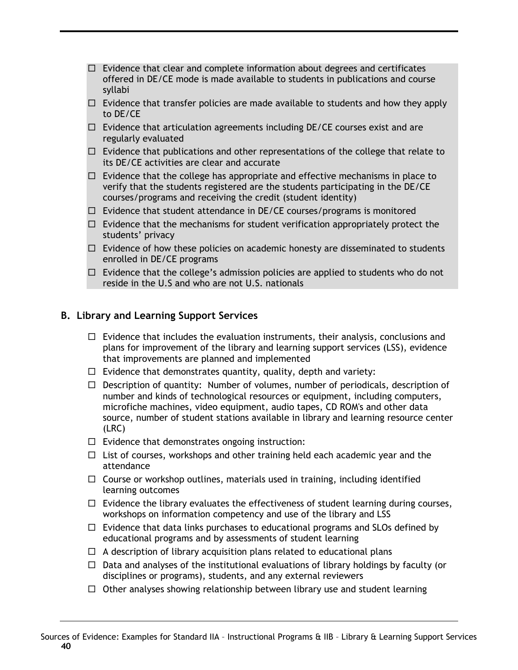- $\Box$  Evidence that clear and complete information about degrees and certificates offered in DE/CE mode is made available to students in publications and course syllabi
- $\Box$  Evidence that transfer policies are made available to students and how they apply to DE/CE
- $\Box$  Evidence that articulation agreements including DE/CE courses exist and are regularly evaluated
- $\Box$  Evidence that publications and other representations of the college that relate to its DE/CE activities are clear and accurate
- $\Box$  Evidence that the college has appropriate and effective mechanisms in place to verify that the students registered are the students participating in the DE/CE courses/programs and receiving the credit (student identity)
- $\Box$  Evidence that student attendance in DE/CE courses/programs is monitored
- $\Box$  Evidence that the mechanisms for student verification appropriately protect the students' privacy
- $\Box$  Evidence of how these policies on academic honesty are disseminated to students enrolled in DE/CE programs
- $\Box$  Evidence that the college's admission policies are applied to students who do not reside in the U.S and who are not U.S. nationals

#### **B. Library and Learning Support Services**

- $\Box$  Evidence that includes the evaluation instruments, their analysis, conclusions and plans for improvement of the library and learning support services (LSS), evidence that improvements are planned and implemented
- $\Box$  Evidence that demonstrates quantity, quality, depth and variety:
- $\Box$  Description of quantity: Number of volumes, number of periodicals, description of number and kinds of technological resources or equipment, including computers, microfiche machines, video equipment, audio tapes, CD ROM's and other data source, number of student stations available in library and learning resource center (LRC)
- $\Box$  Evidence that demonstrates ongoing instruction:
- $\Box$  List of courses, workshops and other training held each academic year and the attendance
- $\Box$  Course or workshop outlines, materials used in training, including identified learning outcomes
- $\Box$  Evidence the library evaluates the effectiveness of student learning during courses, workshops on information competency and use of the library and LSS
- $\Box$  Evidence that data links purchases to educational programs and SLOs defined by educational programs and by assessments of student learning
- $\Box$  A description of library acquisition plans related to educational plans
- $\Box$  Data and analyses of the institutional evaluations of library holdings by faculty (or disciplines or programs), students, and any external reviewers
- $\Box$  Other analyses showing relationship between library use and student learning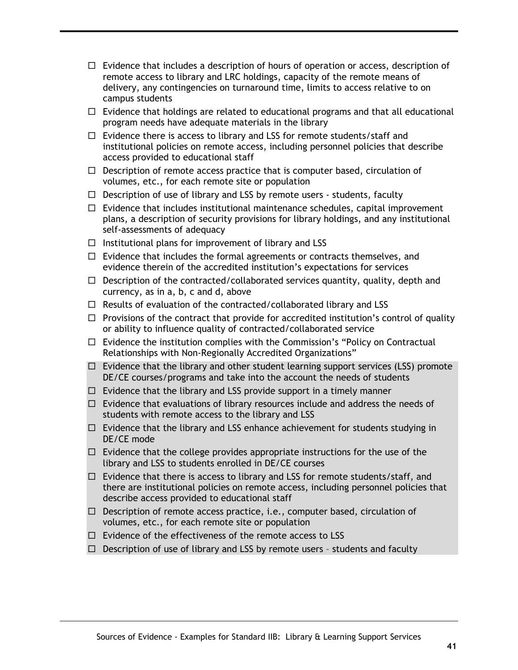- $\Box$  Evidence that includes a description of hours of operation or access, description of remote access to library and LRC holdings, capacity of the remote means of delivery, any contingencies on turnaround time, limits to access relative to on campus students
- $\Box$  Evidence that holdings are related to educational programs and that all educational program needs have adequate materials in the library
- $\Box$  Evidence there is access to library and LSS for remote students/staff and institutional policies on remote access, including personnel policies that describe access provided to educational staff
- $\Box$  Description of remote access practice that is computer based, circulation of volumes, etc., for each remote site or population
- $\Box$  Description of use of library and LSS by remote users students, faculty
- $\Box$  Evidence that includes institutional maintenance schedules, capital improvement plans, a description of security provisions for library holdings, and any institutional self-assessments of adequacy
- $\Box$  Institutional plans for improvement of library and LSS
- $\Box$  Evidence that includes the formal agreements or contracts themselves, and evidence therein of the accredited institution's expectations for services
- $\Box$  Description of the contracted/collaborated services quantity, quality, depth and currency, as in a, b, c and d, above
- $\Box$  Results of evaluation of the contracted/collaborated library and LSS
- $\Box$  Provisions of the contract that provide for accredited institution's control of quality or ability to influence quality of contracted/collaborated service
- $\Box$  Evidence the institution complies with the Commission's "Policy on Contractual Relationships with Non-Regionally Accredited Organizations"
- $\Box$  Evidence that the library and other student learning support services (LSS) promote DE/CE courses/programs and take into the account the needs of students
- $\Box$  Evidence that the library and LSS provide support in a timely manner
- $\Box$  Evidence that evaluations of library resources include and address the needs of students with remote access to the library and LSS
- $\Box$  Evidence that the library and LSS enhance achievement for students studying in DE/CE mode
- $\Box$  Evidence that the college provides appropriate instructions for the use of the library and LSS to students enrolled in DE/CE courses
- $\Box$  Evidence that there is access to library and LSS for remote students/staff, and there are institutional policies on remote access, including personnel policies that describe access provided to educational staff
- $\Box$  Description of remote access practice, i.e., computer based, circulation of volumes, etc., for each remote site or population
- $\Box$  Evidence of the effectiveness of the remote access to LSS
- $\Box$  Description of use of library and LSS by remote users students and faculty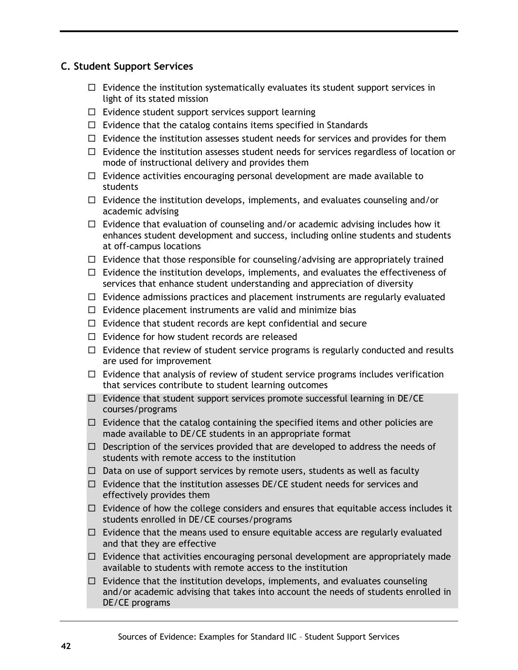### **C. Student Support Services**

- $\Box$  Evidence the institution systematically evaluates its student support services in light of its stated mission
- $\Box$  Evidence student support services support learning
- $\Box$  Evidence that the catalog contains items specified in Standards
- $\Box$  Evidence the institution assesses student needs for services and provides for them
- $\Box$  Evidence the institution assesses student needs for services regardless of location or mode of instructional delivery and provides them
- $\Box$  Evidence activities encouraging personal development are made available to students
- $\Box$  Evidence the institution develops, implements, and evaluates counseling and/or academic advising
- $\Box$  Evidence that evaluation of counseling and/or academic advising includes how it enhances student development and success, including online students and students at off-campus locations
- $\Box$  Evidence that those responsible for counseling/advising are appropriately trained
- $\Box$  Evidence the institution develops, implements, and evaluates the effectiveness of services that enhance student understanding and appreciation of diversity
- $\Box$  Evidence admissions practices and placement instruments are regularly evaluated
- $\Box$  Evidence placement instruments are valid and minimize bias
- $\Box$  Evidence that student records are kept confidential and secure
- $\Box$  Evidence for how student records are released
- $\Box$  Evidence that review of student service programs is regularly conducted and results are used for improvement
- $\Box$  Evidence that analysis of review of student service programs includes verification that services contribute to student learning outcomes
- $\Box$  Evidence that student support services promote successful learning in DE/CE courses/programs
- $\Box$  Evidence that the catalog containing the specified items and other policies are made available to DE/CE students in an appropriate format
- $\Box$  Description of the services provided that are developed to address the needs of students with remote access to the institution
- $\Box$  Data on use of support services by remote users, students as well as faculty
- $\Box$  Evidence that the institution assesses DE/CE student needs for services and effectively provides them
- $\Box$  Evidence of how the college considers and ensures that equitable access includes it students enrolled in DE/CE courses/programs
- $\Box$  Evidence that the means used to ensure equitable access are regularly evaluated and that they are effective
- $\Box$  Evidence that activities encouraging personal development are appropriately made available to students with remote access to the institution
- $\Box$  Evidence that the institution develops, implements, and evaluates counseling and/or academic advising that takes into account the needs of students enrolled in DE/CE programs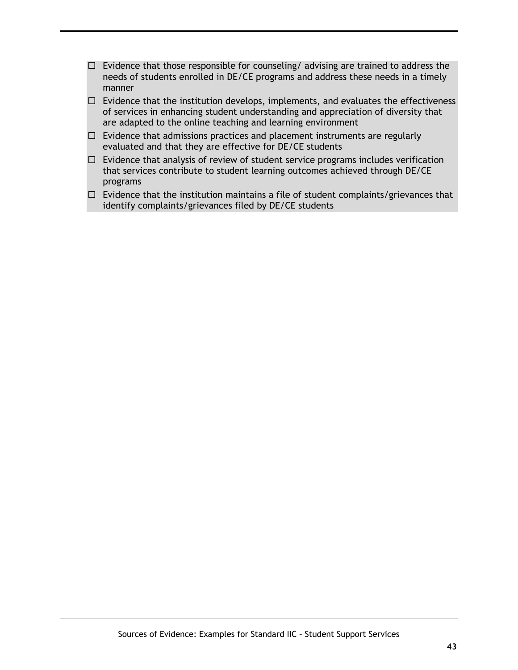- $\Box$  Evidence that those responsible for counseling/ advising are trained to address the needs of students enrolled in DE/CE programs and address these needs in a timely manner
- $\Box$  Evidence that the institution develops, implements, and evaluates the effectiveness of services in enhancing student understanding and appreciation of diversity that are adapted to the online teaching and learning environment
- $\Box$  Evidence that admissions practices and placement instruments are regularly evaluated and that they are effective for DE/CE students
- $\Box$  Evidence that analysis of review of student service programs includes verification that services contribute to student learning outcomes achieved through DE/CE programs
- $\Box$  Evidence that the institution maintains a file of student complaints/grievances that identify complaints/grievances filed by DE/CE students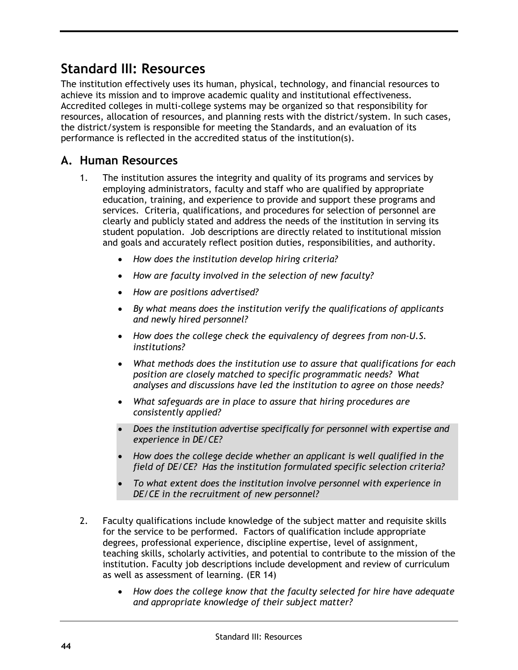# **Standard III: Resources**

The institution effectively uses its human, physical, technology, and financial resources to achieve its mission and to improve academic quality and institutional effectiveness. Accredited colleges in multi-college systems may be organized so that responsibility for resources, allocation of resources, and planning rests with the district/system. In such cases, the district/system is responsible for meeting the Standards, and an evaluation of its performance is reflected in the accredited status of the institution(s).

## **A. Human Resources**

- 1. The institution assures the integrity and quality of its programs and services by employing administrators, faculty and staff who are qualified by appropriate education, training, and experience to provide and support these programs and services. Criteria, qualifications, and procedures for selection of personnel are clearly and publicly stated and address the needs of the institution in serving its student population. Job descriptions are directly related to institutional mission and goals and accurately reflect position duties, responsibilities, and authority.
	- *How does the institution develop hiring criteria?*
	- *How are faculty involved in the selection of new faculty?*
	- *How are positions advertised?*
	- *By what means does the institution verify the qualifications of applicants and newly hired personnel?*
	- *How does the college check the equivalency of degrees from non-U.S. institutions?*
	- *What methods does the institution use to assure that qualifications for each position are closely matched to specific programmatic needs? What analyses and discussions have led the institution to agree on those needs?*
	- *What safeguards are in place to assure that hiring procedures are consistently applied?*
	- *Does the institution advertise specifically for personnel with expertise and experience in DE/CE?*
	- *How does the college decide whether an applicant is well qualified in the field of DE/CE? Has the institution formulated specific selection criteria?*
	- *To what extent does the institution involve personnel with experience in DE/CE in the recruitment of new personnel?*
- 2. Faculty qualifications include knowledge of the subject matter and requisite skills for the service to be performed. Factors of qualification include appropriate degrees, professional experience, discipline expertise, level of assignment, teaching skills, scholarly activities, and potential to contribute to the mission of the institution. Faculty job descriptions include development and review of curriculum as well as assessment of learning. (ER 14)
	- *How does the college know that the faculty selected for hire have adequate and appropriate knowledge of their subject matter?*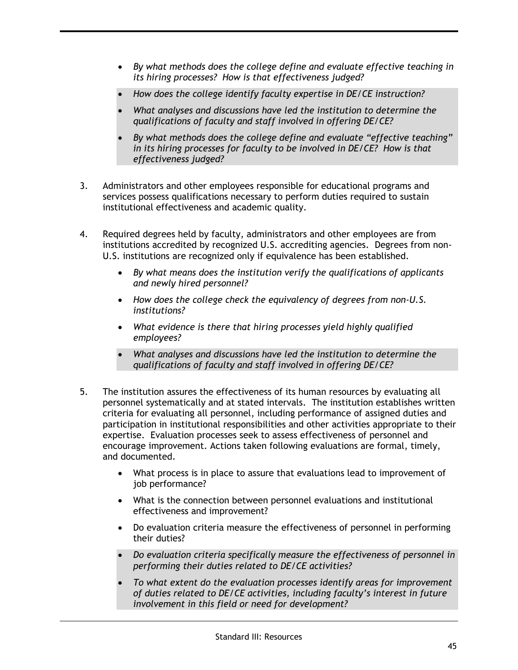- *By what methods does the college define and evaluate effective teaching in its hiring processes? How is that effectiveness judged?*
- *How does the college identify faculty expertise in DE/CE instruction?*
- *What analyses and discussions have led the institution to determine the qualifications of faculty and staff involved in offering DE/CE?*
- *By what methods does the college define and evaluate "effective teaching" in its hiring processes for faculty to be involved in DE/CE? How is that effectiveness judged?*
- 3. Administrators and other employees responsible for educational programs and services possess qualifications necessary to perform duties required to sustain institutional effectiveness and academic quality.
- 4. Required degrees held by faculty, administrators and other employees are from institutions accredited by recognized U.S. accrediting agencies. Degrees from non-U.S. institutions are recognized only if equivalence has been established.
	- *By what means does the institution verify the qualifications of applicants and newly hired personnel?*
	- *How does the college check the equivalency of degrees from non-U.S. institutions?*
	- *What evidence is there that hiring processes yield highly qualified employees?*
	- *What analyses and discussions have led the institution to determine the qualifications of faculty and staff involved in offering DE/CE?*
- 5. The institution assures the effectiveness of its human resources by evaluating all personnel systematically and at stated intervals. The institution establishes written criteria for evaluating all personnel, including performance of assigned duties and participation in institutional responsibilities and other activities appropriate to their expertise. Evaluation processes seek to assess effectiveness of personnel and encourage improvement. Actions taken following evaluations are formal, timely, and documented.
	- What process is in place to assure that evaluations lead to improvement of job performance?
	- What is the connection between personnel evaluations and institutional effectiveness and improvement?
	- Do evaluation criteria measure the effectiveness of personnel in performing their duties?
	- *Do evaluation criteria specifically measure the effectiveness of personnel in performing their duties related to DE/CE activities?*
	- *To what extent do the evaluation processes identify areas for improvement of duties related to DE/CE activities, including faculty's interest in future involvement in this field or need for development?*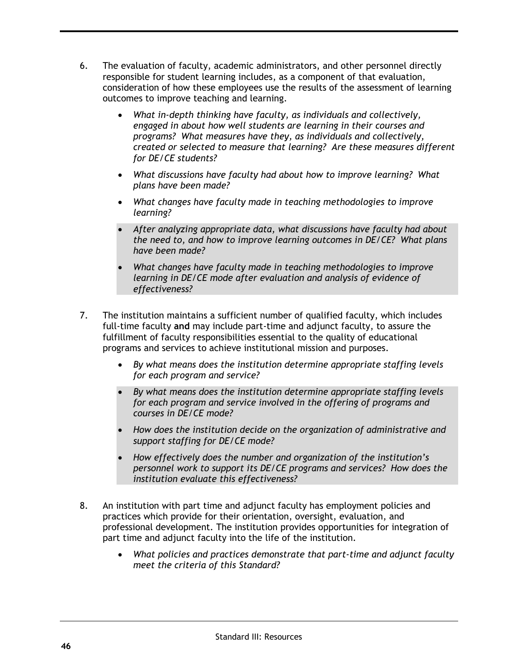- 6. The evaluation of faculty, academic administrators, and other personnel directly responsible for student learning includes, as a component of that evaluation, consideration of how these employees use the results of the assessment of learning outcomes to improve teaching and learning.
	- *What in-depth thinking have faculty, as individuals and collectively, engaged in about how well students are learning in their courses and programs? What measures have they, as individuals and collectively, created or selected to measure that learning? Are these measures different for DE/CE students?*
	- *What discussions have faculty had about how to improve learning? What plans have been made?*
	- *What changes have faculty made in teaching methodologies to improve learning?*
	- *After analyzing appropriate data, what discussions have faculty had about the need to, and how to improve learning outcomes in DE/CE? What plans have been made?*
	- *What changes have faculty made in teaching methodologies to improve learning in DE/CE mode after evaluation and analysis of evidence of effectiveness?*
- 7. The institution maintains a sufficient number of qualified faculty, which includes full-time faculty **and** may include part-time and adjunct faculty, to assure the fulfillment of faculty responsibilities essential to the quality of educational programs and services to achieve institutional mission and purposes.
	- *By what means does the institution determine appropriate staffing levels for each program and service?*
	- *By what means does the institution determine appropriate staffing levels for each program and service involved in the offering of programs and courses in DE/CE mode?*
	- *How does the institution decide on the organization of administrative and support staffing for DE/CE mode?*
	- *How effectively does the number and organization of the institution's personnel work to support its DE/CE programs and services? How does the institution evaluate this effectiveness?*
- 8. An institution with part time and adjunct faculty has employment policies and practices which provide for their orientation, oversight, evaluation, and professional development. The institution provides opportunities for integration of part time and adjunct faculty into the life of the institution.
	- *What policies and practices demonstrate that part-time and adjunct faculty meet the criteria of this Standard?*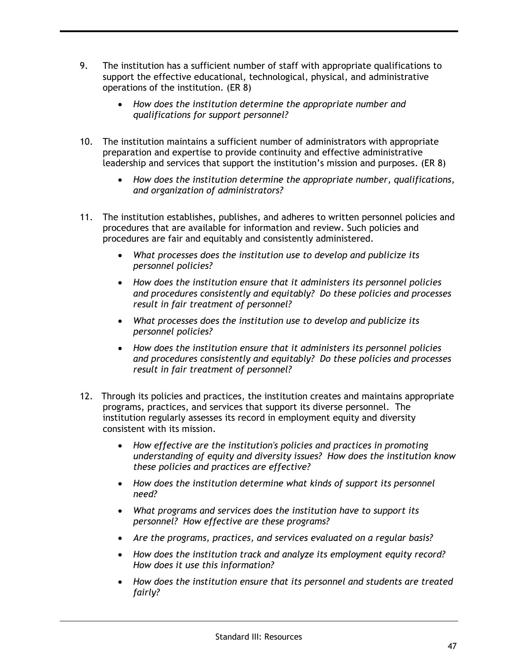- 9. The institution has a sufficient number of staff with appropriate qualifications to support the effective educational, technological, physical, and administrative operations of the institution. (ER 8)
	- *How does the institution determine the appropriate number and qualifications for support personnel?*
- 10. The institution maintains a sufficient number of administrators with appropriate preparation and expertise to provide continuity and effective administrative leadership and services that support the institution's mission and purposes. (ER 8)
	- *How does the institution determine the appropriate number, qualifications, and organization of administrators?*
- 11. The institution establishes, publishes, and adheres to written personnel policies and procedures that are available for information and review. Such policies and procedures are fair and equitably and consistently administered.
	- *What processes does the institution use to develop and publicize its personnel policies?*
	- *How does the institution ensure that it administers its personnel policies and procedures consistently and equitably? Do these policies and processes result in fair treatment of personnel?*
	- *What processes does the institution use to develop and publicize its personnel policies?*
	- *How does the institution ensure that it administers its personnel policies and procedures consistently and equitably? Do these policies and processes result in fair treatment of personnel?*
- 12. Through its policies and practices, the institution creates and maintains appropriate programs, practices, and services that support its diverse personnel. The institution regularly assesses its record in employment equity and diversity consistent with its mission.
	- *How effective are the institution's policies and practices in promoting understanding of equity and diversity issues? How does the institution know these policies and practices are effective?*
	- *How does the institution determine what kinds of support its personnel need?*
	- *What programs and services does the institution have to support its personnel? How effective are these programs?*
	- *Are the programs, practices, and services evaluated on a regular basis?*
	- *How does the institution track and analyze its employment equity record? How does it use this information?*
	- *How does the institution ensure that its personnel and students are treated fairly?*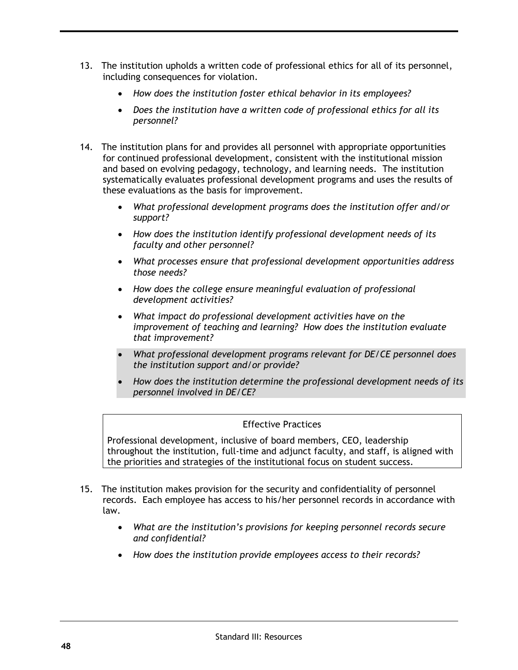- 13. The institution upholds a written code of professional ethics for all of its personnel, including consequences for violation.
	- *How does the institution foster ethical behavior in its employees?*
	- *Does the institution have a written code of professional ethics for all its personnel?*
- 14. The institution plans for and provides all personnel with appropriate opportunities for continued professional development, consistent with the institutional mission and based on evolving pedagogy, technology, and learning needs. The institution systematically evaluates professional development programs and uses the results of these evaluations as the basis for improvement.
	- *What professional development programs does the institution offer and/or support?*
	- *How does the institution identify professional development needs of its faculty and other personnel?*
	- *What processes ensure that professional development opportunities address those needs?*
	- *How does the college ensure meaningful evaluation of professional development activities?*
	- *What impact do professional development activities have on the improvement of teaching and learning? How does the institution evaluate that improvement?*
	- *What professional development programs relevant for DE/CE personnel does the institution support and/or provide?*
	- *How does the institution determine the professional development needs of its personnel involved in DE/CE?*

Professional development, inclusive of board members, CEO, leadership throughout the institution, full-time and adjunct faculty, and staff, is aligned with the priorities and strategies of the institutional focus on student success.

- 15. The institution makes provision for the security and confidentiality of personnel records. Each employee has access to his/her personnel records in accordance with law.
	- *What are the institution's provisions for keeping personnel records secure and confidential?*
	- *How does the institution provide employees access to their records?*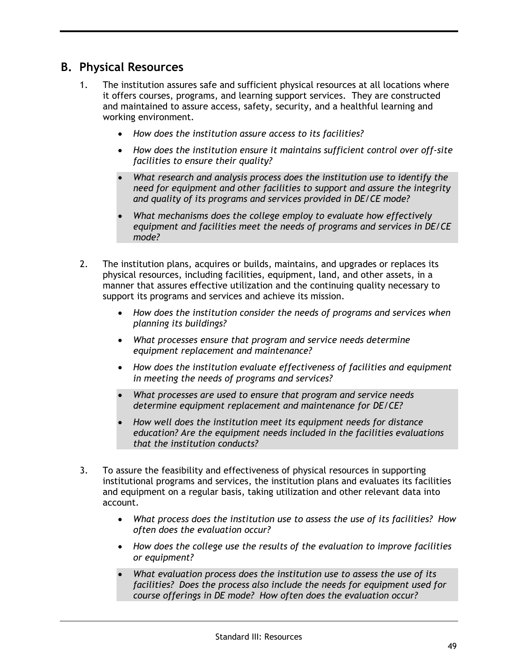### **B. Physical Resources**

- 1. The institution assures safe and sufficient physical resources at all locations where it offers courses, programs, and learning support services. They are constructed and maintained to assure access, safety, security, and a healthful learning and working environment.
	- *How does the institution assure access to its facilities?*
	- *How does the institution ensure it maintains sufficient control over off-site facilities to ensure their quality?*
	- *What research and analysis process does the institution use to identify the need for equipment and other facilities to support and assure the integrity and quality of its programs and services provided in DE/CE mode?*
	- *What mechanisms does the college employ to evaluate how effectively equipment and facilities meet the needs of programs and services in DE/CE mode?*
- 2. The institution plans, acquires or builds, maintains, and upgrades or replaces its physical resources, including facilities, equipment, land, and other assets, in a manner that assures effective utilization and the continuing quality necessary to support its programs and services and achieve its mission.
	- *How does the institution consider the needs of programs and services when planning its buildings?*
	- *What processes ensure that program and service needs determine equipment replacement and maintenance?*
	- *How does the institution evaluate effectiveness of facilities and equipment in meeting the needs of programs and services?*
	- *What processes are used to ensure that program and service needs determine equipment replacement and maintenance for DE/CE?*
	- *How well does the institution meet its equipment needs for distance education? Are the equipment needs included in the facilities evaluations that the institution conducts?*
- 3. To assure the feasibility and effectiveness of physical resources in supporting institutional programs and services, the institution plans and evaluates its facilities and equipment on a regular basis, taking utilization and other relevant data into account.
	- *What process does the institution use to assess the use of its facilities? How often does the evaluation occur?*
	- *How does the college use the results of the evaluation to improve facilities or equipment?*
	- *What evaluation process does the institution use to assess the use of its facilities? Does the process also include the needs for equipment used for course offerings in DE mode? How often does the evaluation occur?*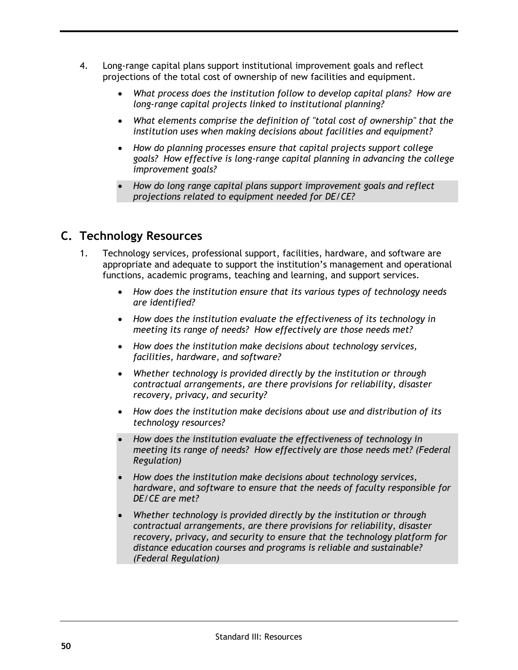- 4. Long-range capital plans support institutional improvement goals and reflect projections of the total cost of ownership of new facilities and equipment.
	- *What process does the institution follow to develop capital plans? How are long-range capital projects linked to institutional planning?*
	- *What elements comprise the definition of "total cost of ownership" that the institution uses when making decisions about facilities and equipment?*
	- *How do planning processes ensure that capital projects support college goals? How effective is long-range capital planning in advancing the college improvement goals?*
	- *How do long range capital plans support improvement goals and reflect projections related to equipment needed for DE/CE?*

## **C. Technology Resources**

- 1. Technology services, professional support, facilities, hardware, and software are appropriate and adequate to support the institution's management and operational functions, academic programs, teaching and learning, and support services.
	- *How does the institution ensure that its various types of technology needs are identified?*
	- *How does the institution evaluate the effectiveness of its technology in meeting its range of needs? How effectively are those needs met?*
	- *How does the institution make decisions about technology services, facilities, hardware, and software?*
	- *Whether technology is provided directly by the institution or through contractual arrangements, are there provisions for reliability, disaster recovery, privacy, and security?*
	- *How does the institution make decisions about use and distribution of its technology resources?*
	- *How does the institution evaluate the effectiveness of technology in meeting its range of needs? How effectively are those needs met? (Federal Regulation)*
	- *How does the institution make decisions about technology services, hardware, and software to ensure that the needs of faculty responsible for DE/CE are met?*
	- *Whether technology is provided directly by the institution or through contractual arrangements, are there provisions for reliability, disaster recovery, privacy, and security to ensure that the technology platform for distance education courses and programs is reliable and sustainable? (Federal Regulation)*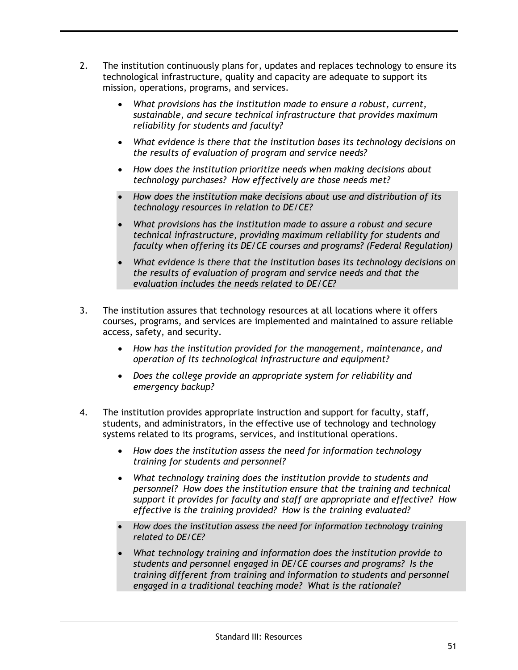- 2. The institution continuously plans for, updates and replaces technology to ensure its technological infrastructure, quality and capacity are adequate to support its mission, operations, programs, and services.
	- *What provisions has the institution made to ensure a robust, current, sustainable, and secure technical infrastructure that provides maximum reliability for students and faculty?*
	- *What evidence is there that the institution bases its technology decisions on the results of evaluation of program and service needs?*
	- *How does the institution prioritize needs when making decisions about technology purchases? How effectively are those needs met?*
	- *How does the institution make decisions about use and distribution of its technology resources in relation to DE/CE?*
	- *What provisions has the institution made to assure a robust and secure technical infrastructure, providing maximum reliability for students and faculty when offering its DE/CE courses and programs? (Federal Regulation)*
	- *What evidence is there that the institution bases its technology decisions on the results of evaluation of program and service needs and that the evaluation includes the needs related to DE/CE?*
- 3. The institution assures that technology resources at all locations where it offers courses, programs, and services are implemented and maintained to assure reliable access, safety, and security.
	- *How has the institution provided for the management, maintenance, and operation of its technological infrastructure and equipment?*
	- *Does the college provide an appropriate system for reliability and emergency backup?*
- 4. The institution provides appropriate instruction and support for faculty, staff, students, and administrators, in the effective use of technology and technology systems related to its programs, services, and institutional operations.
	- *How does the institution assess the need for information technology training for students and personnel?*
	- *What technology training does the institution provide to students and personnel? How does the institution ensure that the training and technical support it provides for faculty and staff are appropriate and effective? How effective is the training provided? How is the training evaluated?*
	- *How does the institution assess the need for information technology training related to DE/CE?*
	- *What technology training and information does the institution provide to students and personnel engaged in DE/CE courses and programs? Is the training different from training and information to students and personnel engaged in a traditional teaching mode? What is the rationale?*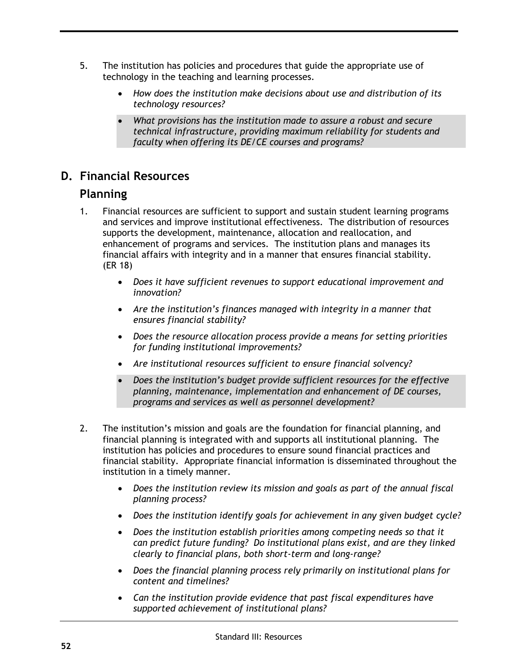- 5. The institution has policies and procedures that guide the appropriate use of technology in the teaching and learning processes.
	- *How does the institution make decisions about use and distribution of its technology resources?*
	- *What provisions has the institution made to assure a robust and secure technical infrastructure, providing maximum reliability for students and faculty when offering its DE/CE courses and programs?*

# **D. Financial Resources**

## **Planning**

- 1. Financial resources are sufficient to support and sustain student learning programs and services and improve institutional effectiveness. The distribution of resources supports the development, maintenance, allocation and reallocation, and enhancement of programs and services. The institution plans and manages its financial affairs with integrity and in a manner that ensures financial stability. (ER 18)
	- *Does it have sufficient revenues to support educational improvement and innovation?*
	- *Are the institution's finances managed with integrity in a manner that ensures financial stability?*
	- *Does the resource allocation process provide a means for setting priorities for funding institutional improvements?*
	- *Are institutional resources sufficient to ensure financial solvency?*
	- *Does the institution's budget provide sufficient resources for the effective planning, maintenance, implementation and enhancement of DE courses, programs and services as well as personnel development?*
- 2. The institution's mission and goals are the foundation for financial planning, and financial planning is integrated with and supports all institutional planning. The institution has policies and procedures to ensure sound financial practices and financial stability. Appropriate financial information is disseminated throughout the institution in a timely manner.
	- *Does the institution review its mission and goals as part of the annual fiscal planning process?*
	- *Does the institution identify goals for achievement in any given budget cycle?*
	- *Does the institution establish priorities among competing needs so that it can predict future funding? Do institutional plans exist, and are they linked clearly to financial plans, both short-term and long-range?*
	- *Does the financial planning process rely primarily on institutional plans for content and timelines?*
	- *Can the institution provide evidence that past fiscal expenditures have supported achievement of institutional plans?*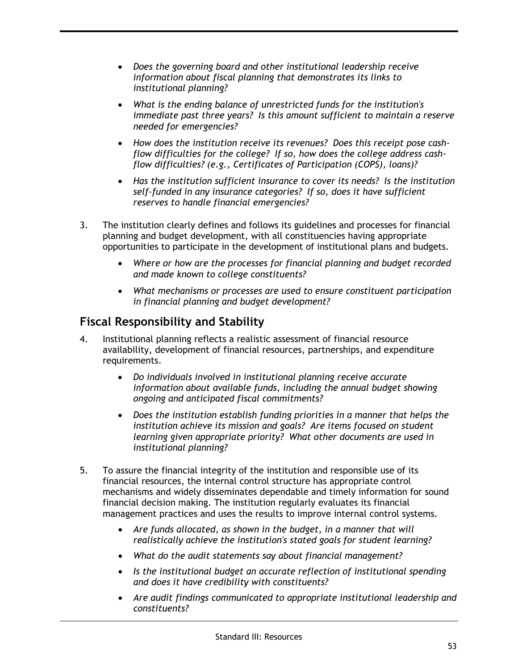- *Does the governing board and other institutional leadership receive information about fiscal planning that demonstrates its links to institutional planning?*
- *What is the ending balance of unrestricted funds for the institution's immediate past three years? Is this amount sufficient to maintain a reserve needed for emergencies?*
- *How does the institution receive its revenues? Does this receipt pose cashflow difficulties for the college? If so, how does the college address cashflow difficulties? (e.g., Certificates of Participation (COPS), loans)?*
- *Has the institution sufficient insurance to cover its needs? Is the institution self-funded in any insurance categories? If so, does it have sufficient reserves to handle financial emergencies?*
- 3. The institution clearly defines and follows its guidelines and processes for financial planning and budget development, with all constituencies having appropriate opportunities to participate in the development of institutional plans and budgets.
	- *Where or how are the processes for financial planning and budget recorded and made known to college constituents?*
	- *What mechanisms or processes are used to ensure constituent participation in financial planning and budget development?*

## **Fiscal Responsibility and Stability**

- 4. Institutional planning reflects a realistic assessment of financial resource availability, development of financial resources, partnerships, and expenditure requirements.
	- *Do individuals involved in institutional planning receive accurate information about available funds, including the annual budget showing ongoing and anticipated fiscal commitments?*
	- *Does the institution establish funding priorities in a manner that helps the institution achieve its mission and goals? Are items focused on student learning given appropriate priority? What other documents are used in institutional planning?*
- 5. To assure the financial integrity of the institution and responsible use of its financial resources, the internal control structure has appropriate control mechanisms and widely disseminates dependable and timely information for sound financial decision making. The institution regularly evaluates its financial management practices and uses the results to improve internal control systems.
	- *Are funds allocated, as shown in the budget, in a manner that will realistically achieve the institution's stated goals for student learning?*
	- *What do the audit statements say about financial management?*
	- *Is the institutional budget an accurate reflection of institutional spending and does it have credibility with constituents?*
	- *Are audit findings communicated to appropriate institutional leadership and constituents?*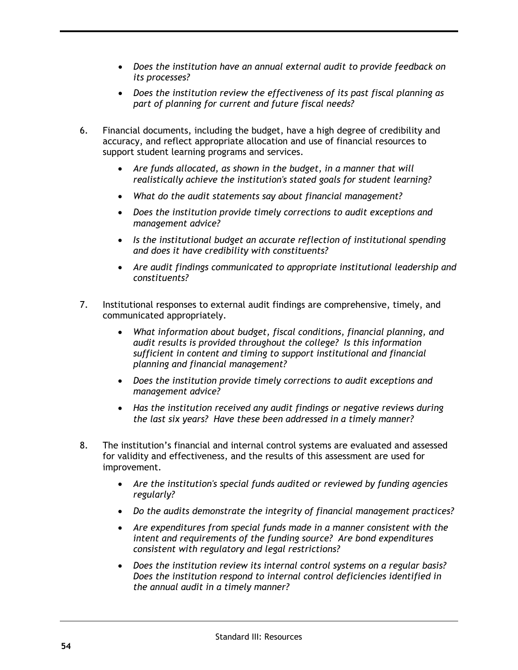- *Does the institution have an annual external audit to provide feedback on its processes?*
- *Does the institution review the effectiveness of its past fiscal planning as part of planning for current and future fiscal needs?*
- 6. Financial documents, including the budget, have a high degree of credibility and accuracy, and reflect appropriate allocation and use of financial resources to support student learning programs and services.
	- *Are funds allocated, as shown in the budget, in a manner that will realistically achieve the institution's stated goals for student learning?*
	- *What do the audit statements say about financial management?*
	- *Does the institution provide timely corrections to audit exceptions and management advice?*
	- *Is the institutional budget an accurate reflection of institutional spending and does it have credibility with constituents?*
	- *Are audit findings communicated to appropriate institutional leadership and constituents?*
- 7. Institutional responses to external audit findings are comprehensive, timely, and communicated appropriately.
	- *What information about budget, fiscal conditions, financial planning, and audit results is provided throughout the college? Is this information sufficient in content and timing to support institutional and financial planning and financial management?*
	- *Does the institution provide timely corrections to audit exceptions and management advice?*
	- *Has the institution received any audit findings or negative reviews during the last six years? Have these been addressed in a timely manner?*
- 8. The institution's financial and internal control systems are evaluated and assessed for validity and effectiveness, and the results of this assessment are used for improvement.
	- *Are the institution's special funds audited or reviewed by funding agencies regularly?*
	- *Do the audits demonstrate the integrity of financial management practices?*
	- *Are expenditures from special funds made in a manner consistent with the intent and requirements of the funding source? Are bond expenditures consistent with regulatory and legal restrictions?*
	- *Does the institution review its internal control systems on a regular basis? Does the institution respond to internal control deficiencies identified in the annual audit in a timely manner?*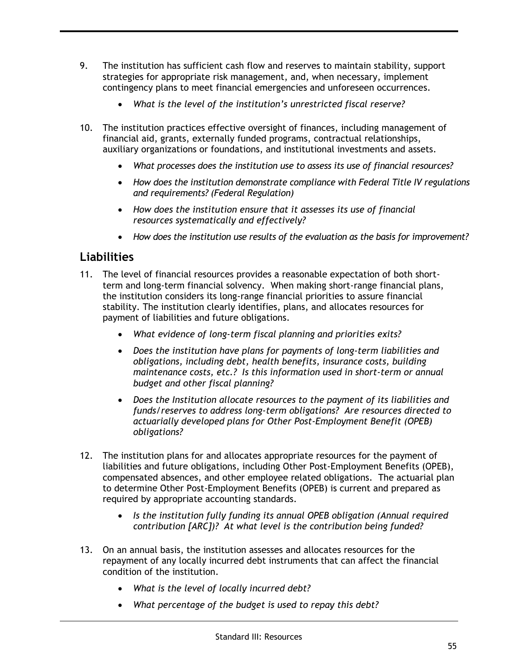- 9. The institution has sufficient cash flow and reserves to maintain stability, support strategies for appropriate risk management, and, when necessary, implement contingency plans to meet financial emergencies and unforeseen occurrences.
	- *What is the level of the institution's unrestricted fiscal reserve?*
- 10. The institution practices effective oversight of finances, including management of financial aid, grants, externally funded programs, contractual relationships, auxiliary organizations or foundations, and institutional investments and assets.
	- *What processes does the institution use to assess its use of financial resources?*
	- *How does the institution demonstrate compliance with Federal Title IV regulations and requirements? (Federal Regulation)*
	- *How does the institution ensure that it assesses its use of financial resources systematically and effectively?*
	- *How does the institution use results of the evaluation as the basis for improvement?*

# **Liabilities**

- 11. The level of financial resources provides a reasonable expectation of both shortterm and long-term financial solvency. When making short-range financial plans, the institution considers its long-range financial priorities to assure financial stability. The institution clearly identifies, plans, and allocates resources for payment of liabilities and future obligations.
	- *What evidence of long-term fiscal planning and priorities exits?*
	- *Does the institution have plans for payments of long-term liabilities and obligations, including debt, health benefits, insurance costs, building maintenance costs, etc.? Is this information used in short-term or annual budget and other fiscal planning?*
	- *Does the Institution allocate resources to the payment of its liabilities and funds/reserves to address long-term obligations? Are resources directed to actuarially developed plans for Other Post-Employment Benefit (OPEB) obligations?*
- 12. The institution plans for and allocates appropriate resources for the payment of liabilities and future obligations, including Other Post-Employment Benefits (OPEB), compensated absences, and other employee related obligations. The actuarial plan to determine Other Post-Employment Benefits (OPEB) is current and prepared as required by appropriate accounting standards.
	- *Is the institution fully funding its annual OPEB obligation (Annual required contribution [ARC])? At what level is the contribution being funded?*
- 13. On an annual basis, the institution assesses and allocates resources for the repayment of any locally incurred debt instruments that can affect the financial condition of the institution.
	- *What is the level of locally incurred debt?*
	- *What percentage of the budget is used to repay this debt?*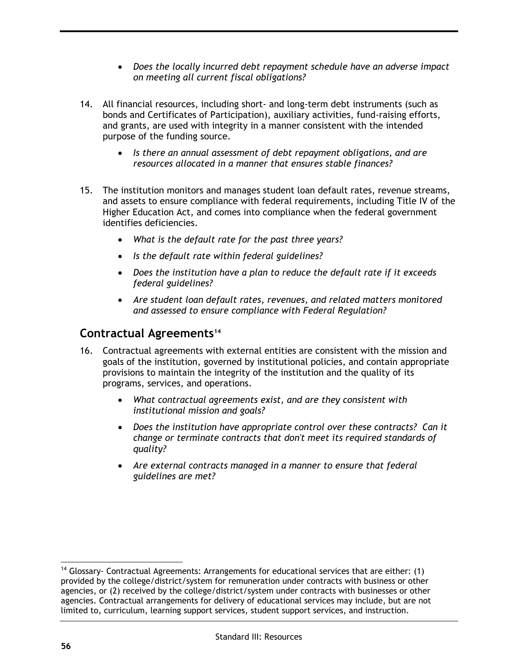- *Does the locally incurred debt repayment schedule have an adverse impact on meeting all current fiscal obligations?*
- 14. All financial resources, including short- and long-term debt instruments (such as bonds and Certificates of Participation), auxiliary activities, fund-raising efforts, and grants, are used with integrity in a manner consistent with the intended purpose of the funding source.
	- *Is there an annual assessment of debt repayment obligations, and are resources allocated in a manner that ensures stable finances?*
- 15. The institution monitors and manages student loan default rates, revenue streams, and assets to ensure compliance with federal requirements, including Title IV of the Higher Education Act, and comes into compliance when the federal government identifies deficiencies.
	- *What is the default rate for the past three years?*
	- *Is the default rate within federal guidelines?*
	- *Does the institution have a plan to reduce the default rate if it exceeds federal guidelines?*
	- *Are student loan default rates, revenues, and related matters monitored and assessed to ensure compliance with Federal Regulation?*

### **Contractual Agreements<sup>14</sup>**

- 16. Contractual agreements with external entities are consistent with the mission and goals of the institution, governed by institutional policies, and contain appropriate provisions to maintain the integrity of the institution and the quality of its programs, services, and operations.
	- *What contractual agreements exist, and are they consistent with institutional mission and goals?*
	- *Does the institution have appropriate control over these contracts? Can it change or terminate contracts that don't meet its required standards of quality?*
	- *Are external contracts managed in a manner to ensure that federal guidelines are met?*

 $\overline{a}$ <sup>14</sup> Glossary- Contractual Agreements: Arrangements for educational services that are either:  $(1)$ provided by the college/district/system for remuneration under contracts with business or other agencies, or (2) received by the college/district/system under contracts with businesses or other agencies. Contractual arrangements for delivery of educational services may include, but are not limited to, curriculum, learning support services, student support services, and instruction.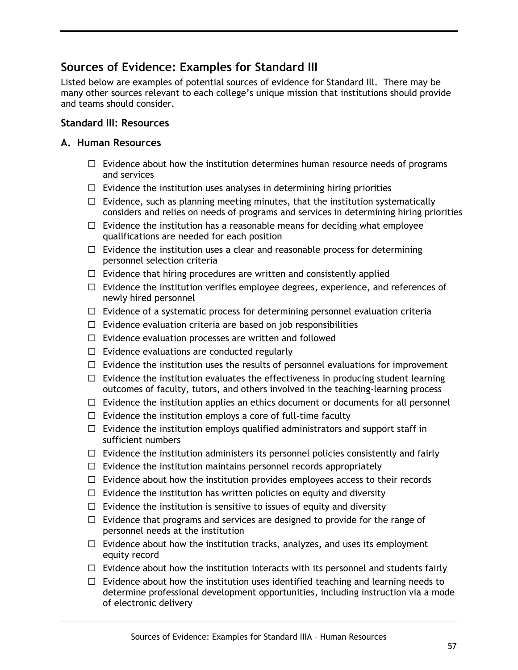### **Sources of Evidence: Examples for Standard III**

Listed below are examples of potential sources of evidence for Standard Ill. There may be many other sources relevant to each college's unique mission that institutions should provide and teams should consider.

### **Standard III: Resources**

#### **A. Human Resources**

- $\Box$  Evidence about how the institution determines human resource needs of programs and services
- $\Box$  Evidence the institution uses analyses in determining hiring priorities
- $\Box$  Evidence, such as planning meeting minutes, that the institution systematically considers and relies on needs of programs and services in determining hiring priorities
- $\Box$  Evidence the institution has a reasonable means for deciding what employee qualifications are needed for each position
- $\Box$  Evidence the institution uses a clear and reasonable process for determining personnel selection criteria
- $\Box$  Evidence that hiring procedures are written and consistently applied
- $\Box$  Evidence the institution verifies employee degrees, experience, and references of newly hired personnel
- $\Box$  Evidence of a systematic process for determining personnel evaluation criteria
- $\Box$  Evidence evaluation criteria are based on job responsibilities
- $\Box$  Evidence evaluation processes are written and followed
- $\Box$  Evidence evaluations are conducted regularly
- $\Box$  Evidence the institution uses the results of personnel evaluations for improvement
- $\Box$  Evidence the institution evaluates the effectiveness in producing student learning outcomes of faculty, tutors, and others involved in the teaching-learning process
- $\Box$  Evidence the institution applies an ethics document or documents for all personnel
- $\Box$  Evidence the institution employs a core of full-time faculty
- $\Box$  Evidence the institution employs qualified administrators and support staff in sufficient numbers
- $\Box$  Evidence the institution administers its personnel policies consistently and fairly
- $\Box$  Evidence the institution maintains personnel records appropriately
- $\Box$  Evidence about how the institution provides employees access to their records
- $\Box$  Evidence the institution has written policies on equity and diversity
- $\Box$  Evidence the institution is sensitive to issues of equity and diversity
- $\Box$  Evidence that programs and services are designed to provide for the range of personnel needs at the institution
- $\Box$  Evidence about how the institution tracks, analyzes, and uses its employment equity record
- $\Box$  Evidence about how the institution interacts with its personnel and students fairly
- $\Box$  Evidence about how the institution uses identified teaching and learning needs to determine professional development opportunities, including instruction via a mode of electronic delivery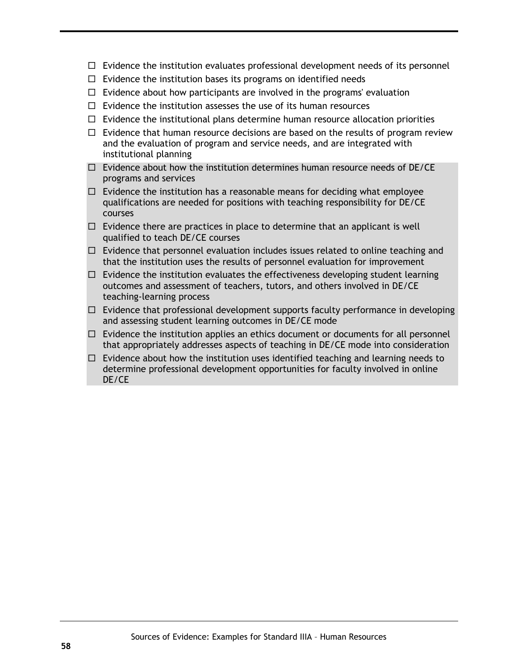- $\Box$  Evidence the institution evaluates professional development needs of its personnel
- $\Box$  Evidence the institution bases its programs on identified needs
- $\Box$  Evidence about how participants are involved in the programs' evaluation
- $\Box$  Evidence the institution assesses the use of its human resources
- $\Box$  Evidence the institutional plans determine human resource allocation priorities
- $\Box$  Evidence that human resource decisions are based on the results of program review and the evaluation of program and service needs, and are integrated with institutional planning
- $\Box$  Evidence about how the institution determines human resource needs of DE/CE programs and services
- $\Box$  Evidence the institution has a reasonable means for deciding what employee qualifications are needed for positions with teaching responsibility for DE/CE courses
- $\Box$  Evidence there are practices in place to determine that an applicant is well qualified to teach DE/CE courses
- $\Box$  Evidence that personnel evaluation includes issues related to online teaching and that the institution uses the results of personnel evaluation for improvement
- $\Box$  Evidence the institution evaluates the effectiveness developing student learning outcomes and assessment of teachers, tutors, and others involved in DE/CE teaching-learning process
- $\Box$  Evidence that professional development supports faculty performance in developing and assessing student learning outcomes in DE/CE mode
- $\Box$  Evidence the institution applies an ethics document or documents for all personnel that appropriately addresses aspects of teaching in DE/CE mode into consideration
- $\Box$  Evidence about how the institution uses identified teaching and learning needs to determine professional development opportunities for faculty involved in online DE/CE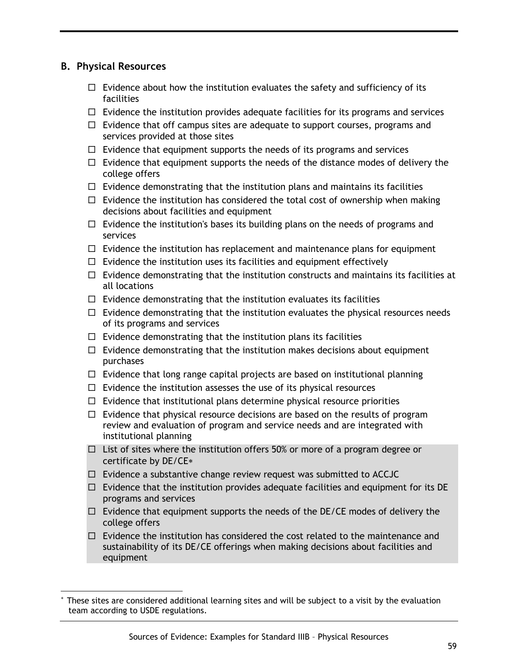### **B. Physical Resources**

 $\overline{a}$ 

- $\Box$  Evidence about how the institution evaluates the safety and sufficiency of its facilities
- $\Box$  Evidence the institution provides adequate facilities for its programs and services
- $\Box$  Evidence that off campus sites are adequate to support courses, programs and services provided at those sites
- $\Box$  Evidence that equipment supports the needs of its programs and services
- $\Box$  Evidence that equipment supports the needs of the distance modes of delivery the college offers
- $\Box$  Evidence demonstrating that the institution plans and maintains its facilities
- $\Box$  Evidence the institution has considered the total cost of ownership when making decisions about facilities and equipment
- $\Box$  Evidence the institution's bases its building plans on the needs of programs and services
- $\Box$  Evidence the institution has replacement and maintenance plans for equipment
- $\Box$  Evidence the institution uses its facilities and equipment effectively
- $\Box$  Evidence demonstrating that the institution constructs and maintains its facilities at all locations
- $\Box$  Evidence demonstrating that the institution evaluates its facilities
- $\Box$  Evidence demonstrating that the institution evaluates the physical resources needs of its programs and services
- $\Box$  Evidence demonstrating that the institution plans its facilities
- $\Box$  Evidence demonstrating that the institution makes decisions about equipment purchases
- $\Box$  Evidence that long range capital projects are based on institutional planning
- $\Box$  Evidence the institution assesses the use of its physical resources
- $\Box$  Evidence that institutional plans determine physical resource priorities
- $\Box$  Evidence that physical resource decisions are based on the results of program review and evaluation of program and service needs and are integrated with institutional planning
- $\Box$  List of sites where the institution offers 50% or more of a program degree or certificate by DE/CE
- $\Box$  Evidence a substantive change review request was submitted to ACCJC
- $\Box$  Evidence that the institution provides adequate facilities and equipment for its DE programs and services
- $\Box$  Evidence that equipment supports the needs of the DE/CE modes of delivery the college offers
- $\Box$  Evidence the institution has considered the cost related to the maintenance and sustainability of its DE/CE offerings when making decisions about facilities and equipment

These sites are considered additional learning sites and will be subject to a visit by the evaluation team according to USDE regulations.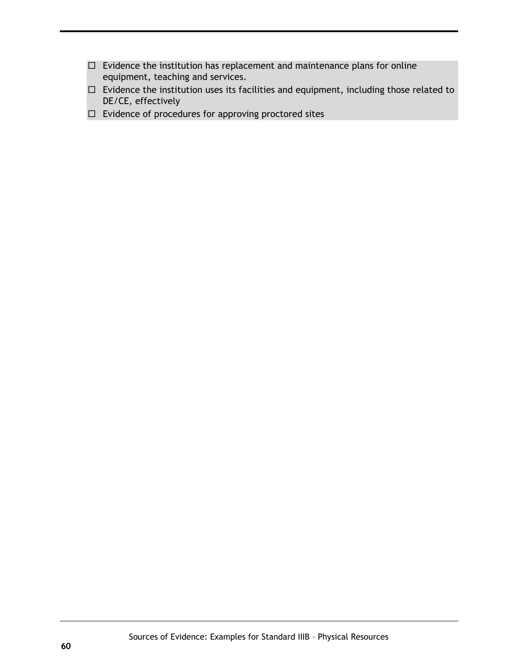- $\Box$  Evidence the institution has replacement and maintenance plans for online equipment, teaching and services.
- $\Box$  Evidence the institution uses its facilities and equipment, including those related to DE/CE, effectively
- $\Box$  Evidence of procedures for approving proctored sites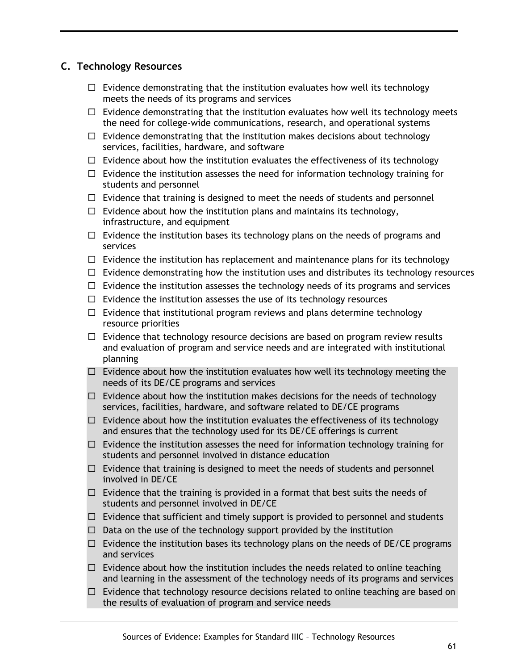### **C. Technology Resources**

- $\Box$  Evidence demonstrating that the institution evaluates how well its technology meets the needs of its programs and services
- $\Box$  Evidence demonstrating that the institution evaluates how well its technology meets the need for college-wide communications, research, and operational systems
- $\Box$  Evidence demonstrating that the institution makes decisions about technology services, facilities, hardware, and software
- $\Box$  Evidence about how the institution evaluates the effectiveness of its technology
- $\Box$  Evidence the institution assesses the need for information technology training for students and personnel
- $\Box$  Evidence that training is designed to meet the needs of students and personnel
- $\Box$  Evidence about how the institution plans and maintains its technology, infrastructure, and equipment
- $\Box$  Evidence the institution bases its technology plans on the needs of programs and services
- $\Box$  Evidence the institution has replacement and maintenance plans for its technology
- $\Box$  Evidence demonstrating how the institution uses and distributes its technology resources
- $\Box$  Evidence the institution assesses the technology needs of its programs and services
- $\Box$  Evidence the institution assesses the use of its technology resources
- $\Box$  Evidence that institutional program reviews and plans determine technology resource priorities
- $\Box$  Evidence that technology resource decisions are based on program review results and evaluation of program and service needs and are integrated with institutional planning
- $\Box$  Evidence about how the institution evaluates how well its technology meeting the needs of its DE/CE programs and services
- $\Box$  Evidence about how the institution makes decisions for the needs of technology services, facilities, hardware, and software related to DE/CE programs
- $\Box$  Evidence about how the institution evaluates the effectiveness of its technology and ensures that the technology used for its DE/CE offerings is current
- $\Box$  Evidence the institution assesses the need for information technology training for students and personnel involved in distance education
- $\Box$  Evidence that training is designed to meet the needs of students and personnel involved in DE/CE
- $\Box$  Evidence that the training is provided in a format that best suits the needs of students and personnel involved in DE/CE
- $\Box$  Evidence that sufficient and timely support is provided to personnel and students
- $\Box$  Data on the use of the technology support provided by the institution
- $\Box$  Evidence the institution bases its technology plans on the needs of DE/CE programs and services
- $\Box$  Evidence about how the institution includes the needs related to online teaching and learning in the assessment of the technology needs of its programs and services
- $\Box$  Evidence that technology resource decisions related to online teaching are based on the results of evaluation of program and service needs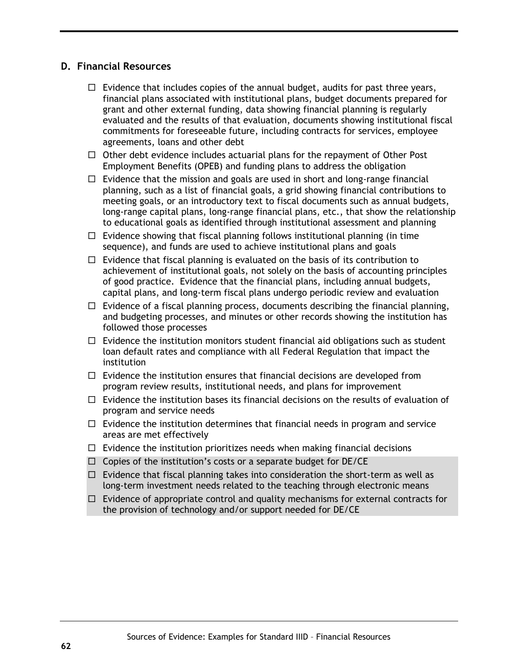### **D. Financial Resources**

- $\Box$  Evidence that includes copies of the annual budget, audits for past three years, financial plans associated with institutional plans, budget documents prepared for grant and other external funding, data showing financial planning is regularly evaluated and the results of that evaluation, documents showing institutional fiscal commitments for foreseeable future, including contracts for services, employee agreements, loans and other debt
- $\Box$  Other debt evidence includes actuarial plans for the repayment of Other Post Employment Benefits (OPEB) and funding plans to address the obligation
- $\Box$  Evidence that the mission and goals are used in short and long-range financial planning, such as a list of financial goals, a grid showing financial contributions to meeting goals, or an introductory text to fiscal documents such as annual budgets, long-range capital plans, long-range financial plans, etc., that show the relationship to educational goals as identified through institutional assessment and planning
- $\Box$  Evidence showing that fiscal planning follows institutional planning (in time sequence), and funds are used to achieve institutional plans and goals
- $\Box$  Evidence that fiscal planning is evaluated on the basis of its contribution to achievement of institutional goals, not solely on the basis of accounting principles of good practice. Evidence that the financial plans, including annual budgets, capital plans, and long-term fiscal plans undergo periodic review and evaluation
- $\Box$  Evidence of a fiscal planning process, documents describing the financial planning, and budgeting processes, and minutes or other records showing the institution has followed those processes
- $\Box$  Evidence the institution monitors student financial aid obligations such as student loan default rates and compliance with all Federal Regulation that impact the institution
- $\Box$  Evidence the institution ensures that financial decisions are developed from program review results, institutional needs, and plans for improvement
- $\Box$  Evidence the institution bases its financial decisions on the results of evaluation of program and service needs
- $\Box$  Evidence the institution determines that financial needs in program and service areas are met effectively
- $\Box$  Evidence the institution prioritizes needs when making financial decisions
- $\Box$  Copies of the institution's costs or a separate budget for DE/CE
- $\Box$  Evidence that fiscal planning takes into consideration the short-term as well as long-term investment needs related to the teaching through electronic means
- $\Box$  Evidence of appropriate control and quality mechanisms for external contracts for the provision of technology and/or support needed for DE/CE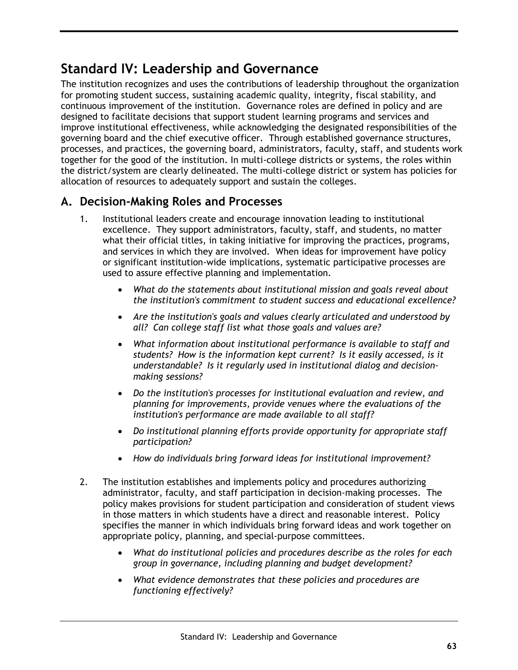# **Standard IV: Leadership and Governance**

The institution recognizes and uses the contributions of leadership throughout the organization for promoting student success, sustaining academic quality, integrity, fiscal stability, and continuous improvement of the institution. Governance roles are defined in policy and are designed to facilitate decisions that support student learning programs and services and improve institutional effectiveness, while acknowledging the designated responsibilities of the governing board and the chief executive officer. Through established governance structures, processes, and practices, the governing board, administrators, faculty, staff, and students work together for the good of the institution. In multi-college districts or systems, the roles within the district/system are clearly delineated. The multi-college district or system has policies for allocation of resources to adequately support and sustain the colleges.

## **A. Decision-Making Roles and Processes**

- 1. Institutional leaders create and encourage innovation leading to institutional excellence. They support administrators, faculty, staff, and students, no matter what their official titles, in taking initiative for improving the practices, programs, and services in which they are involved. When ideas for improvement have policy or significant institution-wide implications, systematic participative processes are used to assure effective planning and implementation.
	- *What do the statements about institutional mission and goals reveal about the institution's commitment to student success and educational excellence?*
	- *Are the institution's goals and values clearly articulated and understood by all? Can college staff list what those goals and values are?*
	- *What information about institutional performance is available to staff and students? How is the information kept current? Is it easily accessed, is it understandable? Is it regularly used in institutional dialog and decisionmaking sessions?*
	- *Do the institution's processes for institutional evaluation and review, and planning for improvements, provide venues where the evaluations of the institution's performance are made available to all staff?*
	- *Do institutional planning efforts provide opportunity for appropriate staff participation?*
	- *How do individuals bring forward ideas for institutional improvement?*
- 2. The institution establishes and implements policy and procedures authorizing administrator, faculty, and staff participation in decision-making processes. The policy makes provisions for student participation and consideration of student views in those matters in which students have a direct and reasonable interest. Policy specifies the manner in which individuals bring forward ideas and work together on appropriate policy, planning, and special-purpose committees.
	- *What do institutional policies and procedures describe as the roles for each group in governance, including planning and budget development?*
	- *What evidence demonstrates that these policies and procedures are functioning effectively?*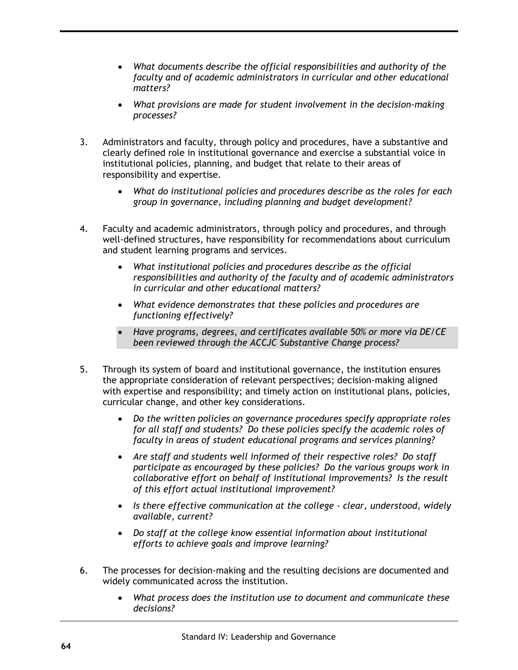- *What documents describe the official responsibilities and authority of the faculty and of academic administrators in curricular and other educational matters?*
- *What provisions are made for student involvement in the decision-making processes?*
- 3. Administrators and faculty, through policy and procedures, have a substantive and clearly defined role in institutional governance and exercise a substantial voice in institutional policies, planning, and budget that relate to their areas of responsibility and expertise.
	- *What do institutional policies and procedures describe as the roles for each group in governance, including planning and budget development?*
- 4. Faculty and academic administrators, through policy and procedures, and through well-defined structures, have responsibility for recommendations about curriculum and student learning programs and services.
	- *What institutional policies and procedures describe as the official responsibilities and authority of the faculty and of academic administrators in curricular and other educational matters?*
	- *What evidence demonstrates that these policies and procedures are functioning effectively?*
	- *Have programs, degrees, and certificates available 50% or more via DE/CE been reviewed through the ACCJC Substantive Change process?*
- 5. Through its system of board and institutional governance, the institution ensures the appropriate consideration of relevant perspectives; decision-making aligned with expertise and responsibility; and timely action on institutional plans, policies, curricular change, and other key considerations.
	- *Do the written policies on governance procedures specify appropriate roles for all staff and students? Do these policies specify the academic roles of faculty in areas of student educational programs and services planning?*
	- *Are staff and students well informed of their respective roles? Do staff participate as encouraged by these policies? Do the various groups work in collaborative effort on behalf of institutional improvements? Is the result of this effort actual institutional improvement?*
	- *Is there effective communication at the college - clear, understood, widely available, current?*
	- *Do staff at the college know essential information about institutional efforts to achieve goals and improve learning?*
- 6. The processes for decision-making and the resulting decisions are documented and widely communicated across the institution.
	- *What process does the institution use to document and communicate these decisions?*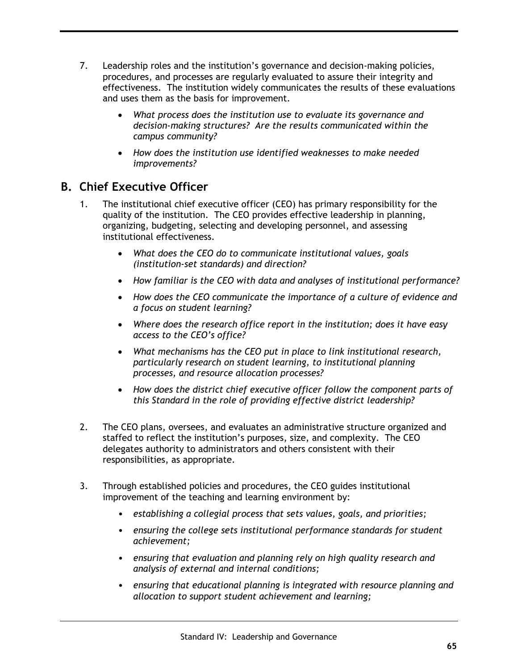- 7. Leadership roles and the institution's governance and decision-making policies, procedures, and processes are regularly evaluated to assure their integrity and effectiveness. The institution widely communicates the results of these evaluations and uses them as the basis for improvement.
	- *What process does the institution use to evaluate its governance and decision-making structures? Are the results communicated within the campus community?*
	- *How does the institution use identified weaknesses to make needed improvements?*

### **B. Chief Executive Officer**

- 1. The institutional chief executive officer (CEO) has primary responsibility for the quality of the institution. The CEO provides effective leadership in planning, organizing, budgeting, selecting and developing personnel, and assessing institutional effectiveness.
	- *What does the CEO do to communicate institutional values, goals (institution-set standards) and direction?*
	- *How familiar is the CEO with data and analyses of institutional performance?*
	- *How does the CEO communicate the importance of a culture of evidence and a focus on student learning?*
	- *Where does the research office report in the institution; does it have easy access to the CEO's office?*
	- *What mechanisms has the CEO put in place to link institutional research, particularly research on student learning, to institutional planning processes, and resource allocation processes?*
	- *How does the district chief executive officer follow the component parts of this Standard in the role of providing effective district leadership?*
- 2. The CEO plans, oversees, and evaluates an administrative structure organized and staffed to reflect the institution's purposes, size, and complexity. The CEO delegates authority to administrators and others consistent with their responsibilities, as appropriate.
- 3. Through established policies and procedures, the CEO guides institutional improvement of the teaching and learning environment by:
	- *establishing a collegial process that sets values, goals, and priorities;*
	- *ensuring the college sets institutional performance standards for student achievement;*
	- *ensuring that evaluation and planning rely on high quality research and analysis of external and internal conditions;*
	- *ensuring that educational planning is integrated with resource planning and allocation to support student achievement and learning;*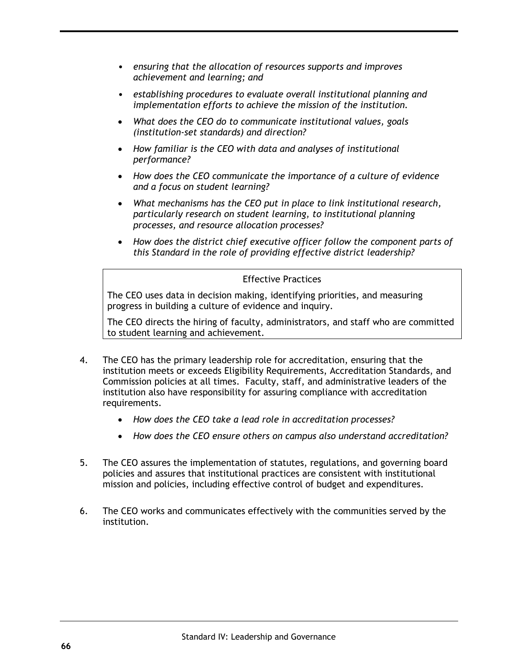- *ensuring that the allocation of resources supports and improves achievement and learning; and*
- *establishing procedures to evaluate overall institutional planning and implementation efforts to achieve the mission of the institution.*
- *What does the CEO do to communicate institutional values, goals (institution-set standards) and direction?*
- *How familiar is the CEO with data and analyses of institutional performance?*
- *How does the CEO communicate the importance of a culture of evidence and a focus on student learning?*
- *What mechanisms has the CEO put in place to link institutional research, particularly research on student learning, to institutional planning processes, and resource allocation processes?*
- *How does the district chief executive officer follow the component parts of this Standard in the role of providing effective district leadership?*

The CEO uses data in decision making, identifying priorities, and measuring progress in building a culture of evidence and inquiry.

The CEO directs the hiring of faculty, administrators, and staff who are committed to student learning and achievement.

- 4. The CEO has the primary leadership role for accreditation, ensuring that the institution meets or exceeds Eligibility Requirements, Accreditation Standards, and Commission policies at all times. Faculty, staff, and administrative leaders of the institution also have responsibility for assuring compliance with accreditation requirements.
	- *How does the CEO take a lead role in accreditation processes?*
	- *How does the CEO ensure others on campus also understand accreditation?*
- 5. The CEO assures the implementation of statutes, regulations, and governing board policies and assures that institutional practices are consistent with institutional mission and policies, including effective control of budget and expenditures.
- 6. The CEO works and communicates effectively with the communities served by the institution.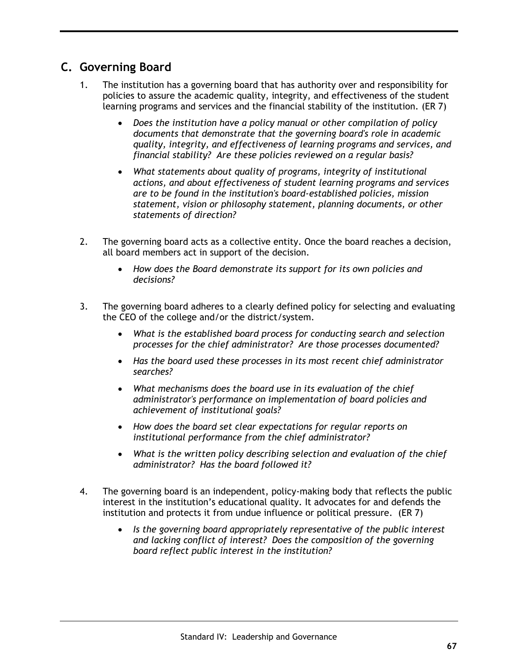## **C. Governing Board**

- The institution has a governing board that has authority over and responsibility for policies to assure the academic quality, integrity, and effectiveness of the student learning programs and services and the financial stability of the institution. (ER 7)
	- *Does the institution have a policy manual or other compilation of policy documents that demonstrate that the governing board's role in academic quality, integrity, and effectiveness of learning programs and services, and financial stability? Are these policies reviewed on a regular basis?*
	- *What statements about quality of programs, integrity of institutional actions, and about effectiveness of student learning programs and services are to be found in the institution's board-established policies, mission statement, vision or philosophy statement, planning documents, or other statements of direction?*
- 2. The governing board acts as a collective entity. Once the board reaches a decision, all board members act in support of the decision.
	- *How does the Board demonstrate its support for its own policies and decisions?*
- 3. The governing board adheres to a clearly defined policy for selecting and evaluating the CEO of the college and/or the district/system.
	- *What is the established board process for conducting search and selection processes for the chief administrator? Are those processes documented?*
	- *Has the board used these processes in its most recent chief administrator searches?*
	- *What mechanisms does the board use in its evaluation of the chief administrator's performance on implementation of board policies and achievement of institutional goals?*
	- *How does the board set clear expectations for regular reports on institutional performance from the chief administrator?*
	- *What is the written policy describing selection and evaluation of the chief administrator? Has the board followed it?*
- 4. The governing board is an independent, policy-making body that reflects the public interest in the institution's educational quality. It advocates for and defends the institution and protects it from undue influence or political pressure. (ER 7)
	- *Is the governing board appropriately representative of the public interest and lacking conflict of interest? Does the composition of the governing board reflect public interest in the institution?*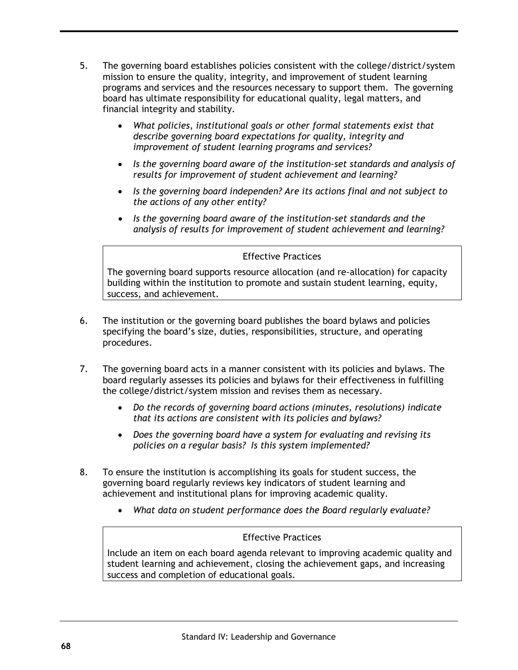- 5. The governing board establishes policies consistent with the college/district/system mission to ensure the quality, integrity, and improvement of student learning programs and services and the resources necessary to support them. The governing board has ultimate responsibility for educational quality, legal matters, and financial integrity and stability.
	- *What policies, institutional goals or other formal statements exist that describe governing board expectations for quality, integrity and improvement of student learning programs and services?*
	- *Is the governing board aware of the institution-set standards and analysis of results for improvement of student achievement and learning?*
	- *Is the governing board independen? Are its actions final and not subject to the actions of any other entity?*
	- *Is the governing board aware of the institution-set standards and the analysis of results for improvement of student achievement and learning?*

The governing board supports resource allocation (and re-allocation) for capacity building within the institution to promote and sustain student learning, equity, success, and achievement.

- 6. The institution or the governing board publishes the board bylaws and policies specifying the board's size, duties, responsibilities, structure, and operating procedures.
- 7. The governing board acts in a manner consistent with its policies and bylaws. The board regularly assesses its policies and bylaws for their effectiveness in fulfilling the college/district/system mission and revises them as necessary.
	- *Do the records of governing board actions (minutes, resolutions) indicate that its actions are consistent with its policies and bylaws?*
	- *Does the governing board have a system for evaluating and revising its policies on a regular basis? Is this system implemented?*
- 8. To ensure the institution is accomplishing its goals for student success, the governing board regularly reviews key indicators of student learning and achievement and institutional plans for improving academic quality.
	- *What data on student performance does the Board regularly evaluate?*

#### Effective Practices

Include an item on each board agenda relevant to improving academic quality and student learning and achievement, closing the achievement gaps, and increasing success and completion of educational goals.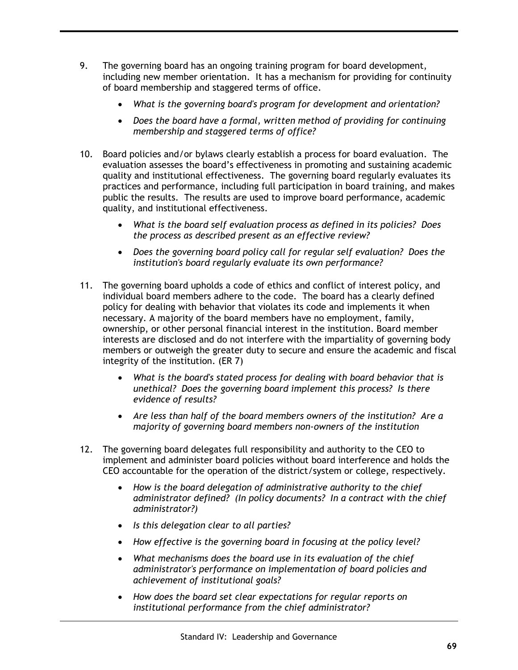- 9. The governing board has an ongoing training program for board development, including new member orientation. It has a mechanism for providing for continuity of board membership and staggered terms of office.
	- *What is the governing board's program for development and orientation?*
	- *Does the board have a formal, written method of providing for continuing membership and staggered terms of office?*
- 10. Board policies and/or bylaws clearly establish a process for board evaluation. The evaluation assesses the board's effectiveness in promoting and sustaining academic quality and institutional effectiveness. The governing board regularly evaluates its practices and performance, including full participation in board training, and makes public the results. The results are used to improve board performance, academic quality, and institutional effectiveness.
	- *What is the board self evaluation process as defined in its policies? Does the process as described present as an effective review?*
	- *Does the governing board policy call for regular self evaluation? Does the institution's board regularly evaluate its own performance?*
- 11. The governing board upholds a code of ethics and conflict of interest policy, and individual board members adhere to the code. The board has a clearly defined policy for dealing with behavior that violates its code and implements it when necessary. A majority of the board members have no employment, family, ownership, or other personal financial interest in the institution. Board member interests are disclosed and do not interfere with the impartiality of governing body members or outweigh the greater duty to secure and ensure the academic and fiscal integrity of the institution. (ER 7)
	- *What is the board's stated process for dealing with board behavior that is unethical? Does the governing board implement this process? Is there evidence of results?*
	- *Are less than half of the board members owners of the institution? Are a majority of governing board members non-owners of the institution*
- 12. The governing board delegates full responsibility and authority to the CEO to implement and administer board policies without board interference and holds the CEO accountable for the operation of the district/system or college, respectively.
	- *How is the board delegation of administrative authority to the chief administrator defined? (In policy documents? In a contract with the chief administrator?)*
	- *Is this delegation clear to all parties?*
	- *How effective is the governing board in focusing at the policy level?*
	- *What mechanisms does the board use in its evaluation of the chief administrator's performance on implementation of board policies and achievement of institutional goals?*
	- *How does the board set clear expectations for regular reports on institutional performance from the chief administrator?*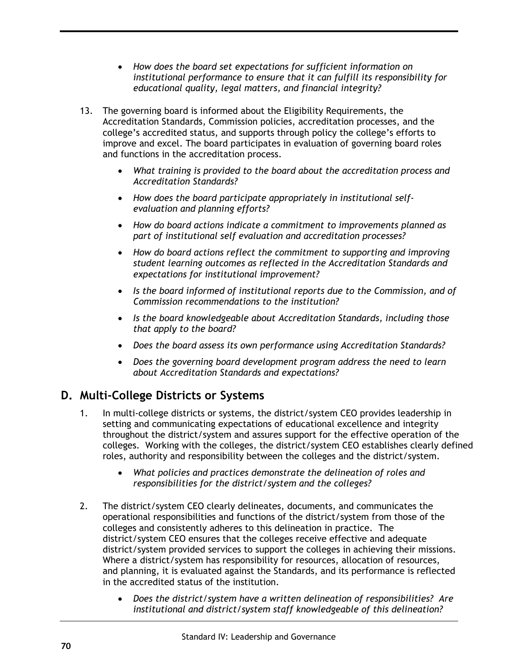- *How does the board set expectations for sufficient information on institutional performance to ensure that it can fulfill its responsibility for educational quality, legal matters, and financial integrity?*
- 13. The governing board is informed about the Eligibility Requirements, the Accreditation Standards, Commission policies, accreditation processes, and the college's accredited status, and supports through policy the college's efforts to improve and excel. The board participates in evaluation of governing board roles and functions in the accreditation process.
	- *What training is provided to the board about the accreditation process and Accreditation Standards?*
	- *How does the board participate appropriately in institutional selfevaluation and planning efforts?*
	- *How do board actions indicate a commitment to improvements planned as part of institutional self evaluation and accreditation processes?*
	- *How do board actions reflect the commitment to supporting and improving student learning outcomes as reflected in the Accreditation Standards and expectations for institutional improvement?*
	- *Is the board informed of institutional reports due to the Commission, and of Commission recommendations to the institution?*
	- *Is the board knowledgeable about Accreditation Standards, including those that apply to the board?*
	- *Does the board assess its own performance using Accreditation Standards?*
	- *Does the governing board development program address the need to learn about Accreditation Standards and expectations?*

# **D. Multi-College Districts or Systems**

- 1. In multi-college districts or systems, the district/system CEO provides leadership in setting and communicating expectations of educational excellence and integrity throughout the district/system and assures support for the effective operation of the colleges. Working with the colleges, the district/system CEO establishes clearly defined roles, authority and responsibility between the colleges and the district/system.
	- *What policies and practices demonstrate the delineation of roles and responsibilities for the district/system and the colleges?*
- 2. The district/system CEO clearly delineates, documents, and communicates the operational responsibilities and functions of the district/system from those of the colleges and consistently adheres to this delineation in practice. The district/system CEO ensures that the colleges receive effective and adequate district/system provided services to support the colleges in achieving their missions. Where a district/system has responsibility for resources, allocation of resources, and planning, it is evaluated against the Standards, and its performance is reflected in the accredited status of the institution.
	- *Does the district/system have a written delineation of responsibilities? Are institutional and district/system staff knowledgeable of this delineation?*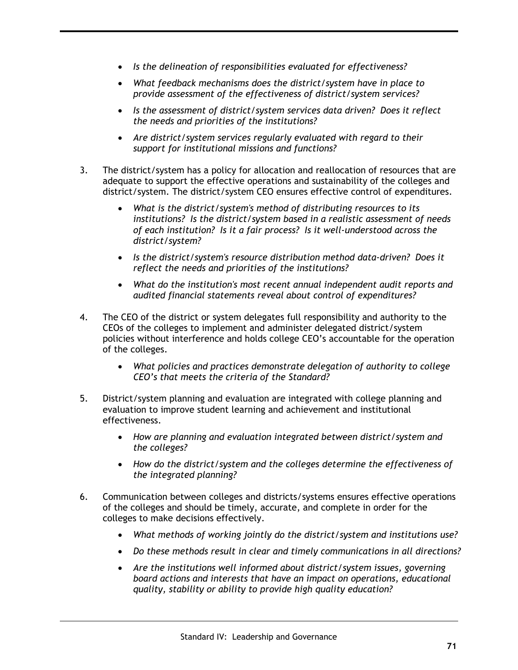- *Is the delineation of responsibilities evaluated for effectiveness?*
- *What feedback mechanisms does the district/system have in place to provide assessment of the effectiveness of district/system services?*
- *Is the assessment of district/system services data driven? Does it reflect the needs and priorities of the institutions?*
- *Are district/system services regularly evaluated with regard to their support for institutional missions and functions?*
- 3. The district/system has a policy for allocation and reallocation of resources that are adequate to support the effective operations and sustainability of the colleges and district/system. The district/system CEO ensures effective control of expenditures.
	- *What is the district/system's method of distributing resources to its institutions? Is the district/system based in a realistic assessment of needs of each institution? Is it a fair process? Is it well-understood across the district/system?*
	- *Is the district/system's resource distribution method data-driven? Does it reflect the needs and priorities of the institutions?*
	- *What do the institution's most recent annual independent audit reports and audited financial statements reveal about control of expenditures?*
- 4. The CEO of the district or system delegates full responsibility and authority to the CEOs of the colleges to implement and administer delegated district/system policies without interference and holds college CEO's accountable for the operation of the colleges.
	- *What policies and practices demonstrate delegation of authority to college CEO's that meets the criteria of the Standard?*
- 5. District/system planning and evaluation are integrated with college planning and evaluation to improve student learning and achievement and institutional effectiveness.
	- *How are planning and evaluation integrated between district/system and the colleges?*
	- *How do the district/system and the colleges determine the effectiveness of the integrated planning?*
- 6. Communication between colleges and districts/systems ensures effective operations of the colleges and should be timely, accurate, and complete in order for the colleges to make decisions effectively.
	- *What methods of working jointly do the district/system and institutions use?*
	- *Do these methods result in clear and timely communications in all directions?*
	- *Are the institutions well informed about district/system issues, governing board actions and interests that have an impact on operations, educational quality, stability or ability to provide high quality education?*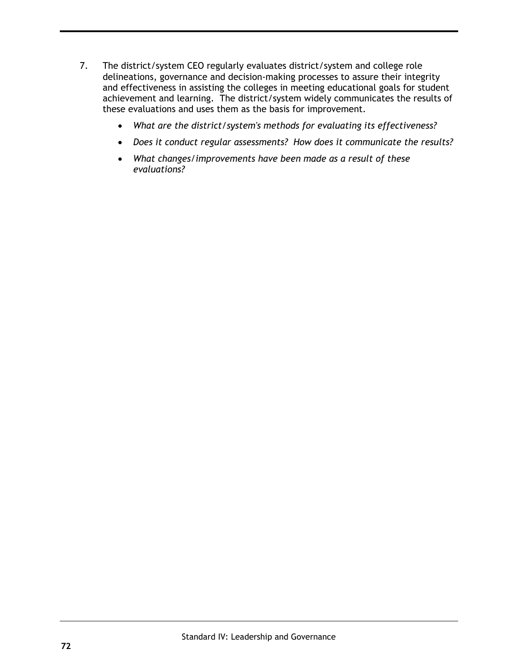- 7. The district/system CEO regularly evaluates district/system and college role delineations, governance and decision-making processes to assure their integrity and effectiveness in assisting the colleges in meeting educational goals for student achievement and learning. The district/system widely communicates the results of these evaluations and uses them as the basis for improvement.
	- *What are the district/system's methods for evaluating its effectiveness?*
	- *Does it conduct regular assessments? How does it communicate the results?*
	- *What changes/improvements have been made as a result of these evaluations?*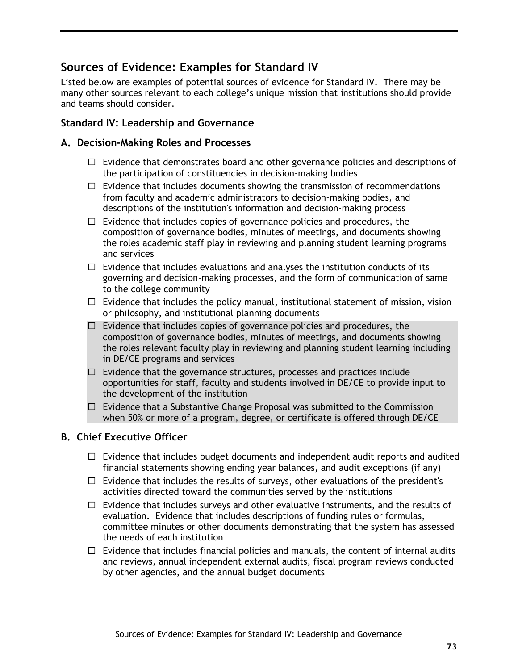## **Sources of Evidence: Examples for Standard IV**

Listed below are examples of potential sources of evidence for Standard IV. There may be many other sources relevant to each college's unique mission that institutions should provide and teams should consider.

## **Standard IV: Leadership and Governance**

### **A. Decision-Making Roles and Processes**

- $\Box$  Evidence that demonstrates board and other governance policies and descriptions of the participation of constituencies in decision-making bodies
- $\Box$  Evidence that includes documents showing the transmission of recommendations from faculty and academic administrators to decision-making bodies, and descriptions of the institution's information and decision-making process
- $\Box$  Evidence that includes copies of governance policies and procedures, the composition of governance bodies, minutes of meetings, and documents showing the roles academic staff play in reviewing and planning student learning programs and services
- $\Box$  Evidence that includes evaluations and analyses the institution conducts of its governing and decision-making processes, and the form of communication of same to the college community
- $\Box$  Evidence that includes the policy manual, institutional statement of mission, vision or philosophy, and institutional planning documents
- $\Box$  Evidence that includes copies of governance policies and procedures, the composition of governance bodies, minutes of meetings, and documents showing the roles relevant faculty play in reviewing and planning student learning including in DE/CE programs and services
- $\Box$  Evidence that the governance structures, processes and practices include opportunities for staff, faculty and students involved in DE/CE to provide input to the development of the institution
- $\Box$  Evidence that a Substantive Change Proposal was submitted to the Commission when 50% or more of a program, degree, or certificate is offered through DE/CE

### **B. Chief Executive Officer**

- $\Box$  Evidence that includes budget documents and independent audit reports and audited financial statements showing ending year balances, and audit exceptions (if any)
- $\Box$  Evidence that includes the results of surveys, other evaluations of the president's activities directed toward the communities served by the institutions
- $\Box$  Evidence that includes surveys and other evaluative instruments, and the results of evaluation. Evidence that includes descriptions of funding rules or formulas, committee minutes or other documents demonstrating that the system has assessed the needs of each institution
- $\Box$  Evidence that includes financial policies and manuals, the content of internal audits and reviews, annual independent external audits, fiscal program reviews conducted by other agencies, and the annual budget documents